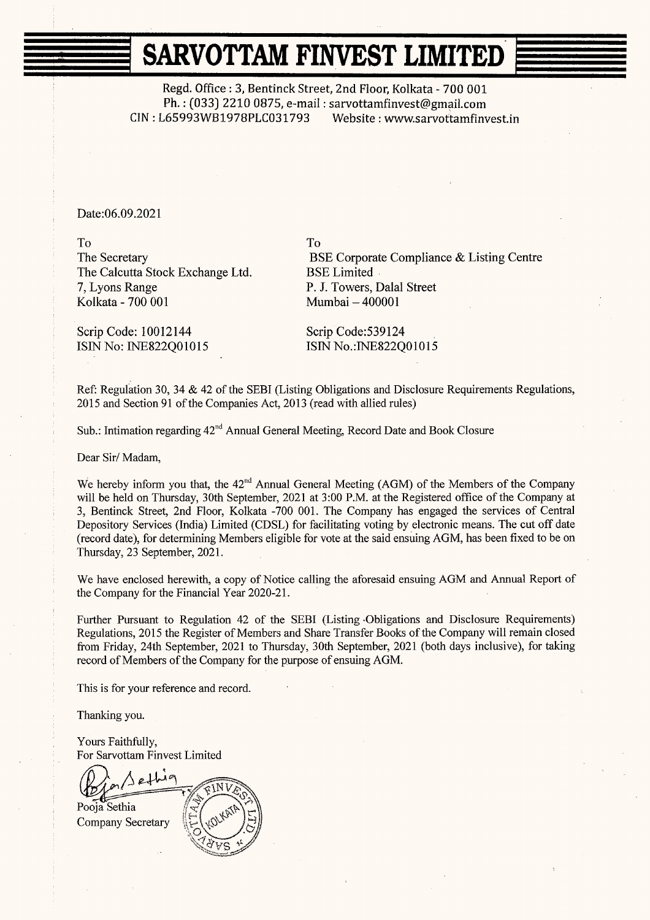## SARVOTTAM FINVEST LIMITED

Regd. Office : 3, Bentinck Street, 2nd Floor, Kolkata - 700 001 Ph. : (033) 2210 0875, e-mail : sarvottamfinvest@gmail.com CIN : L65993WB1978PLC031793 Website : www.sarvottamfinvest.in

Date:06.09.2021

To To The Calcutta Stock Exchange Ltd. BSE Limited 7, Lyons Range P. J. Towers, Dalal Street Kolkata - 700 001 Mumbai — 400001

Scrip Code: 10012144 Scrip Code: 539124 ISIN No: INE822Q01015 ISIN No.:INE822Q01015

The Secretary **BSE** Corporate Compliance & Listing Centre

Ref: Regulation 30, 34 & 42 of the SEBI (Listing Obligations and Disclosure Requirements Regulations, 2015 and Section 91 of the Companies Act, 2013 (read with allied rules)

Sub.: Intimation regarding 42<sup>nd</sup> Annual General Meeting, Record Date and Book Closure

Dear Sir/ Madam,

We hereby inform you that, the 42<sup>nd</sup> Annual General Meeting (AGM) of the Members of the Company will be held on Thursday, 30th September, 2021 at 3:00 P.M. at the Registered office of the Company at 3, Bentinck Street, 2nd Floor, Kolkata -700 001. The Company has engaged the services of Central Depository Services (India) Limited (CDSL) for facilitating voting by electronic means. The cut off date (record date), for determining Members eligible for vote at the said ensuing AGM, has been fixed to be on Thursday, 23 September, 2021.

We have enclosed herewith, a copy of Notice calling the aforesaid ensuing AGM and Annual Report of the Company for the Financial Year 2020-21.

Further Pursuant to Regulation 42 of the SEBI (Listing Obligations and Disclosure Requirements) Regulations, 2015 the Register of Members and Share Transfer Books of the Company will remain closed from Friday, 24th September, 2021 to Thursday, 30th September, 2021 (both days inclusive), for taking record of Members of the Company for the purpose of ensuing AGM.

This is for your reference and record.

Thanking you.

Yours Faithfully, For Sarvottam Finvest Limited

Thanking you<br>
Yours Faithfu<br>
Yours Faithfu<br>
Tor Sarvottan<br>
Yours Tanking<br>
Yours Sethia **ARAN** Pooja Sethia Company Secretary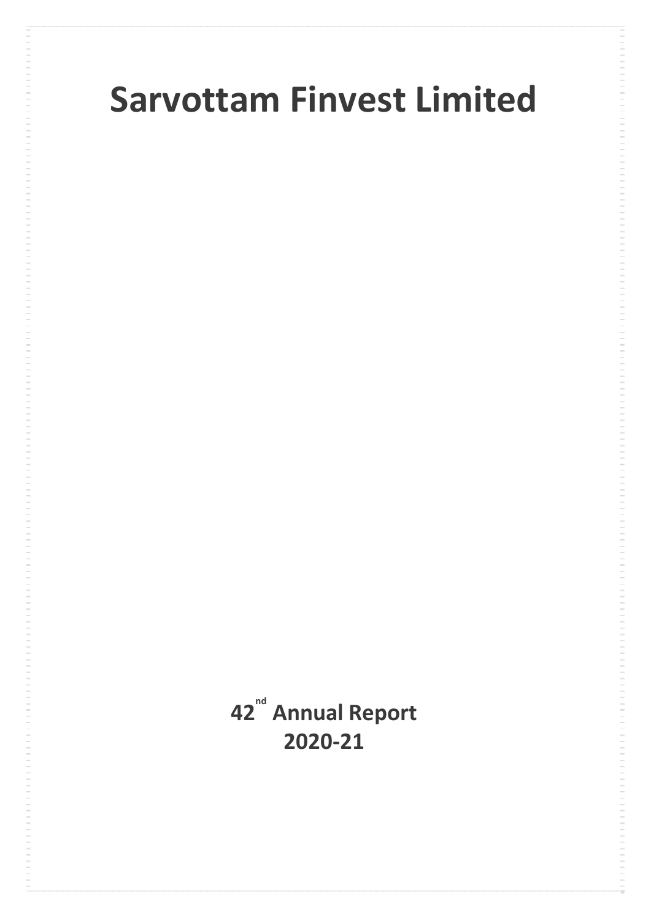# **Sarvottam Finvest Limited**

### **nd Annual Report Ͳ21**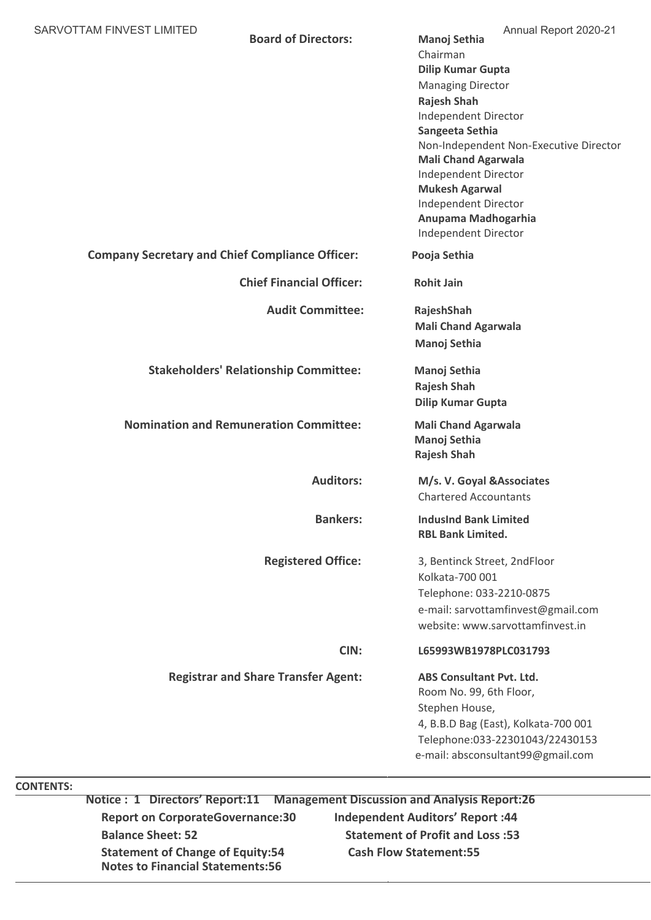|                                                        | Chairman<br><b>Dilip Kumar Gupta</b><br><b>Managing Director</b><br><b>Rajesh Shah</b><br>Independent Director<br>Sangeeta Sethia<br>Non-Independent Non-Executive Director<br><b>Mali Chand Agarwala</b><br>Independent Director<br><b>Mukesh Agarwal</b><br>Independent Director<br>Anupama Madhogarhia<br>Independent Director |
|--------------------------------------------------------|-----------------------------------------------------------------------------------------------------------------------------------------------------------------------------------------------------------------------------------------------------------------------------------------------------------------------------------|
| <b>Company Secretary and Chief Compliance Officer:</b> | Pooja Sethia                                                                                                                                                                                                                                                                                                                      |
| <b>Chief Financial Officer:</b>                        | <b>Rohit Jain</b>                                                                                                                                                                                                                                                                                                                 |
| <b>Audit Committee:</b>                                | RajeshShah<br><b>Mali Chand Agarwala</b><br>Manoj Sethia                                                                                                                                                                                                                                                                          |
| <b>Stakeholders' Relationship Committee:</b>           | Manoj Sethia<br><b>Rajesh Shah</b><br><b>Dilip Kumar Gupta</b>                                                                                                                                                                                                                                                                    |
| <b>Nomination and Remuneration Committee:</b>          | <b>Mali Chand Agarwala</b><br><b>Manoj Sethia</b><br><b>Rajesh Shah</b>                                                                                                                                                                                                                                                           |
| <b>Auditors:</b>                                       | M/s. V. Goyal & Associates<br><b>Chartered Accountants</b>                                                                                                                                                                                                                                                                        |
| <b>Bankers:</b>                                        | <b>IndusInd Bank Limited</b><br><b>RBL Bank Limited.</b>                                                                                                                                                                                                                                                                          |
| <b>Registered Office:</b>                              | 3, Bentinck Street, 2ndFloor<br>Kolkata-700 001<br>Telephone: 033-2210-0875<br>e-mail: sarvottamfinvest@gmail.com<br>website: www.sarvottamfinvest.in                                                                                                                                                                             |
| CIN:                                                   | L65993WB1978PLC031793                                                                                                                                                                                                                                                                                                             |
| <b>Registrar and Share Transfer Agent:</b>             | <b>ABS Consultant Pvt. Ltd.</b><br>Room No. 99, 6th Floor,<br>Stephen House,<br>4, B.B.D Bag (East), Kolkata-700 001<br>Telephone:033-22301043/22430153<br>e-mail: absconsultant99@gmail.com                                                                                                                                      |

#### **CONTENTS:**

**EZO EZ ST ST DISPERS** EXPORT: **EXA EXAMPLE THE DEZU DE DETA:** Discussion and Analysis Report: 26 Report on CorporateGovernance: 30 Independent Auditors' Report: 44 **Balance Sheet: 52** *K***Statement of Profit and Loss**: 53 Statement of Change of Equity:54 Cash Flow Statement:55 **Notes to Financial Statements:56**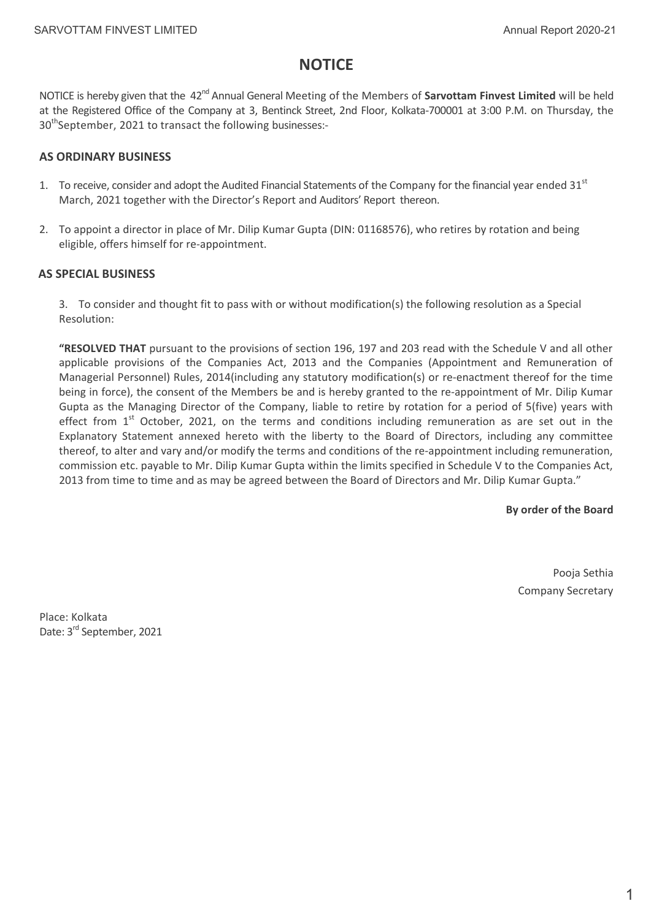#### **NOTICE**

NOTICE is hereby given that the 42<sup>nd</sup> Annual General Meeting of the Members of Sarvottam Finvest Limited will be held at the Registered Office of the Company at 3, Bentinck Street, 2nd Floor, Kolkata-700001 at 3:00 P.M. on Thursday, the 30<sup>th</sup>September, 2021 to transact the following businesses:-

#### **AS ORDINARY BUSINESS**

- 1. To receive, consider and adopt the Audited Financial Statements of the Company for the financial year ended 31<sup>st</sup> March, 2021 together with the Director's Report and Auditors' Report thereon.
- 2. To appoint a director in place of Mr. Dilip Kumar Gupta (DIN: 01168576), who retires by rotation and being eligible, offers himself for re-appointment.

#### **AS SPECIAL BUSINESS**

3. To consider and thought fit to pass with or without modification(s) the following resolution as a Special Resolution:

"RESOLVED THAT pursuant to the provisions of section 196, 197 and 203 read with the Schedule V and all other applicable provisions of the Companies Act, 2013 and the Companies (Appointment and Remuneration of Managerial Personnel) Rules, 2014(including any statutory modification(s) or re-enactment thereof for the time being in force), the consent of the Members be and is hereby granted to the re-appointment of Mr. Dilip Kumar Gupta as the Managing Director of the Company, liable to retire by rotation for a period of 5(five) years with effect from  $1<sup>st</sup>$  October, 2021, on the terms and conditions including remuneration as are set out in the Explanatory Statement annexed hereto with the liberty to the Board of Directors, including any committee thereof, to alter and vary and/or modify the terms and conditions of the re-appointment including remuneration, commission etc. payable to Mr. Dilip Kumar Gupta within the limits specified in Schedule V to the Companies Act, 2013 from time to time and as may be agreed between the Board of Directors and Mr. Dilip Kumar Gupta."

#### **By order of the Board**

Pooja Sethia Company Secretary

Place: Kolkata Date: 3<sup>rd</sup> September, 2021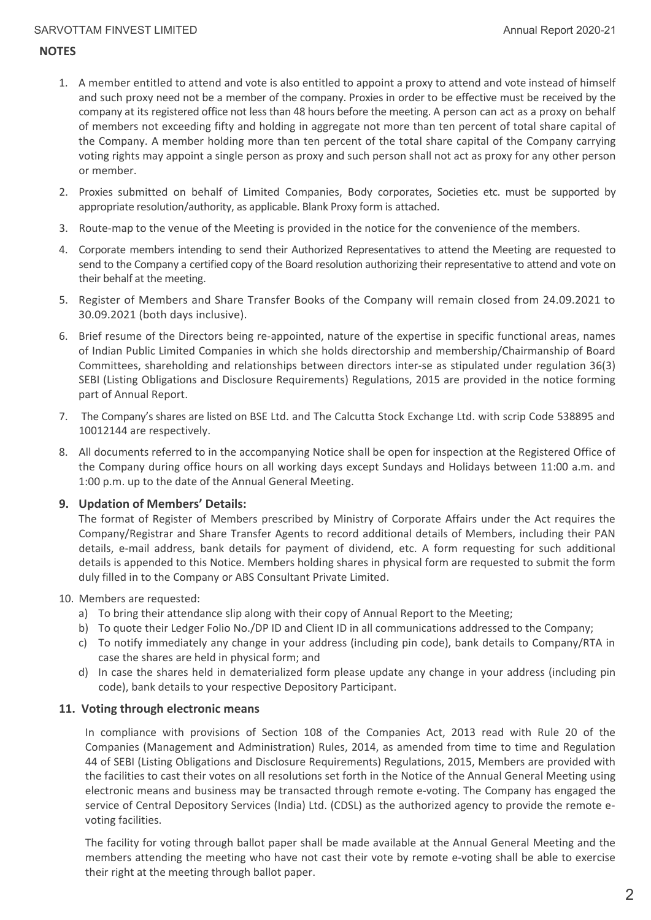#### **NOTES**

- 1. A member entitled to attend and vote is also entitled to appoint a proxy to attend and vote instead of himself and such proxy need not be a member of the company. Proxies in order to be effective must be received by the company at its registered office not less than 48 hours before the meeting. A person can act as a proxy on behalf of members not exceeding fifty and holding in aggregate not more than ten percent of total share capital of the Company. A member holding more than ten percent of the total share capital of the Company carrying voting rights may appoint a single person as proxy and such person shall not act as proxy for any other person or member.
- 2. Proxies submitted on behalf of Limited Companies, Body corporates, Societies etc. must be supported by appropriate resolution/authority, as applicable. Blank Proxy form is attached.
- 3. Route-map to the venue of the Meeting is provided in the notice for the convenience of the members.
- 4. Corporate members intending to send their Authorized Representatives to attend the Meeting are requested to send to the Company a certified copy of the Board resolution authorizing their representative to attend and vote on their behalf at the meeting.
- 5. Register of Members and Share Transfer Books of the Company will remain closed from 24.09.2021 to 30.09.2021 (both days inclusive).
- 6. Brief resume of the Directors being re-appointed, nature of the expertise in specific functional areas, names of Indian Public Limited Companies in which she holds directorship and membership/Chairmanship of Board Committees, shareholding and relationships between directors inter-se as stipulated under regulation 36(3) SEBI (Listing Obligations and Disclosure Requirements) Regulations, 2015 are provided in the notice forming part of Annual Report.
- 7. The Company's shares are listed on BSE Ltd. and The Calcutta Stock Exchange Ltd. with scrip Code 538895 and 10012144 are respectively.
- 8. All documents referred to in the accompanying Notice shall be open for inspection at the Registered Office of the Company during office hours on all working days except Sundays and Holidays between 11:00 a.m. and 1:00 p.m. up to the date of the Annual General Meeting.

#### **9.** Updation of Members' Details:

The format of Register of Members prescribed by Ministry of Corporate Affairs under the Act requires the Company/Registrar and Share Transfer Agents to record additional details of Members, including their PAN details, e-mail address, bank details for payment of dividend, etc. A form requesting for such additional details is appended to this Notice. Members holding shares in physical form are requested to submit the form duly filled in to the Company or ABS Consultant Private Limited.

#### 10. Members are requested:

- a) To bring their attendance slip along with their copy of Annual Report to the Meeting;
- b) To quote their Ledger Folio No./DP ID and Client ID in all communications addressed to the Company;
- c) To notify immediately any change in your address (including pin code), bank details to Company/RTA in case the shares are held in physical form; and
- d) In case the shares held in dematerialized form please update any change in your address (including pin code), bank details to your respective Depository Participant.

#### 11. Voting through electronic means

In compliance with provisions of Section 108 of the Companies Act, 2013 read with Rule 20 of the Companies (Management and Administration) Rules, 2014, as amended from time to time and Regulation 44 of SEBI (Listing Obligations and Disclosure Requirements) Regulations, 2015, Members are provided with the facilities to cast their votes on all resolutions set forth in the Notice of the Annual General Meeting using electronic means and business may be transacted through remote e-voting. The Company has engaged the service of Central Depository Services (India) Ltd. (CDSL) as the authorized agency to provide the remote evoting facilities.

The facility for voting through ballot paper shall be made available at the Annual General Meeting and the members attending the meeting who have not cast their vote by remote e-voting shall be able to exercise their right at the meeting through ballot paper.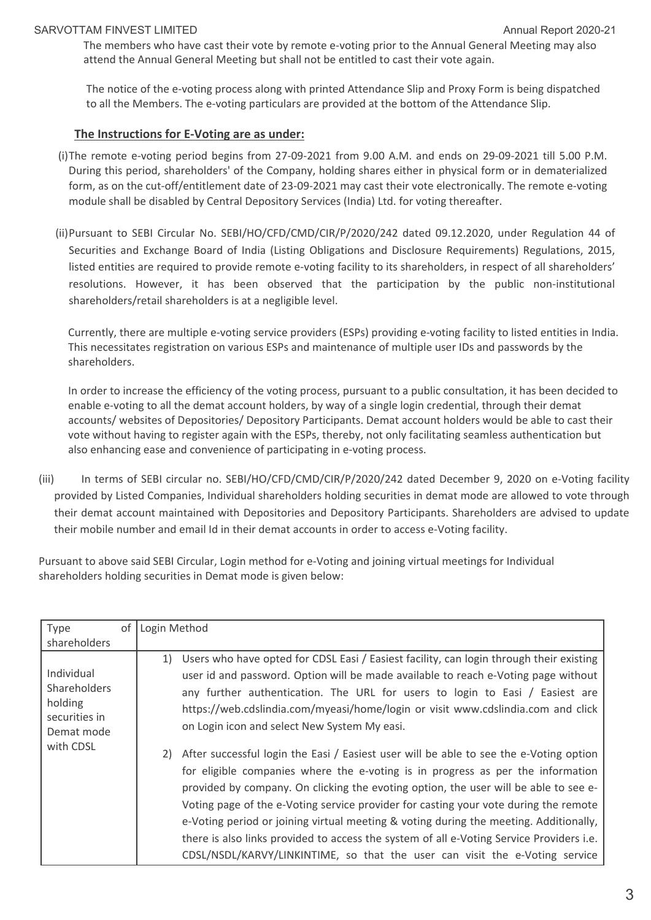The members who have cast their vote by remote e-voting prior to the Annual General Meeting may also attend the Annual General Meeting but shall not be entitled to cast their vote again.

The notice of the e-voting process along with printed Attendance Slip and Proxy Form is being dispatched to all the Members. The e-voting particulars are provided at the bottom of the Attendance Slip.

#### The Instructions for E-Voting are as under:

- (i) The remote e-voting period begins from 27-09-2021 from 9.00 A.M. and ends on 29-09-2021 till 5.00 P.M. During this period, shareholders' of the Company, holding shares either in physical form or in dematerialized form, as on the cut-off/entitlement date of 23-09-2021 may cast their vote electronically. The remote e-voting module shall be disabled by Central Depository Services (India) Ltd. for voting thereafter.
- (ii) Pursuant to SEBI Circular No. SEBI/HO/CFD/CMD/CIR/P/2020/242 dated 09.12.2020, under Regulation 44 of Securities and Exchange Board of India (Listing Obligations and Disclosure Requirements) Regulations, 2015, listed entities are required to provide remote e-voting facility to its shareholders, in respect of all shareholders' resolutions. However, it has been observed that the participation by the public non-institutional shareholders/retail shareholders is at a negligible level.

Currently, there are multiple e-voting service providers (ESPs) providing e-voting facility to listed entities in India. This necessitates registration on various ESPs and maintenance of multiple user IDs and passwords by the shareholders.

In order to increase the efficiency of the voting process, pursuant to a public consultation, it has been decided to enable e-voting to all the demat account holders, by way of a single login credential, through their demat accounts/ websites of Depositories/ Depository Participants. Demat account holders would be able to cast their vote without having to register again with the ESPs, thereby, not only facilitating seamless authentication but also enhancing ease and convenience of participating in e-voting process.

(iii) In terms of SEBI circular no. SEBI/HO/CFD/CMD/CIR/P/2020/242 dated December 9, 2020 on e-Voting facility provided by Listed Companies, Individual shareholders holding securities in demat mode are allowed to vote through their demat account maintained with Depositories and Depository Participants. Shareholders are advised to update their mobile number and email Id in their demat accounts in order to access e-Voting facility.

Pursuant to above said SEBI Circular, Login method for e-Voting and joining virtual meetings for Individual shareholders holding securities in Demat mode is given below:

| Type                                                                                     | οf | Login Method                                                                                                                                                                                                                                                                                                                                                                                                                                                                                                                                                                                                                                                                                                                                                                                                                                                                                                                                                                                                                                                                               |
|------------------------------------------------------------------------------------------|----|--------------------------------------------------------------------------------------------------------------------------------------------------------------------------------------------------------------------------------------------------------------------------------------------------------------------------------------------------------------------------------------------------------------------------------------------------------------------------------------------------------------------------------------------------------------------------------------------------------------------------------------------------------------------------------------------------------------------------------------------------------------------------------------------------------------------------------------------------------------------------------------------------------------------------------------------------------------------------------------------------------------------------------------------------------------------------------------------|
| shareholders                                                                             |    |                                                                                                                                                                                                                                                                                                                                                                                                                                                                                                                                                                                                                                                                                                                                                                                                                                                                                                                                                                                                                                                                                            |
| Individual<br><b>Shareholders</b><br>holding<br>securities in<br>Demat mode<br>with CDSL |    | Users who have opted for CDSL Easi / Easiest facility, can login through their existing<br>$\left( \begin{matrix} 1 \end{matrix} \right)$<br>user id and password. Option will be made available to reach e-Voting page without<br>any further authentication. The URL for users to login to Easi / Easiest are<br>https://web.cdslindia.com/myeasi/home/login or visit www.cdslindia.com and click<br>on Login icon and select New System My easi.<br>After successful login the Easi / Easiest user will be able to see the e-Voting option<br>2)<br>for eligible companies where the e-voting is in progress as per the information<br>provided by company. On clicking the evoting option, the user will be able to see e-<br>Voting page of the e-Voting service provider for casting your vote during the remote<br>e-Voting period or joining virtual meeting & voting during the meeting. Additionally,<br>there is also links provided to access the system of all e-Voting Service Providers i.e.<br>CDSL/NSDL/KARVY/LINKINTIME, so that the user can visit the e-Voting service |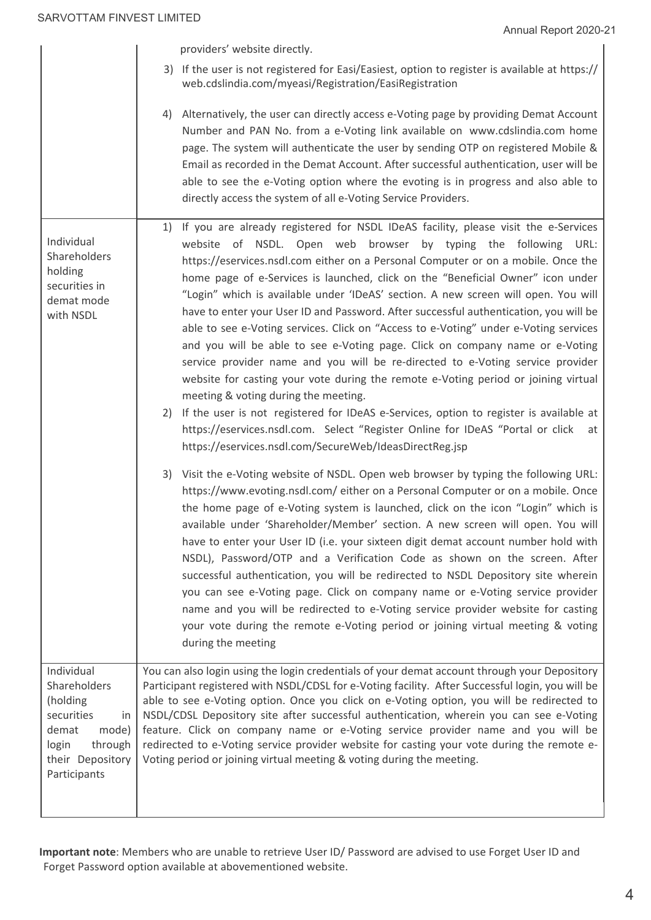providers' website directly. 3) If the user is not registered for Easi/Easiest, option to register is available at https:// web.cdslindia.com/myeasi/Registration/EasiRegistration 4) Alternatively, the user can directly access e-Voting page by providing Demat Account Number and PAN No. from a e-Voting link available on www.cdslindia.com home page. The system will authenticate the user by sending OTP on registered Mobile & Email as recorded in the Demat Account. After successful authentication, user will be able to see the e-Voting option where the evoting is in progress and also able to directly access the system of all e-Voting Service Providers. Individual Shareholders holding securities in demat mode with NSDL 1) If you are already registered for NSDL IDeAS facility, please visit the e-Services website of NSDL. Open web browser by typing the following URL: https://eservices.nsdl.com either on a Personal Computer or on a mobile. Once the home page of e-Services is launched, click on the "Beneficial Owner" icon under "Login" which is available under 'IDeAS' section. A new screen will open. You will have to enter your User ID and Password. After successful authentication, you will be able to see e-Voting services. Click on "Access to e-Voting" under e-Voting services and you will be able to see e-Voting page. Click on company name or e-Voting service provider name and you will be re-directed to e-Voting service provider website for casting your vote during the remote e-Voting period or joining virtual meeting & voting during the meeting. 2) If the user is not registered for IDeAS e-Services, option to register is available at https://eservices.nsdl.com. Select "Register Online for IDeAS "Portal or click at https://eservices.nsdl.com/SecureWeb/IdeasDirectReg.jsp 3) Visit the e-Voting website of NSDL. Open web browser by typing the following URL: https://www.evoting.nsdl.com/ either on a Personal Computer or on a mobile. Once the home page of e-Voting system is launched, click on the icon "Login" which is available under 'Shareholder/Member' section. A new screen will open. You will have to enter your User ID (i.e. your sixteen digit demat account number hold with NSDL). Password/OTP and a Verification Code as shown on the screen. After successful authentication, you will be redirected to NSDL Depository site wherein you can see e-Voting page. Click on company name or e-Voting service provider name and you will be redirected to e-Voting service provider website for casting your vote during the remote e-Voting period or joining virtual meeting & voting during the meeting Individual Shareholders (holding securities in demat mode) login through their Depository Participants You can also login using the login credentials of your demat account through your Depository Participant registered with NSDL/CDSL for e-Voting facility. After Successful login, you will be able to see e-Voting option. Once you click on e-Voting option, you will be redirected to NSDL/CDSL Depository site after successful authentication, wherein you can see e-Voting feature. Click on company name or e-Voting service provider name and you will be redirected to e-Voting service provider website for casting your vote during the remote e-Voting period or joining virtual meeting & voting during the meeting.

**Important note**: Members who are unable to retrieve User ID/ Password are advised to use Forget User ID and Forget Password option available at abovementioned website.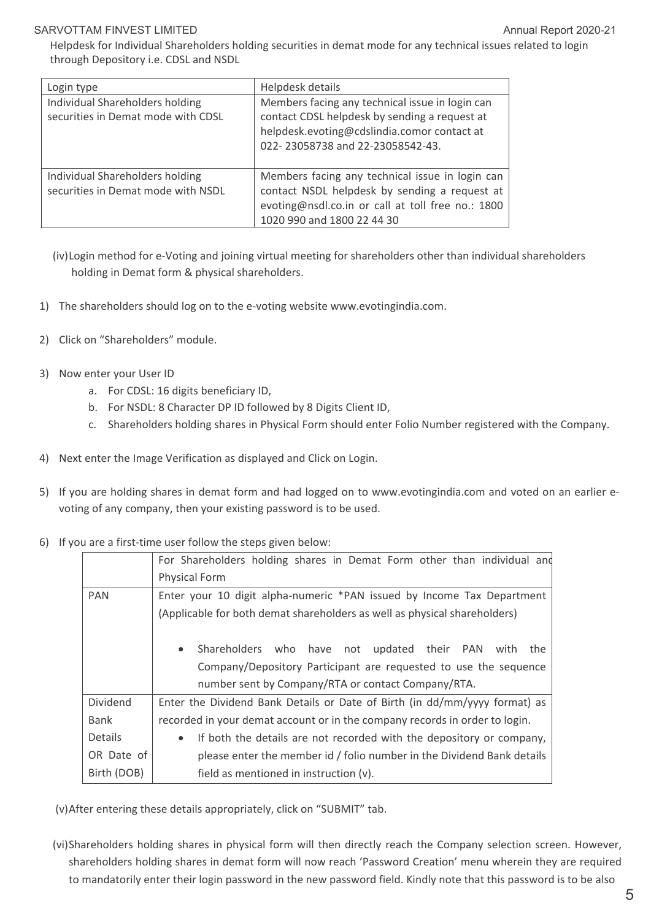#### SARVOTTAM FINVEST LIMITED **AND ANNUAL REPORT 2020-21** Annual Report 2020-21

Helpdesk for Individual Shareholders holding securities in demat mode for any technical issues related to login through Depository i.e. CDSL and NSDL

| Login type                                                            | Helpdesk details                                                                                                                                                                    |
|-----------------------------------------------------------------------|-------------------------------------------------------------------------------------------------------------------------------------------------------------------------------------|
| Individual Shareholders holding<br>securities in Demat mode with CDSL | Members facing any technical issue in login can<br>contact CDSL helpdesk by sending a request at<br>helpdesk.evoting@cdslindia.comor contact at<br>022-23058738 and 22-23058542-43. |
| Individual Shareholders holding<br>securities in Demat mode with NSDL | Members facing any technical issue in login can<br>contact NSDL helpdesk by sending a request at<br>evoting@nsdl.co.in or call at toll free no.: 1800<br>1020 990 and 1800 22 44 30 |

- (iv)Login method for e-Voting and joining virtual meeting for shareholders other than individual shareholders holding in Demat form & physical shareholders.
- 1) The shareholders should log on to the e-voting website www.evotingindia.com.
- 2) Click on "Shareholders" module.
- 3) Now enter your User ID
	- a. For CDSL: 16 digits beneficiary ID,
	- b. For NSDL: 8 Character DP ID followed by 8 Digits Client ID,
	- c. Shareholders holding shares in Physical Form should enter Folio Number registered with the Company.
- 4) Next enter the Image Verification as displayed and Click on Login.
- 5) If you are holding shares in demat form and had logged on to www.evotingindia.com and voted on an earlier evoting of any company, then your existing password is to be used.
- 6) If you are a first-time user follow the steps given below:

|                | For Shareholders holding shares in Demat Form other than individual and           |  |  |  |  |  |  |  |
|----------------|-----------------------------------------------------------------------------------|--|--|--|--|--|--|--|
|                | Physical Form                                                                     |  |  |  |  |  |  |  |
| <b>PAN</b>     | Enter your 10 digit alpha-numeric *PAN issued by Income Tax Department            |  |  |  |  |  |  |  |
|                | (Applicable for both demat shareholders as well as physical shareholders)         |  |  |  |  |  |  |  |
|                |                                                                                   |  |  |  |  |  |  |  |
|                | Shareholders who have not updated their PAN with<br>the<br>$\bullet$              |  |  |  |  |  |  |  |
|                | Company/Depository Participant are requested to use the sequence                  |  |  |  |  |  |  |  |
|                | number sent by Company/RTA or contact Company/RTA.                                |  |  |  |  |  |  |  |
| Dividend       | Enter the Dividend Bank Details or Date of Birth (in dd/mm/yyyy format) as        |  |  |  |  |  |  |  |
| Bank           | recorded in your demat account or in the company records in order to login.       |  |  |  |  |  |  |  |
| <b>Details</b> | If both the details are not recorded with the depository or company,<br>$\bullet$ |  |  |  |  |  |  |  |
| OR Date of     | please enter the member id / folio number in the Dividend Bank details            |  |  |  |  |  |  |  |
| Birth (DOB)    | field as mentioned in instruction (v).                                            |  |  |  |  |  |  |  |

- (v) After entering these details appropriately, click on "SUBMIT" tab.
- (vi)Shareholders holding shares in physical form will then directly reach the Company selection screen. However, shareholders holding shares in demat form will now reach 'Password Creation' menu wherein they are required to mandatorily enter their login password in the new password field. Kindly note that this password is to be also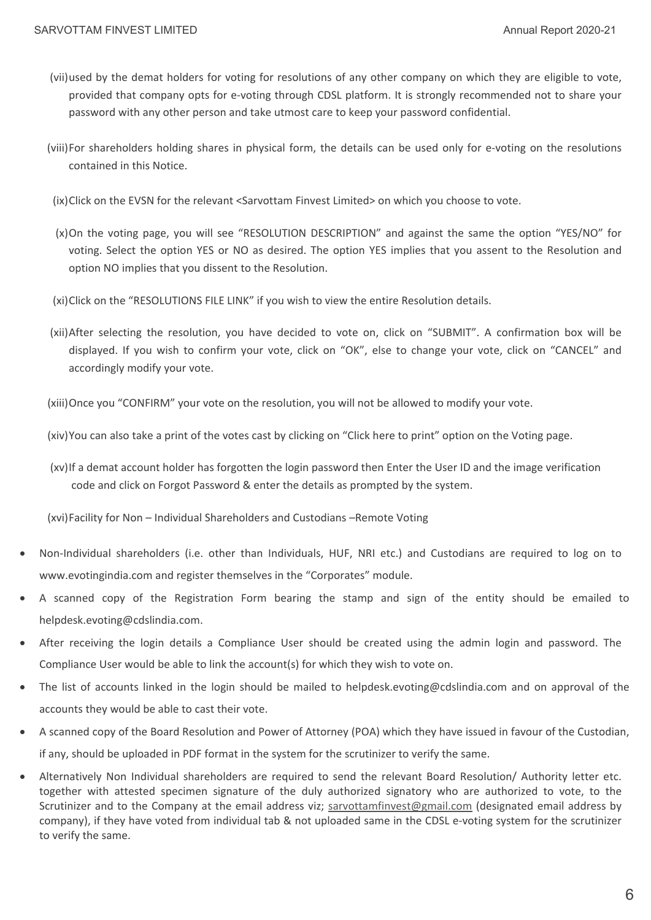- (vii)used by the demat holders for voting for resolutions of any other company on which they are eligible to vote, provided that company opts for e-voting through CDSL platform. It is strongly recommended not to share your password with any other person and take utmost care to keep your password confidential.
- (viii) For shareholders holding shares in physical form, the details can be used only for e-voting on the resolutions contained in this Notice.
- (ix) Click on the EVSN for the relevant <Sarvottam Finvest Limited> on which you choose to vote.
- (x) On the voting page, you will see "RESOLUTION DESCRIPTION" and against the same the option "YES/NO" for voting. Select the option YES or NO as desired. The option YES implies that you assent to the Resolution and option NO implies that you dissent to the Resolution.
- (xi)Click on the "RESOLUTIONS FILE LINK" if you wish to view the entire Resolution details.
- (xii)After selecting the resolution, you have decided to vote on, click on "SUBMIT". A confirmation box will be displayed. If you wish to confirm your vote, click on "OK", else to change your vote, click on "CANCEL" and accordingly modify your vote.
- (xiii) Once you "CONFIRM" your vote on the resolution, you will not be allowed to modify your vote.
- (xiv) You can also take a print of the votes cast by clicking on "Click here to print" option on the Voting page.
- (xv) If a demat account holder has forgotten the login password then Enter the User ID and the image verification code and click on Forgot Password & enter the details as prompted by the system.

(xvi) Facility for Non - Individual Shareholders and Custodians - Remote Voting

- Non-Individual shareholders (i.e. other than Individuals, HUF, NRI etc.) and Custodians are required to log on to www.evotingindia.com and register themselves in the "Corporates" module.
- A scanned copy of the Registration Form bearing the stamp and sign of the entity should be emailed to helpdesk.evoting@cdslindia.com.
- After receiving the login details a Compliance User should be created using the admin login and password. The Compliance User would be able to link the account(s) for which they wish to vote on.
- The list of accounts linked in the login should be mailed to helpdesk.evoting@cdslindia.com and on approval of the accounts they would be able to cast their vote.
- A scanned copy of the Board Resolution and Power of Attorney (POA) which they have issued in favour of the Custodian, if any, should be uploaded in PDF format in the system for the scrutinizer to verify the same.
- Alternatively Non Individual shareholders are required to send the relevant Board Resolution/ Authority letter etc. together with attested specimen signature of the duly authorized signatory who are authorized to vote, to the Scrutinizer and to the Company at the email address viz; sarvottamfinvest@gmail.com (designated email address by company), if they have voted from individual tab & not uploaded same in the CDSL e-voting system for the scrutinizer to verify the same.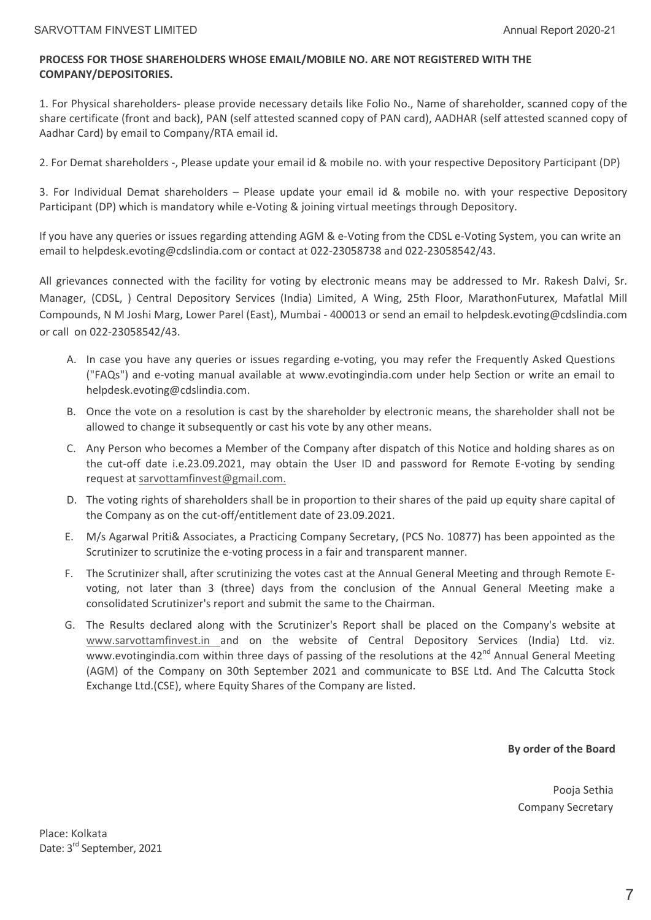#### PROCESS FOR THOSE SHAREHOLDERS WHOSE EMAIL/MOBILE NO. ARE NOT REGISTERED WITH THE COMPANY/DEPOSITORIES.

1. For Physical shareholders- please provide necessary details like Folio No., Name of shareholder, scanned copy of the share certificate (front and back), PAN (self attested scanned copy of PAN card), AADHAR (self attested scanned copy of Aadhar Card) by email to Company/RTA email id.

2. For Demat shareholders -, Please update your email id & mobile no. with your respective Depository Participant (DP)

3. For Individual Demat shareholders – Please update your email id & mobile no. with your respective Depository Participant (DP) which is mandatory while e-Voting & joining virtual meetings through Depository.

If you have any queries or issues regarding attending AGM & e-Voting from the CDSL e-Voting System, you can write an email to helpdesk.evoting@cdslindia.com or contact at 022-23058738 and 022-23058542/43.

All grievances connected with the facility for voting by electronic means may be addressed to Mr. Rakesh Dalvi, Sr. Manager, (CDSL, ) Central Depository Services (India) Limited, A Wing, 25th Floor, MarathonFuturex, Mafatlal Mill Compounds, N M Joshi Marg, Lower Parel (East), Mumbai - 400013 or send an email to helpdesk.evoting@cdslindia.com or call on 022-23058542/43.

- A. In case you have any queries or issues regarding e-voting, you may refer the Frequently Asked Questions ("FAQs") and e-voting manual available at www.evotingindia.com under help Section or write an email to helpdesk.evoting@cdslindia.com.
- B. Once the vote on a resolution is cast by the shareholder by electronic means, the shareholder shall not be allowed to change it subsequently or cast his vote by any other means.
- C. Any Person who becomes a Member of the Company after dispatch of this Notice and holding shares as on the cut-off date i.e.23.09.2021, may obtain the User ID and password for Remote E-voting by sending request at sarvottamfinvest@gmail.com.
- D. The voting rights of shareholders shall be in proportion to their shares of the paid up equity share capital of the Company as on the cut-off/entitlement date of 23.09.2021.
- E. M/s Agarwal Priti& Associates, a Practicing Company Secretary, (PCS No. 10877) has been appointed as the Scrutinizer to scrutinize the e-voting process in a fair and transparent manner.
- F. The Scrutinizer shall, after scrutinizing the votes cast at the Annual General Meeting and through Remote Evoting, not later than 3 (three) days from the conclusion of the Annual General Meeting make a consolidated Scrutinizer's report and submit the same to the Chairman.
- G. The Results declared along with the Scrutinizer's Report shall be placed on the Company's website at www.sarvottamfinvest.in and on the website of Central Depository Services (India) Ltd. viz. www.evotingindia.com within three days of passing of the resolutions at the 42<sup>nd</sup> Annual General Meeting (AGM) of the Company on 30th September 2021 and communicate to BSE Ltd. And The Calcutta Stock Exchange Ltd.(CSE), where Equity Shares of the Company are listed.

**By order of the Board** 

Pooja Sethia Company Secretary

Place: Kolkata Date: 3rd September, 2021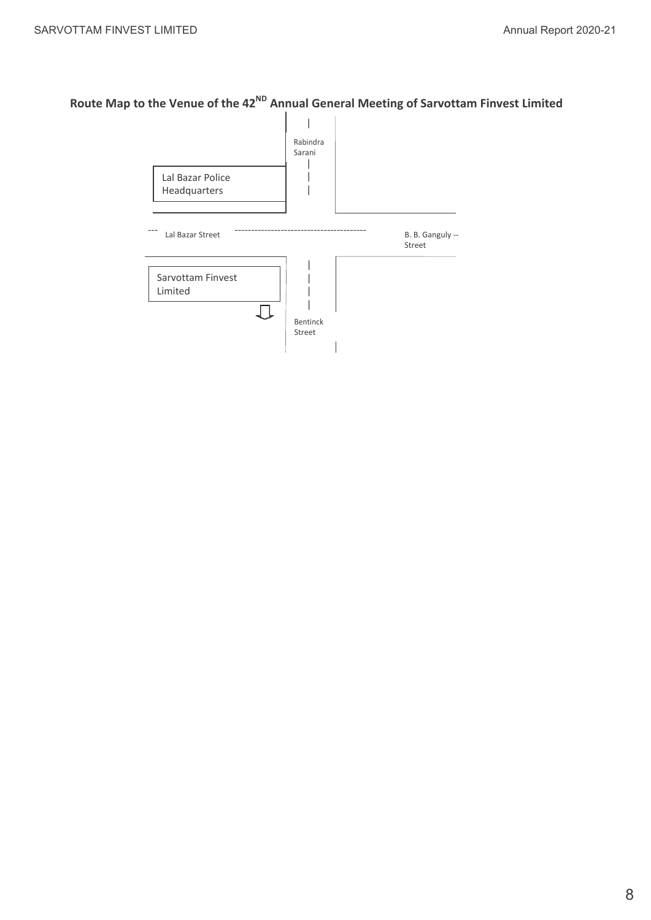### Route Map to the Venue of the 42<sup>ND</sup> Annual General Meeting of Sarvottam Finvest Limited

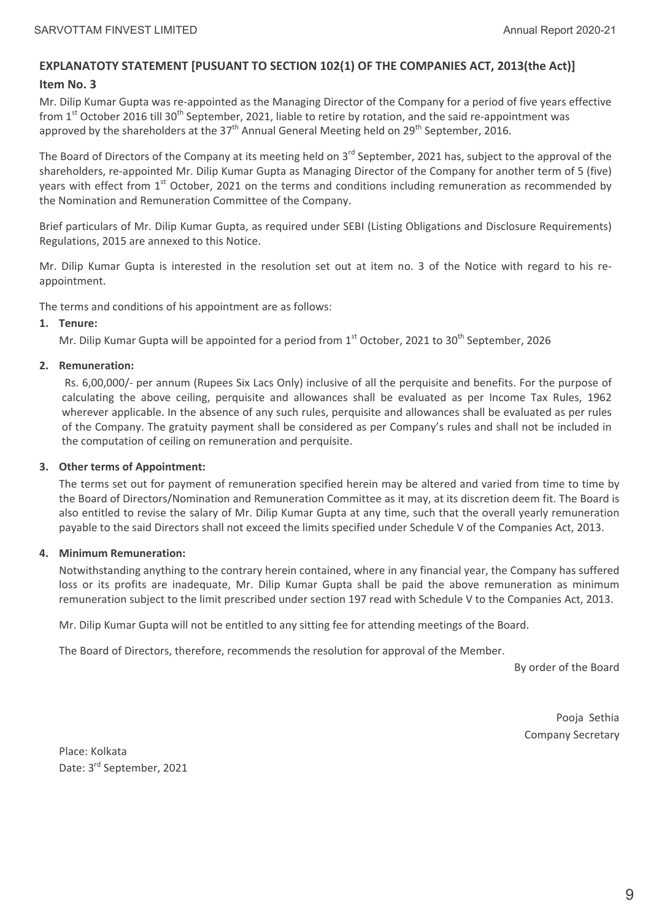#### **EXPLANATOTY STATEMENT [PUSUANT TO SECTION 102(1) OF THE COMPANIES ACT, 2013(the Act)]**

#### **ltem No. 3**

Mr. Dilip Kumar Gupta was re-appointed as the Managing Director of the Company for a period of five years effective from  $1<sup>st</sup>$  October 2016 till 30<sup>th</sup> September, 2021, liable to retire by rotation, and the said re-appointment was approved by the shareholders at the  $37<sup>th</sup>$  Annual General Meeting held on  $29<sup>th</sup>$  September, 2016.

The Board of Directors of the Company at its meeting held on 3<sup>rd</sup> September, 2021 has, subject to the approval of the shareholders, re-appointed Mr. Dilip Kumar Gupta as Managing Director of the Company for another term of 5 (five) years with effect from  $1<sup>st</sup>$  October, 2021 on the terms and conditions including remuneration as recommended by the Nomination and Remuneration Committee of the Company.

Brief particulars of Mr. Dilip Kumar Gupta, as required under SEBI (Listing Obligations and Disclosure Requirements) Regulations, 2015 are annexed to this Notice.

Mr. Dilip Kumar Gupta is interested in the resolution set out at item no. 3 of the Notice with regard to his reappointment.

The terms and conditions of his appointment are as follows:

1. Tenure:

Mr. Dilip Kumar Gupta will be appointed for a period from  $1<sup>st</sup>$  October, 2021 to  $30<sup>th</sup>$  September, 2026

#### 2. Remuneration:

Rs. 6,00,000/- per annum (Rupees Six Lacs Only) inclusive of all the perquisite and benefits. For the purpose of calculating the above ceiling, perquisite and allowances shall be evaluated as per Income Tax Rules, 1962 wherever applicable. In the absence of any such rules, perquisite and allowances shall be evaluated as per rules of the Company. The gratuity payment shall be considered as per Company's rules and shall not be included in the computation of ceiling on remuneration and perquisite.

#### **3.** Other terms of Appointment:

The terms set out for payment of remuneration specified herein may be altered and varied from time to time by the Board of Directors/Nomination and Remuneration Committee as it may, at its discretion deem fit. The Board is also entitled to revise the salary of Mr. Dilip Kumar Gupta at any time, such that the overall yearly remuneration payable to the said Directors shall not exceed the limits specified under Schedule V of the Companies Act, 2013.

#### 4. Minimum Remuneration:

Notwithstanding anything to the contrary herein contained, where in any financial year, the Company has suffered loss or its profits are inadequate, Mr. Dilip Kumar Gupta shall be paid the above remuneration as minimum remuneration subject to the limit prescribed under section 197 read with Schedule V to the Companies Act, 2013.

Mr. Dilip Kumar Gupta will not be entitled to any sitting fee for attending meetings of the Board.

The Board of Directors, therefore, recommends the resolution for approval of the Member.

By order of the Board

Pooja Sethia Company Secretary

Place: Kolkata Date: 3rd September, 2021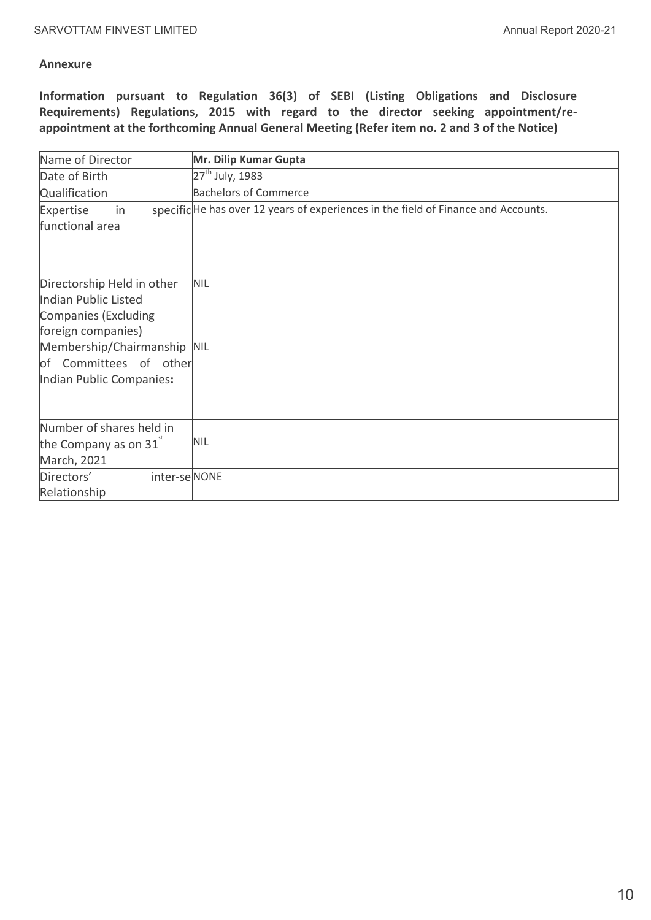#### **Annexure**

Information pursuant to Regulation 36(3) of SEBI (Listing Obligations and Disclosure Requirements) Regulations, 2015 with regard to the director seeking appointment/reappointment at the forthcoming Annual General Meeting (Refer item no. 2 and 3 of the Notice)

| Name of Director                                                                                 | Mr. Dilip Kumar Gupta                                                             |
|--------------------------------------------------------------------------------------------------|-----------------------------------------------------------------------------------|
| Date of Birth                                                                                    | $27th$ July, 1983                                                                 |
| Qualification                                                                                    | <b>Bachelors of Commerce</b>                                                      |
| Expertise<br>in<br>functional area                                                               | specificHe has over 12 years of experiences in the field of Finance and Accounts. |
| Directorship Held in other<br>Indian Public Listed<br>Companies (Excluding<br>foreign companies) | <b>NIL</b>                                                                        |
| Membership/Chairmanship NIL<br>of Committees of other<br>Indian Public Companies:                |                                                                                   |
| Number of shares held in<br>the Company as on 31<br>March, 2021                                  | <b>NIL</b>                                                                        |
| inter-se NONE<br>Directors'<br>Relationship                                                      |                                                                                   |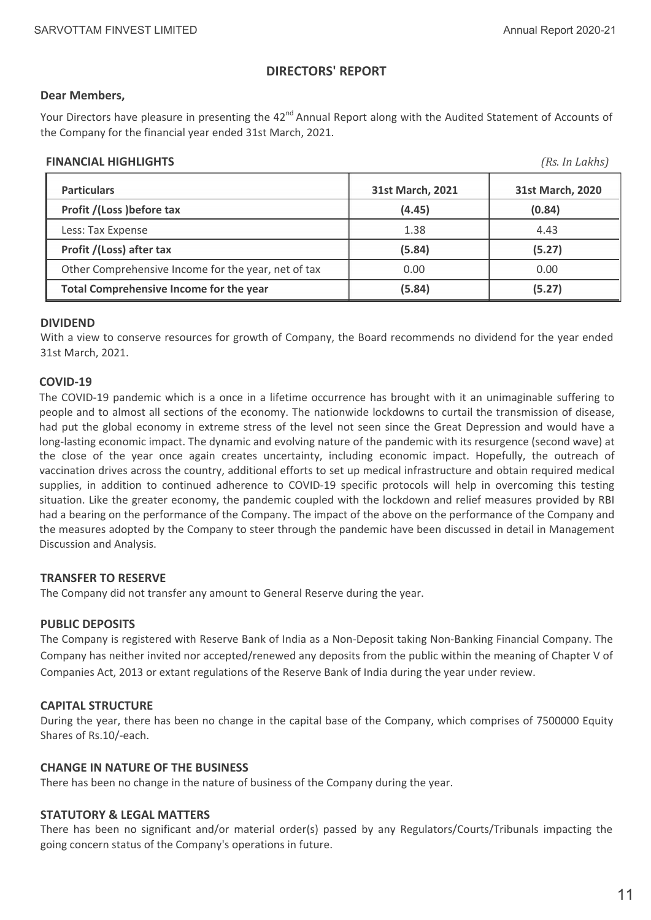#### **DIRECTORS' REPORT**

#### Dear Members.

Your Directors have pleasure in presenting the 42<sup>nd</sup> Annual Report along with the Audited Statement of Accounts of the Company for the financial year ended 31st March, 2021.

#### **EINANCIAL HIGHLIGHTS** (Rs. In Lakhs)

| <b>Particulars</b>                                  | 31st March, 2021 | <b>31st March, 2020</b> |
|-----------------------------------------------------|------------------|-------------------------|
| Profit /(Loss) before tax                           | (4.45)           | (0.84)                  |
| Less: Tax Expense                                   | 1.38             | 4.43                    |
| Profit /(Loss) after tax                            | (5.84)           | (5.27)                  |
| Other Comprehensive Income for the year, net of tax | 0.00             | 0.00                    |
| Total Comprehensive Income for the year             | (5.84)           | (5.27)                  |

#### **DIVIDEND**

With a view to conserve resources for growth of Company, the Board recommends no dividend for the year ended 31st March, 2021.

#### **COVID-19**

The COVID-19 pandemic which is a once in a lifetime occurrence has brought with it an unimaginable suffering to people and to almost all sections of the economy. The nationwide lockdowns to curtail the transmission of disease, had put the global economy in extreme stress of the level not seen since the Great Depression and would have a long-lasting economic impact. The dynamic and evolving nature of the pandemic with its resurgence (second wave) at the close of the year once again creates uncertainty, including economic impact. Hopefully, the outreach of vaccination drives across the country, additional efforts to set up medical infrastructure and obtain required medical supplies, in addition to continued adherence to COVID-19 specific protocols will help in overcoming this testing situation. Like the greater economy, the pandemic coupled with the lockdown and relief measures provided by RBI had a bearing on the performance of the Company. The impact of the above on the performance of the Company and the measures adopted by the Company to steer through the pandemic have been discussed in detail in Management Discussion and Analysis.

#### **TRANSFER TO RESERVE**

The Company did not transfer any amount to General Reserve during the year.

#### **PUBLIC DEPOSITS**

The Company is registered with Reserve Bank of India as a Non-Deposit taking Non-Banking Financial Company. The Company has neither invited nor accepted/renewed any deposits from the public within the meaning of Chapter V of Companies Act, 2013 or extant regulations of the Reserve Bank of India during the year under review.

#### **CAPITAL STRUCTURE**

During the year, there has been no change in the capital base of the Company, which comprises of 7500000 Equity Shares of Rs.10/-each.

#### **CHANGE IN NATURE OF THE BUSINESS**

There has been no change in the nature of business of the Company during the year.

#### **STATUTORY & LEGAL MATTERS**

There has been no significant and/or material order(s) passed by any Regulators/Courts/Tribunals impacting the going concern status of the Company's operations in future.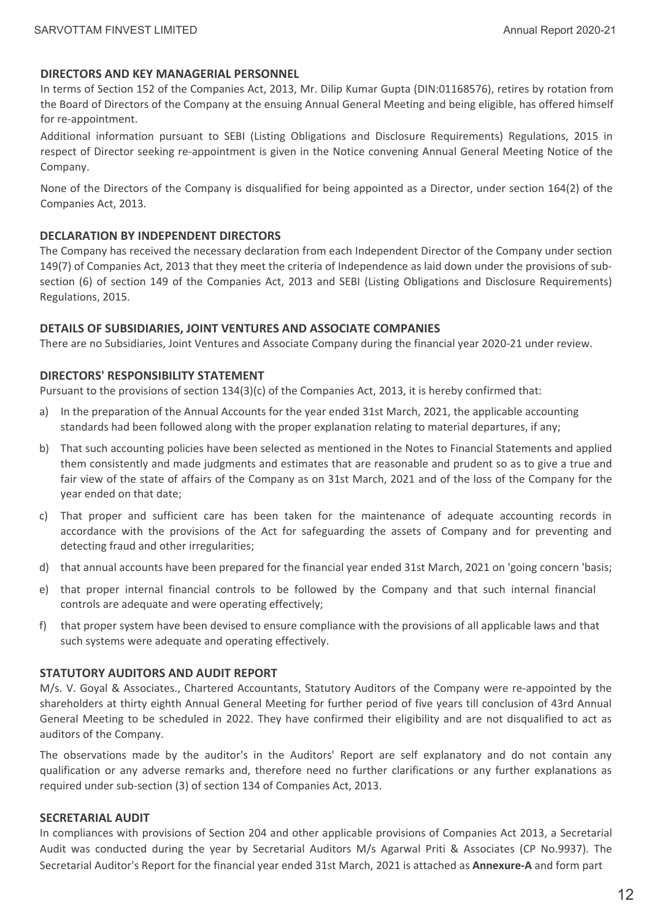#### **DIRECTORS AND KEY MANAGERIAL PERSONNEL**

In terms of Section 152 of the Companies Act, 2013, Mr. Dilip Kumar Gupta (DIN:01168576), retires by rotation from the Board of Directors of the Company at the ensuing Annual General Meeting and being eligible, has offered himself for re-appointment.

Additional information pursuant to SEBI (Listing Obligations and Disclosure Requirements) Regulations, 2015 in respect of Director seeking re-appointment is given in the Notice convening Annual General Meeting Notice of the Company.

None of the Directors of the Company is disqualified for being appointed as a Director, under section 164(2) of the Companies Act, 2013.

#### DECLARATION BY INDEPENDENT DIRECTORS

The Company has received the necessary declaration from each Independent Director of the Company under section 149(7) of Companies Act, 2013 that they meet the criteria of Independence as laid down under the provisions of subsection (6) of section 149 of the Companies Act, 2013 and SEBI (Listing Obligations and Disclosure Requirements) Regulations, 2015.

#### **DETAILS OF SUBSIDIARIES, JOINT VENTURES AND ASSOCIATE COMPANIES**

There are no Subsidiaries, Joint Ventures and Associate Company during the financial year 2020-21 under review.

#### **DIRECTORS' RESPONSIBILITY STATEMENT**

Pursuant to the provisions of section 134(3)(c) of the Companies Act, 2013, it is hereby confirmed that:

- a) In the preparation of the Annual Accounts for the year ended 31st March, 2021, the applicable accounting standards had been followed along with the proper explanation relating to material departures, if any;
- b) That such accounting policies have been selected as mentioned in the Notes to Financial Statements and applied them consistently and made judgments and estimates that are reasonable and prudent so as to give a true and fair view of the state of affairs of the Company as on 31st March, 2021 and of the loss of the Company for the vear ended on that date;
- c) That proper and sufficient care has been taken for the maintenance of adequate accounting records in accordance with the provisions of the Act for safeguarding the assets of Company and for preventing and detecting fraud and other irregularities;
- d) that annual accounts have been prepared for the financial year ended 31st March, 2021 on 'going concern 'basis;
- e) that proper internal financial controls to be followed by the Company and that such internal financial controls are adequate and were operating effectively;
- f) that proper system have been devised to ensure compliance with the provisions of all applicable laws and that such systems were adequate and operating effectively.

#### **STATUTORY AUDITORS AND AUDIT REPORT**

M/s. V. Goyal & Associates., Chartered Accountants, Statutory Auditors of the Company were re-appointed by the shareholders at thirty eighth Annual General Meeting for further period of five years till conclusion of 43rd Annual General Meeting to be scheduled in 2022. They have confirmed their eligibility and are not disqualified to act as auditors of the Company.

The observations made by the auditor's in the Auditors' Report are self explanatory and do not contain any gualification or any adverse remarks and, therefore need no further clarifications or any further explanations as required under sub-section (3) of section 134 of Companies Act, 2013.

#### **SECRETARIAL AUDIT**

In compliances with provisions of Section 204 and other applicable provisions of Companies Act 2013, a Secretarial Audit was conducted during the year by Secretarial Auditors M/s Agarwal Priti & Associates (CP No.9937). The Secretarial Auditor's Report for the financial year ended 31st March, 2021 is attached as Annexure-A and form part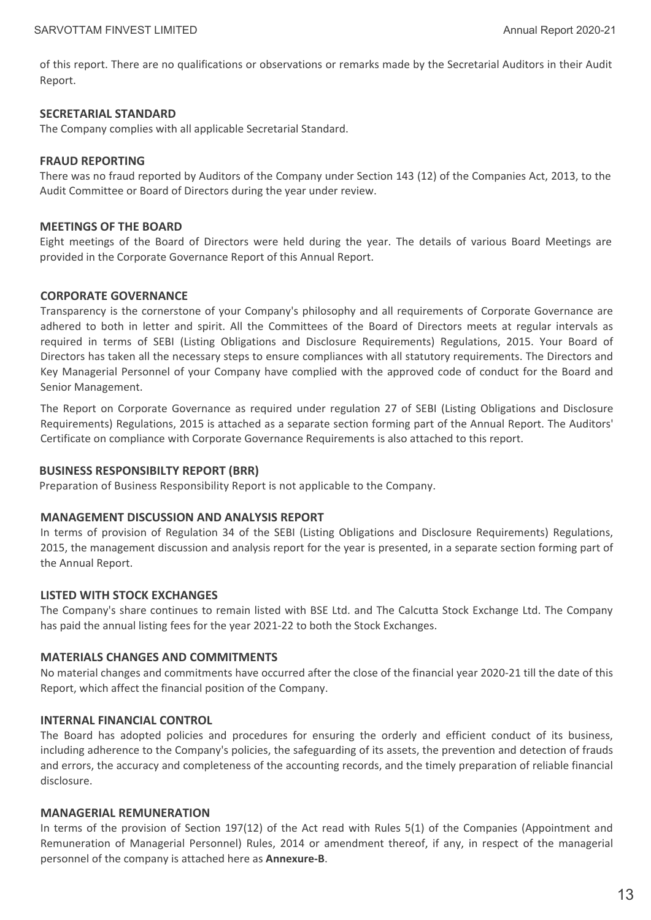of this report. There are no qualifications or observations or remarks made by the Secretarial Auditors in their Audit Report.

#### **SECRETARIAL STANDARD**

The Company complies with all applicable Secretarial Standard.

#### **FRAUD REPORTING**

There was no fraud reported by Auditors of the Company under Section 143 (12) of the Companies Act, 2013, to the Audit Committee or Board of Directors during the year under review.

#### **MEETINGS OF THE BOARD**

Eight meetings of the Board of Directors were held during the year. The details of various Board Meetings are provided in the Corporate Governance Report of this Annual Report.

#### **CORPORATE GOVERNANCE**

Transparency is the cornerstone of your Company's philosophy and all requirements of Corporate Governance are adhered to both in letter and spirit. All the Committees of the Board of Directors meets at regular intervals as required in terms of SEBI (Listing Obligations and Disclosure Requirements) Regulations, 2015. Your Board of Directors has taken all the necessary steps to ensure compliances with all statutory requirements. The Directors and Key Managerial Personnel of your Company have complied with the approved code of conduct for the Board and Senior Management.

The Report on Corporate Governance as required under regulation 27 of SEBI (Listing Obligations and Disclosure Requirements) Regulations, 2015 is attached as a separate section forming part of the Annual Report. The Auditors' Certificate on compliance with Corporate Governance Requirements is also attached to this report.

#### **BUSINESS RESPONSIBILTY REPORT (BRR)**

Preparation of Business Responsibility Report is not applicable to the Company.

#### **MANAGEMENT DISCUSSION AND ANALYSIS REPORT**

In terms of provision of Regulation 34 of the SEBI (Listing Obligations and Disclosure Requirements) Regulations, 2015, the management discussion and analysis report for the year is presented, in a separate section forming part of the Annual Report.

#### **LISTED WITH STOCK EXCHANGES**

The Company's share continues to remain listed with BSE Ltd. and The Calcutta Stock Exchange Ltd. The Company has paid the annual listing fees for the year 2021-22 to both the Stock Exchanges.

#### **MATERIALS CHANGES AND COMMITMENTS**

No material changes and commitments have occurred after the close of the financial year 2020-21 till the date of this Report, which affect the financial position of the Company.

#### **INTERNAL FINANCIAL CONTROL**

The Board has adopted policies and procedures for ensuring the orderly and efficient conduct of its business, including adherence to the Company's policies, the safeguarding of its assets, the prevention and detection of frauds and errors, the accuracy and completeness of the accounting records, and the timely preparation of reliable financial disclosure.

#### **MANAGERIAL REMUNERATION**

In terms of the provision of Section 197(12) of the Act read with Rules 5(1) of the Companies (Appointment and Remuneration of Managerial Personnel) Rules, 2014 or amendment thereof, if any, in respect of the managerial personnel of the company is attached here as **Annexure-B**.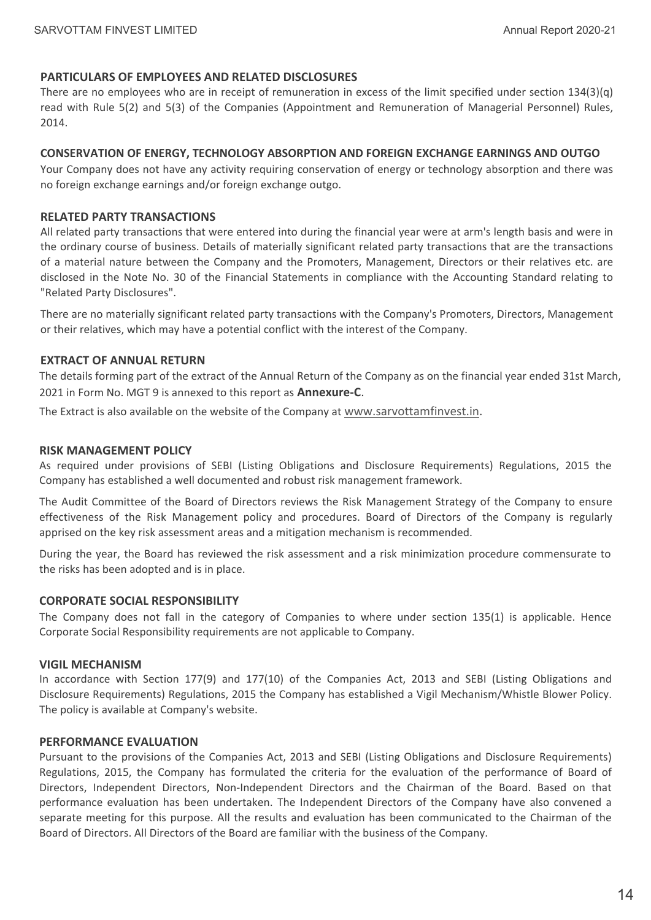#### **PARTICULARS OF EMPLOYEES AND RELATED DISCLOSURES**

There are no employees who are in receipt of remuneration in excess of the limit specified under section 134(3)(g) read with Rule 5(2) and 5(3) of the Companies (Appointment and Remuneration of Managerial Personnel) Rules, 2014.

#### **CONSERVATION OF ENERGY, TECHNOLOGY ABSORPTION AND FOREIGN EXCHANGE EARNINGS AND OUTGO**

Your Company does not have any activity requiring conservation of energy or technology absorption and there was no foreign exchange earnings and/or foreign exchange outgo.

#### **RELATED PARTY TRANSACTIONS**

All related party transactions that were entered into during the financial year were at arm's length basis and were in the ordinary course of business. Details of materially significant related party transactions that are the transactions of a material nature between the Company and the Promoters, Management, Directors or their relatives etc. are disclosed in the Note No. 30 of the Financial Statements in compliance with the Accounting Standard relating to "Related Party Disclosures".

There are no materially significant related party transactions with the Company's Promoters, Directors, Management or their relatives, which may have a potential conflict with the interest of the Company.

#### **EXTRACT OF ANNUAL RETURN**

The details forming part of the extract of the Annual Return of the Company as on the financial year ended 31st March, 2021 in Form No. MGT 9 is annexed to this report as **Annexure-C**.

The Extract is also available on the website of the Company at www.sarvottamfinvest.in.

#### **RISK MANAGEMENT POLICY**

As required under provisions of SEBI (Listing Obligations and Disclosure Requirements) Regulations, 2015 the Company has established a well documented and robust risk management framework.

The Audit Committee of the Board of Directors reviews the Risk Management Strategy of the Company to ensure effectiveness of the Risk Management policy and procedures. Board of Directors of the Company is regularly apprised on the key risk assessment areas and a mitigation mechanism is recommended.

During the year, the Board has reviewed the risk assessment and a risk minimization procedure commensurate to the risks has been adopted and is in place.

#### **CORPORATE SOCIAL RESPONSIBILITY**

The Company does not fall in the category of Companies to where under section 135(1) is applicable. Hence Corporate Social Responsibility requirements are not applicable to Company.

#### **VIGIL MECHANISM**

In accordance with Section 177(9) and 177(10) of the Companies Act, 2013 and SEBI (Listing Obligations and Disclosure Requirements) Regulations, 2015 the Company has established a Vigil Mechanism/Whistle Blower Policy. The policy is available at Company's website.

#### **PERFORMANCE EVALUATION**

Pursuant to the provisions of the Companies Act, 2013 and SEBI (Listing Obligations and Disclosure Requirements) Regulations, 2015, the Company has formulated the criteria for the evaluation of the performance of Board of Directors, Independent Directors, Non-Independent Directors and the Chairman of the Board. Based on that performance evaluation has been undertaken. The Independent Directors of the Company have also convened a separate meeting for this purpose. All the results and evaluation has been communicated to the Chairman of the Board of Directors. All Directors of the Board are familiar with the business of the Company.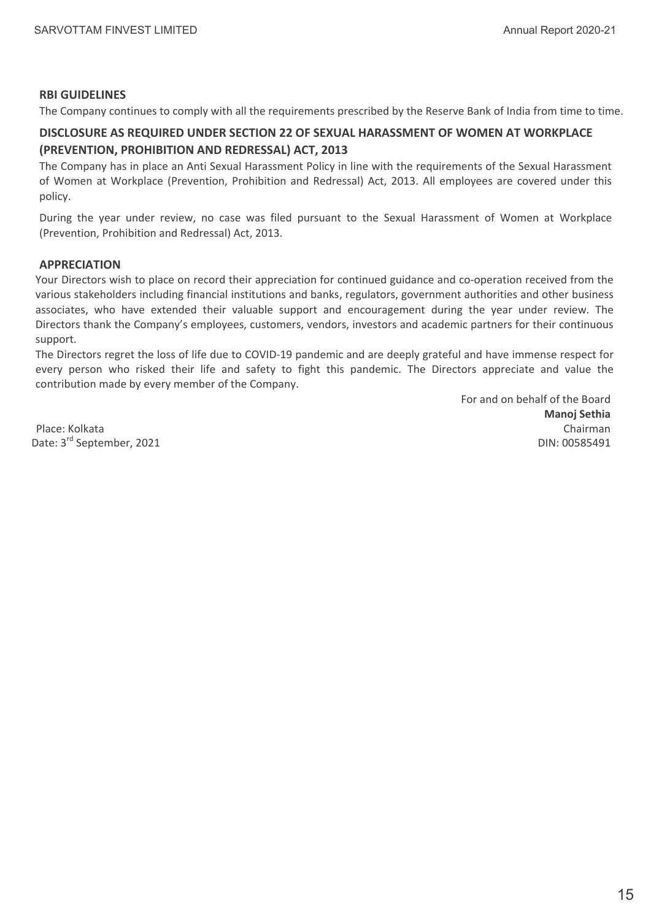#### **RBI GUIDELINES**

The Company continues to comply with all the requirements prescribed by the Reserve Bank of India from time to time.

#### DISCLOSURE AS REQUIRED UNDER SECTION 22 OF SEXUAL HARASSMENT OF WOMEN AT WORKPLACE **(PREVENTION, PROHIBITION AND REDRESSAL) ACT, 2013**

The Company has in place an Anti Sexual Harassment Policy in line with the requirements of the Sexual Harassment of Women at Workplace (Prevention, Prohibition and Redressal) Act, 2013. All employees are covered under this policy.

During the year under review, no case was filed pursuant to the Sexual Harassment of Women at Workplace (Prevention, Prohibition and Redressal) Act, 2013.

#### **APPRECIATION**

Your Directors wish to place on record their appreciation for continued guidance and co-operation received from the various stakeholders including financial institutions and banks, regulators, government authorities and other business associates, who have extended their valuable support and encouragement during the year under review. The Directors thank the Company's employees, customers, vendors, investors and academic partners for their continuous support.

The Directors regret the loss of life due to COVID-19 pandemic and are deeply grateful and have immense respect for every person who risked their life and safety to fight this pandemic. The Directors appreciate and value the contribution made by every member of the Company.

For and on behalf of the Board **Manoi Sethia** Place: Kolkata Chairman & Chairman & Chairman & Chairman & Chairman & Chairman & Chairman Date: 3<sup>rd</sup> September, 2021 **And Accord 2012** DIN: 00585491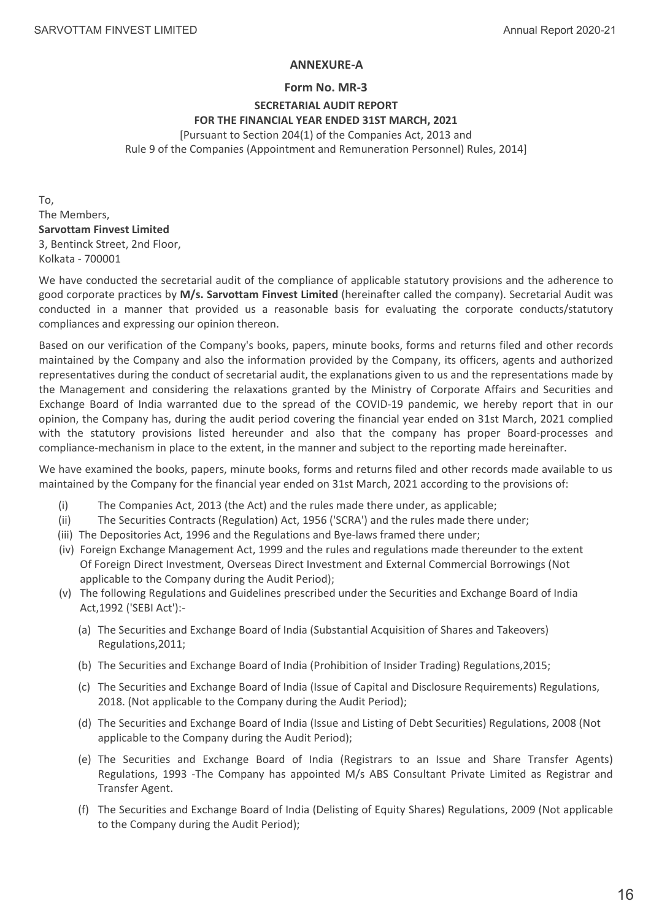#### **ANNEXURE-A**

#### **Form No. MR-3**

#### **SECRETARIAL AUDIT REPORT FOR THE FINANCIAL YEAR ENDED 31ST MARCH, 2021**

[Pursuant to Section 204(1) of the Companies Act, 2013 and Rule 9 of the Companies (Appointment and Remuneration Personnel) Rules, 2014]

To. The Members. **Sarvottam Finvest Limited** 3, Bentinck Street, 2nd Floor, Kolkata - 700001

We have conducted the secretarial audit of the compliance of applicable statutory provisions and the adherence to good corporate practices by M/s. Sarvottam Finvest Limited (hereinafter called the company). Secretarial Audit was conducted in a manner that provided us a reasonable basis for evaluating the corporate conducts/statutory compliances and expressing our opinion thereon.

Based on our verification of the Company's books, papers, minute books, forms and returns filed and other records maintained by the Company and also the information provided by the Company, its officers, agents and authorized representatives during the conduct of secretarial audit, the explanations given to us and the representations made by the Management and considering the relaxations granted by the Ministry of Corporate Affairs and Securities and Exchange Board of India warranted due to the spread of the COVID-19 pandemic, we hereby report that in our opinion, the Company has, during the audit period covering the financial year ended on 31st March, 2021 complied with the statutory provisions listed hereunder and also that the company has proper Board-processes and compliance-mechanism in place to the extent, in the manner and subject to the reporting made hereinafter.

We have examined the books, papers, minute books, forms and returns filed and other records made available to us maintained by the Company for the financial year ended on 31st March, 2021 according to the provisions of:

- (i) The Companies Act, 2013 (the Act) and the rules made there under, as applicable;
- (ii) The Securities Contracts (Regulation) Act, 1956 ('SCRA') and the rules made there under;
- (iii) The Depositories Act, 1996 and the Regulations and Bye-laws framed there under;
- (iv) Foreign Exchange Management Act, 1999 and the rules and regulations made thereunder to the extent Of Foreign Direct Investment, Overseas Direct Investment and External Commercial Borrowings (Not applicable to the Company during the Audit Period);
- (v) The following Regulations and Guidelines prescribed under the Securities and Exchange Board of India Act,1992 ('SEBI Act'):-
	- (a) The Securities and Exchange Board of India (Substantial Acquisition of Shares and Takeovers) Regulations.2011:
	- (b) The Securities and Exchange Board of India (Prohibition of Insider Trading) Regulations.2015:
	- (c) The Securities and Exchange Board of India (Issue of Capital and Disclosure Requirements) Regulations, 2018. (Not applicable to the Company during the Audit Period);
	- (d) The Securities and Exchange Board of India (Issue and Listing of Debt Securities) Regulations, 2008 (Not applicable to the Company during the Audit Period);
	- (e) The Securities and Exchange Board of India (Registrars to an Issue and Share Transfer Agents) Regulations, 1993 -The Company has appointed M/s ABS Consultant Private Limited as Registrar and Transfer Agent.
	- (f) The Securities and Exchange Board of India (Delisting of Equity Shares) Regulations, 2009 (Not applicable to the Company during the Audit Period);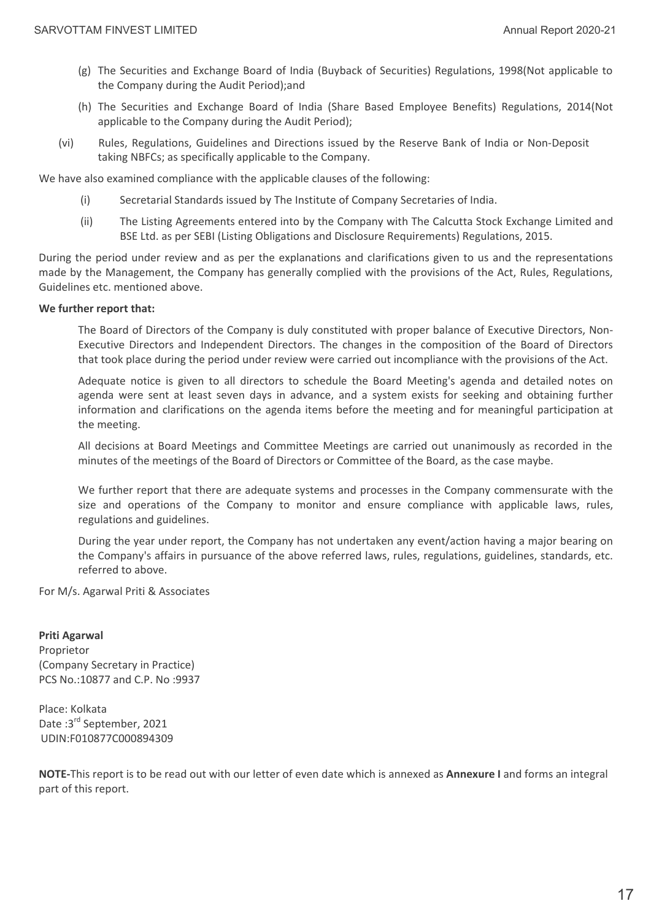- (g) The Securities and Exchange Board of India (Buyback of Securities) Regulations, 1998(Not applicable to the Company during the Audit Period); and
- (h) The Securities and Exchange Board of India (Share Based Employee Benefits) Regulations, 2014(Not applicable to the Company during the Audit Period);
- (vi) Rules, Regulations, Guidelines and Directions issued by the Reserve Bank of India or Non-Deposit taking NBFCs; as specifically applicable to the Company.

We have also examined compliance with the applicable clauses of the following:

- (i) Secretarial Standards issued by The Institute of Company Secretaries of India.
- (ii) The Listing Agreements entered into by the Company with The Calcutta Stock Exchange Limited and BSE Ltd. as per SEBI (Listing Obligations and Disclosure Requirements) Regulations, 2015.

During the period under review and as per the explanations and clarifications given to us and the representations made by the Management, the Company has generally complied with the provisions of the Act, Rules, Regulations, Guidelines etc. mentioned above.

#### **We further report that:**

The Board of Directors of the Company is duly constituted with proper balance of Executive Directors, Non-Executive Directors and Independent Directors. The changes in the composition of the Board of Directors that took place during the period under review were carried out incompliance with the provisions of the Act.

Adequate notice is given to all directors to schedule the Board Meeting's agenda and detailed notes on agenda were sent at least seven days in advance, and a system exists for seeking and obtaining further information and clarifications on the agenda items before the meeting and for meaningful participation at the meeting.

All decisions at Board Meetings and Committee Meetings are carried out unanimously as recorded in the minutes of the meetings of the Board of Directors or Committee of the Board, as the case maybe.

We further report that there are adequate systems and processes in the Company commensurate with the size and operations of the Company to monitor and ensure compliance with applicable laws, rules, regulations and guidelines.

During the year under report, the Company has not undertaken any event/action having a major bearing on the Company's affairs in pursuance of the above referred laws, rules, regulations, guidelines, standards, etc. referred to above.

For M/s. Agarwal Priti & Associates

#### **Priti Agarwal**

Proprietor (Company Secretary in Practice) PCS No.:10877 and C.P. No :9937

Place: Kolkata Date: 3rd September, 2021 UDIN:F010877C000894309

**NOTE-This report is to be read out with our letter of even date which is annexed as <b>Annexure I** and forms an integral part of this report.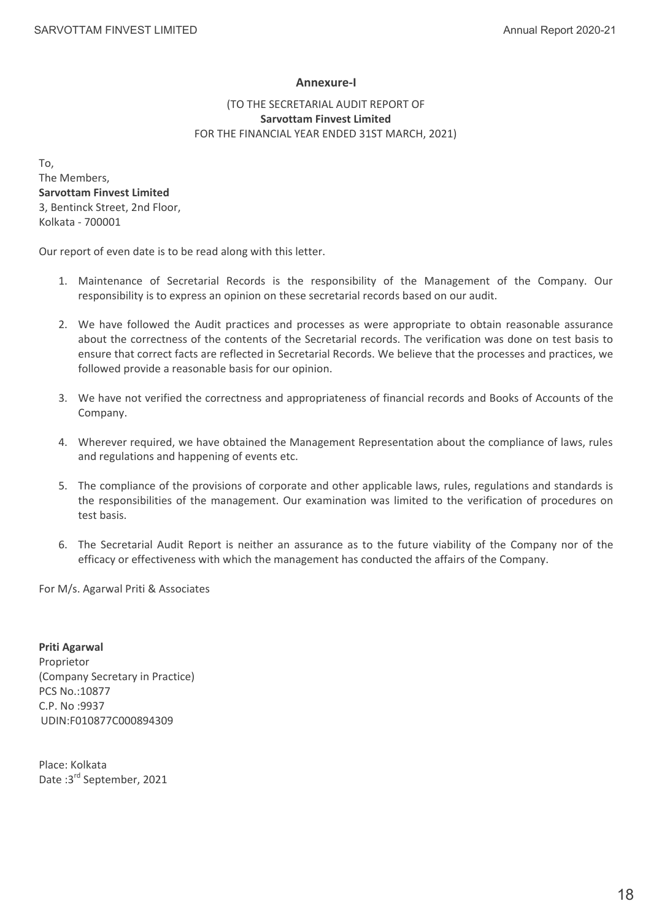#### **Annexure-I**

#### (TO THE SECRETARIAL AUDIT REPORT OF **Sarvottam Finvest Limited** FOR THE FINANCIAL YEAR ENDED 31ST MARCH, 2021)

To. The Members. **Sarvottam Finvest Limited** 3, Bentinck Street, 2nd Floor, Kolkata - 700001

Our report of even date is to be read along with this letter.

- 1. Maintenance of Secretarial Records is the responsibility of the Management of the Company. Our responsibility is to express an opinion on these secretarial records based on our audit.
- 2. We have followed the Audit practices and processes as were appropriate to obtain reasonable assurance about the correctness of the contents of the Secretarial records. The verification was done on test basis to ensure that correct facts are reflected in Secretarial Records. We believe that the processes and practices, we followed provide a reasonable basis for our opinion.
- 3. We have not verified the correctness and appropriateness of financial records and Books of Accounts of the Company.
- 4. Wherever required, we have obtained the Management Representation about the compliance of laws, rules and regulations and happening of events etc.
- 5. The compliance of the provisions of corporate and other applicable laws, rules, regulations and standards is the responsibilities of the management. Our examination was limited to the verification of procedures on test basis.
- 6. The Secretarial Audit Report is neither an assurance as to the future viability of the Company nor of the efficacy or effectiveness with which the management has conducted the affairs of the Company.

For M/s. Agarwal Priti & Associates

**Priti Agarwal** Proprietor (Company Secretary in Practice) PCS No.:10877 C.P. No:9937 UDIN:F010877C000894309

Place: Kolkata Date: 3<sup>rd</sup> September, 2021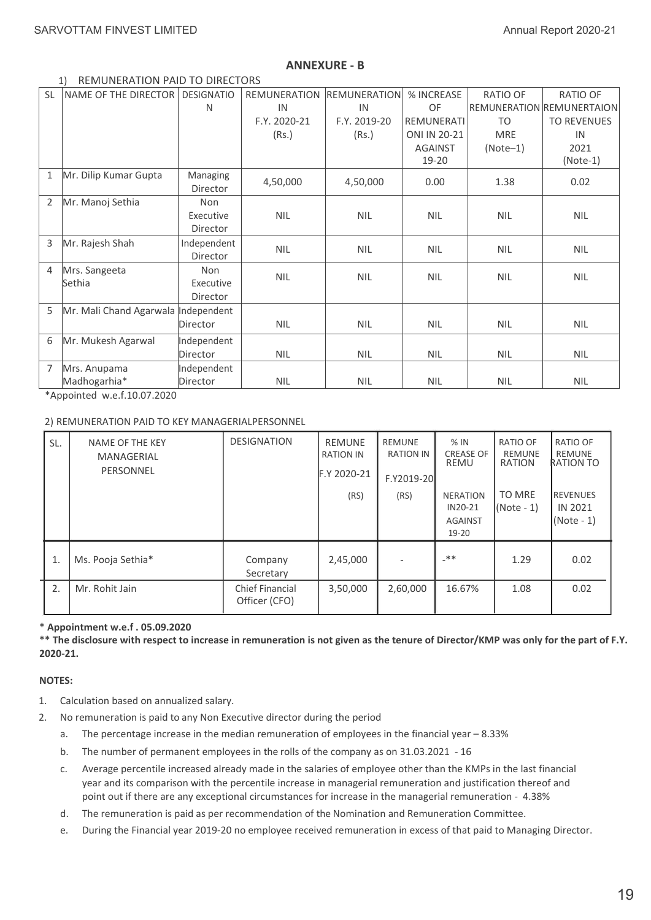#### **EXURE - B**

#### 1) REMUNERATION PAID TO DIRECTORS

| <b>SL</b>      | NAME OF THE DIRECTOR                | <b>DESIGNATIO</b>                   | <b>REMUNERATION</b> | <b>REMUNERATION</b> | % INCREASE              | <b>RATIO OF</b> | RATIO OF                                                |
|----------------|-------------------------------------|-------------------------------------|---------------------|---------------------|-------------------------|-----------------|---------------------------------------------------------|
|                |                                     | N                                   | IN<br>F.Y. 2020-21  | IN<br>F.Y. 2019-20  | <b>OF</b><br>REMUNERATI | TO              | <b>IREMUNERATION REMUNERTAION</b><br><b>TO REVENUES</b> |
|                |                                     |                                     | (Rs.)               | (Rs.)               | ONI IN 20-21            | <b>MRE</b>      | IN                                                      |
|                |                                     |                                     |                     |                     | <b>AGAINST</b><br>19-20 | $(Note-1)$      | 2021<br>$(Note-1)$                                      |
| 1              | Mr. Dilip Kumar Gupta               | Managing<br>Director                | 4,50,000            | 4,50,000            | 0.00                    |                 | 0.02                                                    |
| $\overline{2}$ | Mr. Manoj Sethia                    | <b>Non</b><br>Executive<br>Director | <b>NIL</b>          | <b>NIL</b>          | <b>NIL</b>              | <b>NIL</b>      | <b>NIL</b>                                              |
| 3              | Mr. Rajesh Shah                     | Independent<br>Director             | <b>NIL</b>          | <b>NIL</b>          | <b>NIL</b>              | <b>NIL</b>      | <b>NIL</b>                                              |
| 4              | Mrs. Sangeeta<br>Sethia             | Non<br>Executive<br>Director        | <b>NIL</b>          | <b>NIL</b>          | <b>NIL</b>              | <b>NIL</b>      | <b>NIL</b>                                              |
| 5              | Mr. Mali Chand Agarwala Independent | Director                            | <b>NIL</b>          | <b>NIL</b>          | <b>NIL</b>              | <b>NIL</b>      | <b>NIL</b>                                              |
| 6              | Mr. Mukesh Agarwal                  | Independent                         |                     |                     |                         |                 |                                                         |
|                |                                     | Director                            | <b>NIL</b>          | <b>NIL</b>          | <b>NIL</b>              | <b>NIL</b>      | <b>NIL</b>                                              |
| $\overline{7}$ | Mrs. Anupama<br>Madhogarhia*        | Independent<br>Director             | <b>NIL</b>          | <b>NIL</b>          | <b>NIL</b>              | <b>NIL</b>      | <b>NIL</b>                                              |

\*Appointed w.e.f.10.07.2020

#### 2) REMUNERATION PAID TO KEY MANAGERIALPERSONNEL

| SL. | <b>NAME OF THE KEY</b><br><b>MANAGERIAL</b><br>PERSONNEL | <b>DESIGNATION</b>                      | <b>REMUNE</b><br><b>RATION IN</b><br>F.Y 2020-21<br>(RS) | <b>REMUNE</b><br><b>RATION IN</b><br>F.Y2019-20<br>(RS) | $%$ IN<br><b>CREASE OF</b><br>REMU<br><b>NERATION</b><br>IN20-21<br><b>AGAINST</b><br>19-20 | RATIO OF<br><b>REMUNE</b><br><b>RATION</b><br><b>TO MRE</b><br>$(Note - 1)$ | RATIO OF<br><b>REMUNE</b><br><b>RATION TO</b><br><b>REVENUES</b><br>IN 2021<br>$(Note - 1)$ |
|-----|----------------------------------------------------------|-----------------------------------------|----------------------------------------------------------|---------------------------------------------------------|---------------------------------------------------------------------------------------------|-----------------------------------------------------------------------------|---------------------------------------------------------------------------------------------|
| 1.  | Ms. Pooja Sethia*                                        | Company<br>Secretary                    | 2,45,000                                                 |                                                         | $**$                                                                                        | 1.29                                                                        | 0.02                                                                                        |
| 2.  | Mr. Rohit Jain                                           | <b>Chief Financial</b><br>Officer (CFO) | 3,50,000                                                 | 2,60,000                                                | 16.67%                                                                                      | 1.08                                                                        | 0.02                                                                                        |

\* Appointment w.e.f . 05.09.2020

<sup>\*\*</sup> The disclosure with respect to increase in remuneration is not given as the tenure of Director/KMP was only for the part of F.Y.  $2020 - 21$ 

#### **NOTES:**

- 1. Calculation based on annualized salary.
- 2. No remuneration is paid to any Non Executive director during the period
	- a. The percentage increase in the median remuneration of employees in the financial year 8.33%
	- b. The number of permanent employees in the rolls of the company as on 31.03.2021 16
	- c. Average percentile increased already made in the salaries of employee other than the KMPs in the last financial year and its comparison with the percentile increase in managerial remuneration and justification thereof and point out if there are any exceptional circumstances for increase in the managerial remuneration - 4.38%
	- d. The remuneration is paid as per recommendation of the Nomination and Remuneration Committee.
	- e. During the Financial year 2019-20 no employee received remuneration in excess of that paid to Managing Director.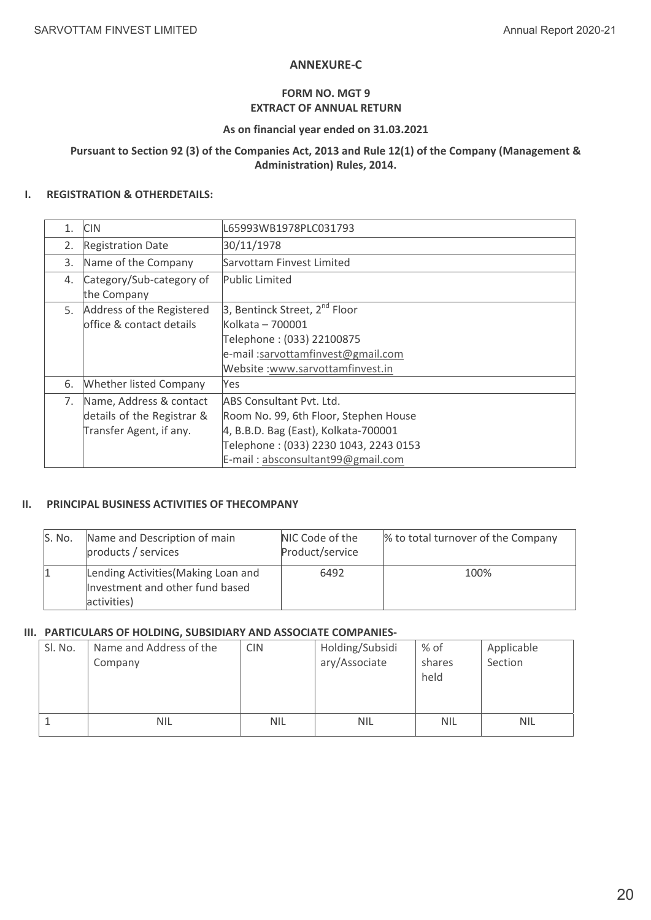#### **ANNEXURE-C**

#### **FORM NO. MGT 9 EXTRACT OF ANNUAL RETURN**

#### **As on financial year ended on 31.03.2021**

#### Pursuant to Section 92 (3) of the Companies Act, 2013 and Rule 12(1) of the Company (Management & **Administration) Rules, 2014.**

#### *I.* REGISTRATION & OTHERDETAILS:

| 1. | <b>CIN</b>                                                                       | L65993WB1978PLC031793                                                                                                                                                                          |
|----|----------------------------------------------------------------------------------|------------------------------------------------------------------------------------------------------------------------------------------------------------------------------------------------|
| 2. | <b>Registration Date</b>                                                         | 30/11/1978                                                                                                                                                                                     |
| 3. | Name of the Company                                                              | Sarvottam Finvest Limited                                                                                                                                                                      |
| 4. | Category/Sub-category of<br>the Company                                          | <b>Public Limited</b>                                                                                                                                                                          |
| 5. | Address of the Registered<br>loffice & contact details                           | 3, Bentinck Street, 2 <sup>nd</sup> Floor<br>Kolkata - 700001<br>Telephone: (033) 22100875<br>e-mail:sarvottamfinvest@gmail.com<br>Website: www.sarvottamfinvest.in                            |
| 6. | Whether listed Company                                                           | lYes                                                                                                                                                                                           |
| 7. | Name, Address & contact<br>details of the Registrar &<br>Transfer Agent, if any. | <b>ABS Consultant Pyt. Ltd.</b><br>Room No. 99, 6th Floor, Stephen House<br>4, B.B.D. Bag (East), Kolkata-700001<br>Telephone: (033) 2230 1043, 2243 0153<br>E-mail: absconsultant99@gmail.com |

#### **II. PRINCIPAL BUSINESS ACTIVITIES OF THECOMPANY**

| S. No. | Name and Description of main<br>products / services                                   | NIC Code of the<br>Product/service | % to total turnover of the Company |
|--------|---------------------------------------------------------------------------------------|------------------------------------|------------------------------------|
|        | Lending Activities (Making Loan and<br>Investment and other fund based<br>activities) | 6492                               | 100%                               |

#### **III. PARTICULARS OF HOLDING, SUBSIDIARY AND ASSOCIATE COMPANIES-**

| SI. No. | Name and Address of the<br>Company | <b>CIN</b> | Holding/Subsidi<br>ary/Associate | % of<br>shares<br>held | Applicable<br>Section |
|---------|------------------------------------|------------|----------------------------------|------------------------|-----------------------|
|         | <b>NIL</b>                         | <b>NIL</b> | <b>NIL</b>                       | <b>NIL</b>             | <b>NIL</b>            |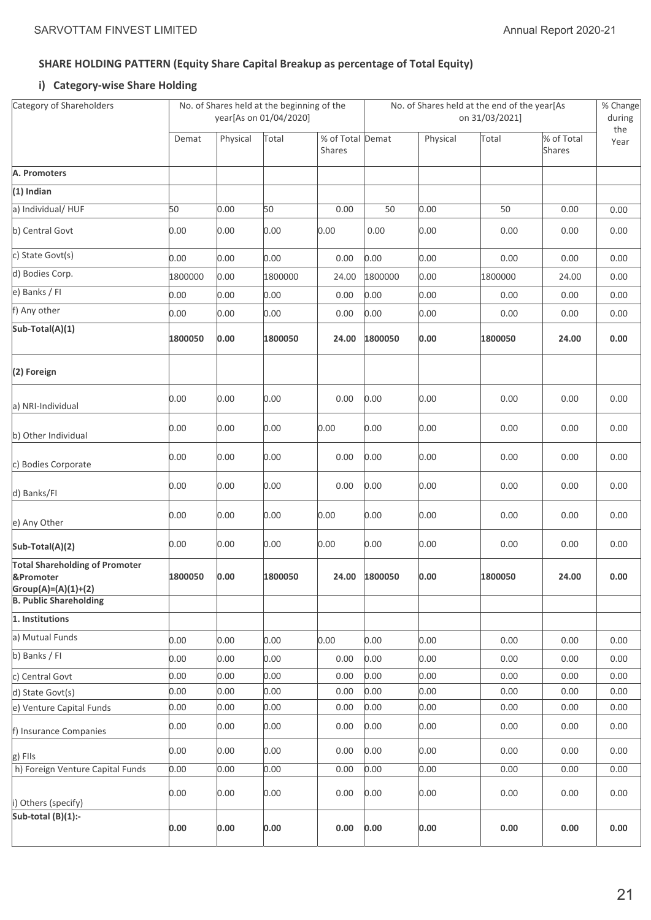#### SHARE HOLDING PATTERN (Equity Share Capital Breakup as percentage of Total Equity)

#### i) Category-wise Share Holding

| Category of Shareholders                                                                                   | No. of Shares held at the beginning of the<br>year[As on 01/04/2020] |          |         |                            | No. of Shares held at the end of the year[As<br>on 31/03/2021] |          |         |                             | % Change<br>during<br>the |
|------------------------------------------------------------------------------------------------------------|----------------------------------------------------------------------|----------|---------|----------------------------|----------------------------------------------------------------|----------|---------|-----------------------------|---------------------------|
|                                                                                                            | Demat                                                                | Physical | Total   | % of Total Demat<br>Shares |                                                                | Physical | Total   | % of Total<br><b>Shares</b> | Year                      |
| A. Promoters                                                                                               |                                                                      |          |         |                            |                                                                |          |         |                             |                           |
| $(1)$ Indian                                                                                               |                                                                      |          |         |                            |                                                                |          |         |                             |                           |
| a) Individual/HUF                                                                                          | 50                                                                   | 0.00     | 50      | 0.00                       | 50                                                             | 0.00     | 50      | 0.00                        | 0.00                      |
| b) Central Govt                                                                                            | 0.00                                                                 | 0.00     | 0.00    | 0.00                       | 0.00                                                           | 0.00     | 0.00    | 0.00                        | 0.00                      |
| c) State Govt(s)                                                                                           | 0.00                                                                 | 0.00     | 0.00    | 0.00                       | 0.00                                                           | 0.00     | 0.00    | 0.00                        | 0.00                      |
| d) Bodies Corp.                                                                                            | 1800000                                                              | 0.00     | 1800000 | 24.00                      | 1800000                                                        | 0.00     | 1800000 | 24.00                       | 0.00                      |
| e) Banks / FI                                                                                              | 0.00                                                                 | 0.00     | 0.00    | 0.00                       | 0.00                                                           | 0.00     | 0.00    | 0.00                        | 0.00                      |
| f) Any other                                                                                               | 0.00                                                                 | 0.00     | 0.00    | 0.00                       | 0.00                                                           | 0.00     | 0.00    | 0.00                        | 0.00                      |
| Sub-Total(A)(1)                                                                                            | 1800050                                                              | 0.00     | 1800050 | 24.00                      | 1800050                                                        | 0.00     | 1800050 | 24.00                       | 0.00                      |
| (2) Foreign                                                                                                |                                                                      |          |         |                            |                                                                |          |         |                             |                           |
| a) NRI-Individual                                                                                          | 0.00                                                                 | 0.00     | 0.00    | 0.00                       | 0.00                                                           | 0.00     | 0.00    | 0.00                        | 0.00                      |
| b) Other Individual                                                                                        | 0.00                                                                 | 0.00     | 0.00    | 0.00                       | 0.00                                                           | 0.00     | 0.00    | 0.00                        | 0.00                      |
| c) Bodies Corporate                                                                                        | 0.00                                                                 | 0.00     | 0.00    | 0.00                       | 0.00                                                           | 0.00     | 0.00    | 0.00                        | 0.00                      |
| d) Banks/FI                                                                                                | 0.00                                                                 | 0.00     | 0.00    | 0.00                       | 0.00                                                           | 0.00     | 0.00    | 0.00                        | 0.00                      |
| e) Any Other                                                                                               | 0.00                                                                 | 0.00     | 0.00    | 0.00                       | 0.00                                                           | 0.00     | 0.00    | 0.00                        | 0.00                      |
| Sub-Total(A)(2)                                                                                            | 0.00                                                                 | 0.00     | 0.00    | 0.00                       | 0.00                                                           | 0.00     | 0.00    | 0.00                        | 0.00                      |
| <b>Total Shareholding of Promoter</b><br>&Promoter<br>Group(A)=(A)(1)+(2)<br><b>B. Public Shareholding</b> | 1800050                                                              | 0.00     | 1800050 | 24.00                      | 1800050                                                        | 0.00     | 1800050 | 24.00                       | 0.00                      |
| 1. Institutions                                                                                            |                                                                      |          |         |                            |                                                                |          |         |                             |                           |
| a) Mutual Funds                                                                                            | 0.00                                                                 | 0.00     | 0.00    | 0.00                       | 0.00                                                           | 0.00     | 0.00    | 0.00                        | 0.00                      |
| b) Banks / FI                                                                                              | 0.00                                                                 | 0.00     | 0.00    | 0.00                       | 0.00                                                           | 0.00     | 0.00    | 0.00                        | 0.00                      |
| c) Central Govt                                                                                            | 0.00                                                                 | 0.00     | 0.00    | 0.00                       | 0.00                                                           | 0.00     | 0.00    | 0.00                        | 0.00                      |
| d) State Govt(s)                                                                                           | 0.00                                                                 | 0.00     | 0.00    | 0.00                       | 0.00                                                           | 0.00     | 0.00    | 0.00                        | 0.00                      |
| e) Venture Capital Funds                                                                                   | 0.00                                                                 | 0.00     | 0.00    | 0.00                       | 0.00                                                           | 0.00     | 0.00    | 0.00                        | 0.00                      |
| f) Insurance Companies                                                                                     | 0.00                                                                 | 0.00     | 0.00    | 0.00                       | 0.00                                                           | 0.00     | 0.00    | 0.00                        | 0.00                      |
| g) FIIs                                                                                                    | 0.00                                                                 | 0.00     | 0.00    | 0.00                       | 0.00                                                           | 0.00     | 0.00    | 0.00                        | 0.00                      |
| h) Foreign Venture Capital Funds                                                                           | 0.00                                                                 | 0.00     | 0.00    | 0.00                       | 0.00                                                           | 0.00     | 0.00    | 0.00                        | 0.00                      |
| i) Others (specify)                                                                                        | 0.00                                                                 | 0.00     | 0.00    | 0.00                       | 0.00                                                           | 0.00     | 0.00    | 0.00                        | 0.00                      |
| Sub-total (B)(1):-                                                                                         | 0.00                                                                 | 0.00     | 0.00    | 0.00                       | 0.00                                                           | 0.00     | 0.00    | 0.00                        | 0.00                      |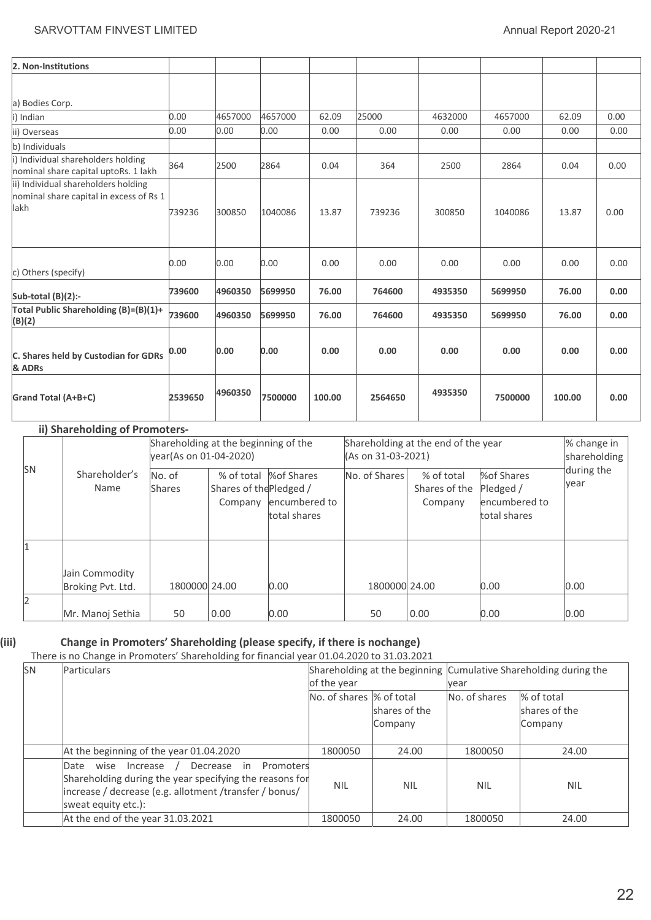#### SARVOTTAM FINVEST LIMITED **Annual Report 2020-21** Annual Report 2020-21

| 2. Non-Institutions                                                                    |         |         |         |        |         |         |         |        |      |
|----------------------------------------------------------------------------------------|---------|---------|---------|--------|---------|---------|---------|--------|------|
|                                                                                        |         |         |         |        |         |         |         |        |      |
| a) Bodies Corp.                                                                        |         |         |         |        |         |         |         |        |      |
| i) Indian                                                                              | 0.00    | 4657000 | 4657000 | 62.09  | 25000   | 4632000 | 4657000 | 62.09  | 0.00 |
| ii) Overseas                                                                           | 0.00    | 0.00    | 0.00    | 0.00   | 0.00    | 0.00    | 0.00    | 0.00   | 0.00 |
| b) Individuals                                                                         |         |         |         |        |         |         |         |        |      |
| i) Individual shareholders holding<br>nominal share capital uptoRs. 1 lakh             | 364     | 2500    | 2864    | 0.04   | 364     | 2500    | 2864    | 0.04   | 0.00 |
| ii) Individual shareholders holding<br>nominal share capital in excess of Rs 1<br>lakh | 739236  | 300850  | 1040086 | 13.87  | 739236  | 300850  | 1040086 | 13.87  | 0.00 |
| c) Others (specify)                                                                    | 0.00    | 0.00    | 0.00    | 0.00   | 0.00    | 0.00    | 0.00    | 0.00   | 0.00 |
| Sub-total (B)(2):-                                                                     | 739600  | 4960350 | 5699950 | 76.00  | 764600  | 4935350 | 5699950 | 76.00  | 0.00 |
| Total Public Shareholding (B)=(B)(1)+<br>(B)(2)                                        | 739600  | 4960350 | 5699950 | 76.00  | 764600  | 4935350 | 5699950 | 76.00  | 0.00 |
| C. Shares held by Custodian for GDRs<br>& ADRs                                         | 0.00    | 0.00    | 0.00    | 0.00   | 0.00    | 0.00    | 0.00    | 0.00   | 0.00 |
| Grand Total (A+B+C)                                                                    | 2539650 | 4960350 | 7500000 | 100.00 | 2564650 | 4935350 | 7500000 | 100.00 | 0.00 |

#### **ii) Shareholding of Promoters-**

|           |                              | Shareholding at the beginning of the<br>year(As on 01-04-2020) |                                    | Shareholding at the end of the year<br>(As on 31-03-2021) |               |                                        | % change in<br>shareholding                               |                    |
|-----------|------------------------------|----------------------------------------------------------------|------------------------------------|-----------------------------------------------------------|---------------|----------------------------------------|-----------------------------------------------------------|--------------------|
| <b>SN</b> | Shareholder's<br><b>Name</b> | No. of<br><b>Shares</b>                                        | Shares of the Pledged /<br>Company | % of total  % of Shares<br>encumbered to<br>total shares  | No. of Shares | % of total<br>Shares of the<br>Company | %of Shares<br>Pledged /<br>lencumbered to<br>total shares | during the<br>year |
|           | Jain Commodity               |                                                                |                                    |                                                           |               |                                        |                                                           |                    |
|           | Broking Pvt. Ltd.            | 1800000 24.00                                                  |                                    | 0.00                                                      | 1800000 24.00 |                                        | 0.00                                                      | 0.00               |
|           | Mr. Manoj Sethia             | 50                                                             | 0.00                               | 0.00                                                      | 50            | 0.00                                   | 0.00                                                      | 0.00               |

(iii) Change in Promoters' Shareholding (please specify, if there is nochange)

There is no Change in Promoters' Shareholding for financial year 01.04.2020 to 31.03.2021

| <b>SN</b> | Particulars                                             |                           |               | Shareholding at the beginning Cumulative Shareholding during the |               |  |
|-----------|---------------------------------------------------------|---------------------------|---------------|------------------------------------------------------------------|---------------|--|
|           |                                                         | of the year               |               | vear                                                             |               |  |
|           |                                                         | No. of shares  % of total |               | No. of shares                                                    | % of total    |  |
|           |                                                         |                           | shares of the |                                                                  | shares of the |  |
|           |                                                         |                           | Company       |                                                                  | Company       |  |
|           |                                                         |                           |               |                                                                  |               |  |
|           | At the beginning of the year 01.04.2020                 | 1800050                   | 24.00         | 1800050                                                          | 24.00         |  |
|           | Decrease in Promoters<br>wise<br>Increase<br>Date       |                           |               |                                                                  |               |  |
|           | Shareholding during the year specifying the reasons for | <b>NIL</b>                | <b>NIL</b>    | <b>NIL</b>                                                       | <b>NIL</b>    |  |
|           | increase / decrease (e.g. allotment /transfer / bonus/  |                           |               |                                                                  |               |  |
|           | sweat equity etc.):                                     |                           |               |                                                                  |               |  |
|           | At the end of the year 31.03.2021                       | 1800050                   | 24.00         | 1800050                                                          | 24.00         |  |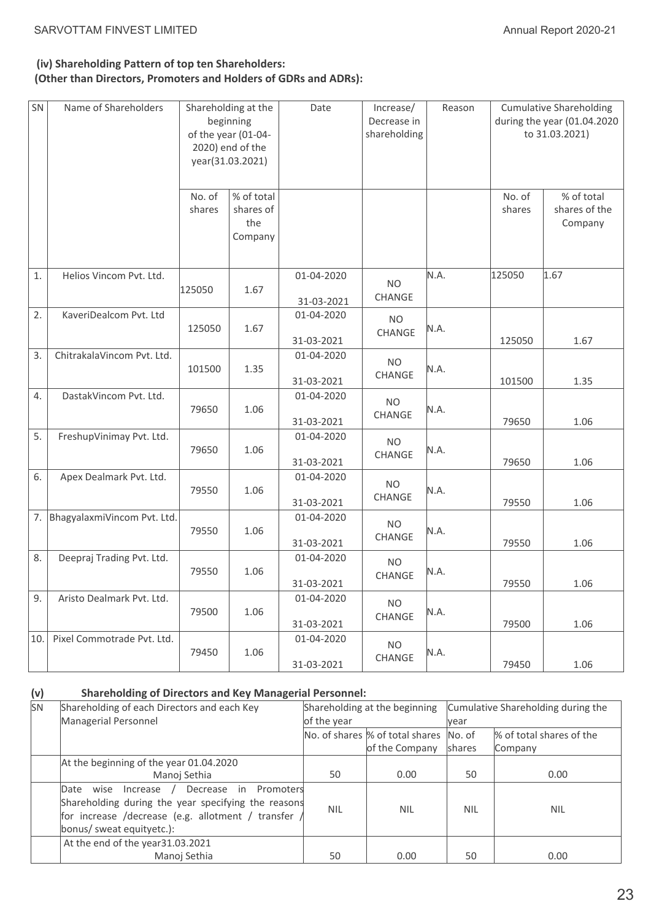#### (iv) Shareholding Pattern of top ten Shareholders: (Other than Directors, Promoters and Holders of GDRs and ADRs):

| SN  | Name of Shareholders        | No. of<br>shares | Shareholding at the<br>beginning<br>of the year (01-04-<br>2020) end of the<br>year(31.03.2021)<br>% of total<br>shares of<br>the<br>Company | Date                     | Increase/<br>Decrease in<br>shareholding | Reason | No. of<br>shares | <b>Cumulative Shareholding</b><br>during the year (01.04.2020<br>to 31.03.2021)<br>% of total<br>shares of the<br>Company |
|-----|-----------------------------|------------------|----------------------------------------------------------------------------------------------------------------------------------------------|--------------------------|------------------------------------------|--------|------------------|---------------------------------------------------------------------------------------------------------------------------|
| 1.  | Helios Vincom Pvt. Ltd.     | 125050           | 1.67                                                                                                                                         | 01-04-2020<br>31-03-2021 | NO.<br>CHANGE                            | N.A.   | 125050           | 1.67                                                                                                                      |
| 2.  | KaveriDealcom Pvt. Ltd      | 125050           | 1.67                                                                                                                                         | 01-04-2020<br>31-03-2021 | <b>NO</b><br>CHANGE                      | N.A.   | 125050           | 1.67                                                                                                                      |
| 3.  | ChitrakalaVincom Pvt. Ltd.  | 101500           | 1.35                                                                                                                                         | 01-04-2020<br>31-03-2021 | <b>NO</b><br>CHANGE                      | N.A.   | 101500           | 1.35                                                                                                                      |
| 4.  | DastakVincom Pvt. Ltd.      | 79650            | 1.06                                                                                                                                         | 01-04-2020<br>31-03-2021 | <b>NO</b><br><b>CHANGE</b>               | N.A.   | 79650            | 1.06                                                                                                                      |
| 5.  | FreshupVinimay Pvt. Ltd.    | 79650            | 1.06                                                                                                                                         | 01-04-2020<br>31-03-2021 | <b>NO</b><br>CHANGE                      | N.A.   | 79650            | 1.06                                                                                                                      |
| 6.  | Apex Dealmark Pvt. Ltd.     | 79550            | 1.06                                                                                                                                         | 01-04-2020<br>31-03-2021 | <b>NO</b><br>CHANGE                      | N.A.   | 79550            | 1.06                                                                                                                      |
| 7.  | BhagyalaxmiVincom Pvt. Ltd. | 79550            | 1.06                                                                                                                                         | 01-04-2020<br>31-03-2021 | <b>NO</b><br>CHANGE                      | N.A.   | 79550            | 1.06                                                                                                                      |
| 8.  | Deepraj Trading Pvt. Ltd.   | 79550            | 1.06                                                                                                                                         | 01-04-2020<br>31-03-2021 | NO.<br>CHANGE                            | N.A.   | 79550            | 1.06                                                                                                                      |
| 9.  | Aristo Dealmark Pvt. Ltd.   | 79500            | 1.06                                                                                                                                         | 01-04-2020<br>31-03-2021 | NO.<br>CHANGE                            | N.A.   | 79500            | 1.06                                                                                                                      |
| 10. | Pixel Commotrade Pvt. Ltd.  | 79450            | 1.06                                                                                                                                         | 01-04-2020<br>31-03-2021 | <b>NO</b><br>CHANGE                      | N.A.   | 79450            | 1.06                                                                                                                      |

#### **(v)** Shareholding of Directors and Key Managerial Personnel:

| <b>SN</b> | Shareholding of each Directors and each Key         |             | Shareholding at the beginning   | Cumulative Shareholding during the |                          |  |
|-----------|-----------------------------------------------------|-------------|---------------------------------|------------------------------------|--------------------------|--|
|           | Managerial Personnel                                | of the year | vear                            |                                    |                          |  |
|           |                                                     |             | No. of shares % of total shares | No. of                             | % of total shares of the |  |
|           |                                                     |             | of the Company                  | shares                             | Company                  |  |
|           | At the beginning of the year 01.04.2020             |             |                                 |                                    |                          |  |
|           | Manoj Sethia                                        | 50          | 0.00                            | 50                                 | 0.00                     |  |
|           | Decrease in<br>Date wise<br>Promoters<br>Increase   |             |                                 |                                    |                          |  |
|           | Shareholding during the year specifying the reasons | <b>NIL</b>  | <b>NIL</b>                      | <b>NIL</b>                         | <b>NIL</b>               |  |
|           | for increase /decrease (e.g. allotment / transfer / |             |                                 |                                    |                          |  |
|           | bonus/ sweat equityetc.):                           |             |                                 |                                    |                          |  |
|           | At the end of the year31.03.2021                    |             |                                 |                                    |                          |  |
|           | Manoj Sethia                                        | 50          | 0.00                            | 50                                 | 0.00                     |  |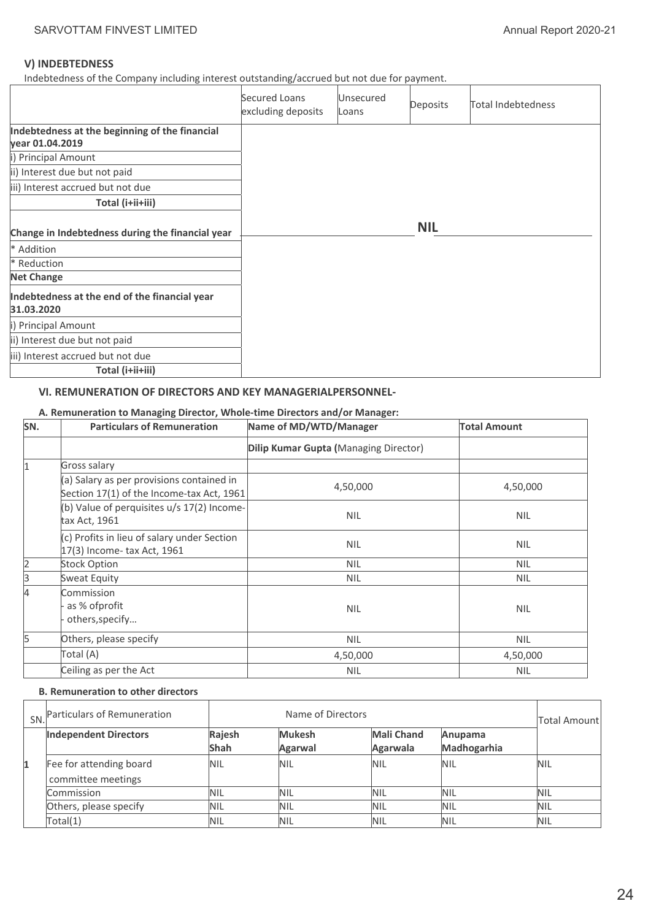#### **V) INDEBTEDNESS**

Indebtedness of the Company including interest outstanding/accrued but not due for payment.

|                                                                   | Secured Loans<br>excluding deposits | Unsecured<br>Loans | Deposits   | <b>Total Indebtedness</b> |
|-------------------------------------------------------------------|-------------------------------------|--------------------|------------|---------------------------|
| Indebtedness at the beginning of the financial<br>vear 01.04.2019 |                                     |                    |            |                           |
| i) Principal Amount                                               |                                     |                    |            |                           |
| ii) Interest due but not paid                                     |                                     |                    |            |                           |
| iii) Interest accrued but not due                                 |                                     |                    |            |                           |
| Total (i+ii+iii)                                                  |                                     |                    |            |                           |
| Change in Indebtedness during the financial year                  |                                     |                    | <b>NIL</b> |                           |
| * Addition                                                        |                                     |                    |            |                           |
| * Reduction                                                       |                                     |                    |            |                           |
| <b>Net Change</b>                                                 |                                     |                    |            |                           |
| Indebtedness at the end of the financial year<br>31.03.2020       |                                     |                    |            |                           |
| i) Principal Amount                                               |                                     |                    |            |                           |
| ii) Interest due but not paid                                     |                                     |                    |            |                           |
| iii) Interest accrued but not due                                 |                                     |                    |            |                           |
| Total (i+ii+iii)                                                  |                                     |                    |            |                           |

#### **VI. REMUNERATION OF DIRECTORS AND KEY MANAGERIALPERSONNEL-**

#### A. Remuneration to Managing Director, Whole-time Directors and/or Manager:

| SN. | <b>Particulars of Remuneration</b>                                                     | Name of MD/WTD/Manager                       | <b>Total Amount</b> |
|-----|----------------------------------------------------------------------------------------|----------------------------------------------|---------------------|
|     |                                                                                        | <b>Dilip Kumar Gupta (Managing Director)</b> |                     |
| 1   | Gross salary                                                                           |                                              |                     |
|     | (a) Salary as per provisions contained in<br>Section 17(1) of the Income-tax Act, 1961 | 4,50,000                                     | 4,50,000            |
|     | (b) Value of perquisites $u/s$ 17(2) Income-<br>tax Act, 1961                          | <b>NIL</b>                                   | <b>NIL</b>          |
|     | (c) Profits in lieu of salary under Section<br>17(3) Income- tax Act, 1961             | <b>NIL</b>                                   | <b>NIL</b>          |
| 2   | <b>Stock Option</b>                                                                    | <b>NIL</b>                                   | <b>NIL</b>          |
| 3   | <b>Sweat Equity</b>                                                                    | <b>NIL</b>                                   | <b>NIL</b>          |
| 4   | Commission<br>as % of profit<br>others, specify                                        | <b>NIL</b>                                   | <b>NIL</b>          |
| 15  | Others, please specify                                                                 | <b>NIL</b>                                   | <b>NIL</b>          |
|     | Total (A)                                                                              | 4,50,000                                     | 4,50,000            |
|     | Ceiling as per the Act                                                                 | <b>NIL</b>                                   | <b>NIL</b>          |

#### **B. Remuneration to other directors**

| <b>SN</b> | Particulars of Remuneration  |             | Name of Directors |                   |             |     |  |
|-----------|------------------------------|-------------|-------------------|-------------------|-------------|-----|--|
|           | <b>Independent Directors</b> | Rajesh      | <b>Mukesh</b>     | <b>Mali Chand</b> | Anupama     |     |  |
|           |                              | <b>Shah</b> | Agarwal           | Agarwala          | Madhogarhia |     |  |
|           | Fee for attending board      | NIL         | <b>NIL</b>        | <b>NIL</b>        | <b>NIL</b>  | NIL |  |
|           | committee meetings           |             |                   |                   |             |     |  |
|           | Commission                   | NIL         | <b>NIL</b>        | <b>NIL</b>        | <b>NIL</b>  | NIL |  |
|           | Others, please specify       | <b>NIL</b>  | <b>NIL</b>        | <b>NIL</b>        | <b>NIL</b>  | NIL |  |
|           | Total(1)                     | NIL         | <b>NIL</b>        | <b>NIL</b>        | <b>NIL</b>  | NIL |  |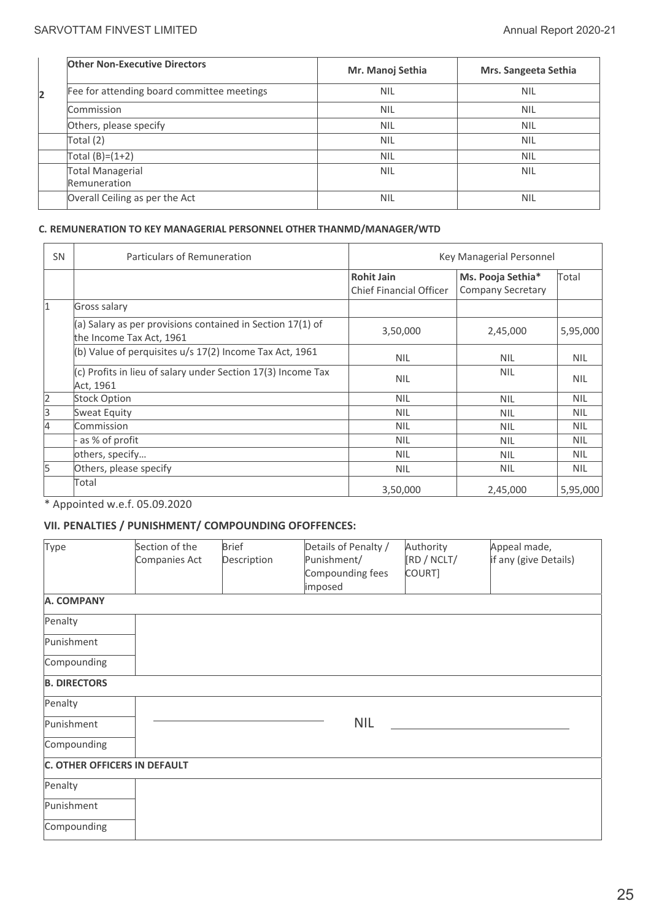|   | <b>Other Non-Executive Directors</b>       | Mr. Manoj Sethia | Mrs. Sangeeta Sethia |  |
|---|--------------------------------------------|------------------|----------------------|--|
| 2 | Fee for attending board committee meetings | NIL              | <b>NIL</b>           |  |
|   | Commission                                 | <b>NIL</b>       | <b>NIL</b>           |  |
|   | Others, please specify                     | <b>NIL</b>       | <b>NIL</b>           |  |
|   | Total $(2)$                                | <b>NIL</b>       | <b>NIL</b>           |  |
|   | Total $(B)=(1+2)$                          | <b>NIL</b>       | <b>NIL</b>           |  |
|   | <b>Total Managerial</b><br>Remuneration    | <b>NIL</b>       | <b>NIL</b>           |  |
|   | Overall Ceiling as per the Act             | NIL              | <b>NIL</b>           |  |

#### C. REMUNERATION TO KEY MANAGERIAL PERSONNEL OTHER THANMD/MANAGER/WTD

| <b>SN</b>      | Particulars of Remuneration                                                            | Key Managerial Personnel       |                          |            |  |
|----------------|----------------------------------------------------------------------------------------|--------------------------------|--------------------------|------------|--|
|                |                                                                                        | <b>Rohit Jain</b>              | Ms. Pooja Sethia*        | Total      |  |
|                |                                                                                        | <b>Chief Financial Officer</b> | <b>Company Secretary</b> |            |  |
| I1             | Gross salary                                                                           |                                |                          |            |  |
|                | (a) Salary as per provisions contained in Section 17(1) of<br>the Income Tax Act, 1961 | 3,50,000                       | 2,45,000                 | 5,95,000   |  |
|                | (b) Value of perquisites u/s 17(2) Income Tax Act, 1961                                | <b>NIL</b>                     | <b>NIL</b>               | <b>NIL</b> |  |
|                | (c) Profits in lieu of salary under Section 17(3) Income Tax<br>Act, 1961              | <b>NIL</b>                     | <b>NIL</b>               | <b>NIL</b> |  |
| 2              | <b>Stock Option</b>                                                                    | <b>NIL</b>                     | <b>NIL</b>               | <b>NIL</b> |  |
| $\overline{3}$ | Sweat Equity                                                                           | <b>NIL</b>                     | <b>NIL</b>               | <b>NIL</b> |  |
| 4              | Commission                                                                             | <b>NIL</b>                     | <b>NIL</b>               | <b>NIL</b> |  |
|                | as % of profit                                                                         | <b>NIL</b>                     | <b>NIL</b>               | <b>NIL</b> |  |
|                | others, specify                                                                        | <b>NIL</b>                     | <b>NIL</b>               | <b>NIL</b> |  |
| 5              | Others, please specify                                                                 | <b>NIL</b>                     | <b>NIL</b>               | <b>NIL</b> |  |
|                | Total                                                                                  | 3,50,000                       | 2,45,000                 | 5,95,000   |  |

\* Appointed w.e.f. 05.09.2020

#### **VII. PENALTIES / PUNISHMENT/ COMPOUNDING OFOFFENCES:**

| Type                         | Section of the<br>Companies Act | <b>Brief</b><br>Description | Details of Penalty /<br>Punishment/<br>Compounding fees<br>imposed | Authority<br>[RD / NCLT/<br>COURT] | Appeal made,<br>if any (give Details) |
|------------------------------|---------------------------------|-----------------------------|--------------------------------------------------------------------|------------------------------------|---------------------------------------|
| <b>A. COMPANY</b>            |                                 |                             |                                                                    |                                    |                                       |
| Penalty                      |                                 |                             |                                                                    |                                    |                                       |
| Punishment                   |                                 |                             |                                                                    |                                    |                                       |
| Compounding                  |                                 |                             |                                                                    |                                    |                                       |
| <b>B. DIRECTORS</b>          |                                 |                             |                                                                    |                                    |                                       |
| Penalty                      |                                 |                             |                                                                    |                                    |                                       |
| Punishment                   |                                 |                             | <b>NIL</b>                                                         |                                    |                                       |
| Compounding                  |                                 |                             |                                                                    |                                    |                                       |
| C. OTHER OFFICERS IN DEFAULT |                                 |                             |                                                                    |                                    |                                       |
| Penalty                      |                                 |                             |                                                                    |                                    |                                       |
| Punishment                   |                                 |                             |                                                                    |                                    |                                       |
| Compounding                  |                                 |                             |                                                                    |                                    |                                       |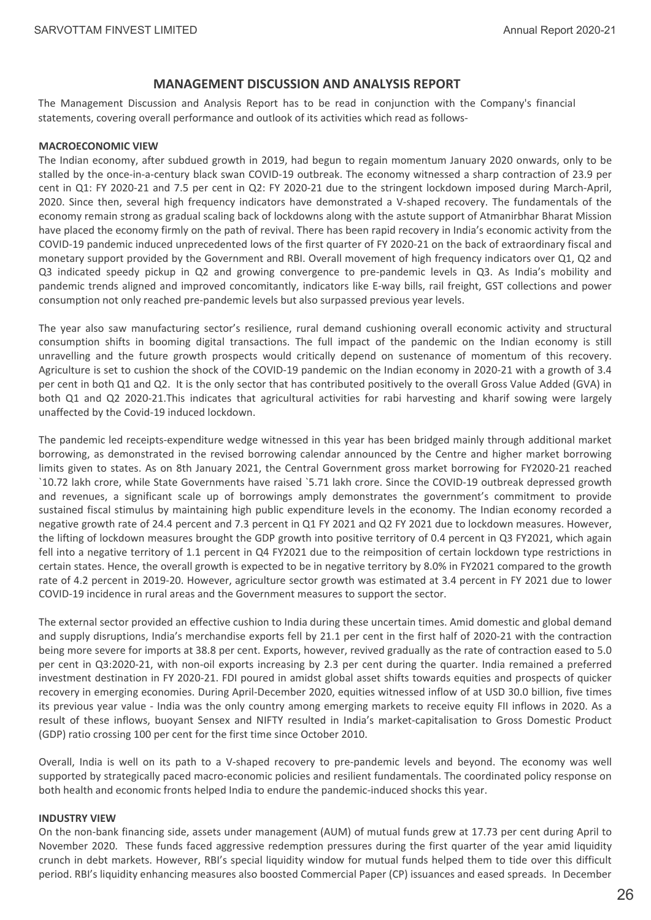#### **MANAGEMENT DISCUSSION AND ANALYSIS REPORT**

The Management Discussion and Analysis Report has to be read in conjunction with the Company's financial statements, covering overall performance and outlook of its activities which read as follows-

#### **MACROECONOMIC VIEW**

The Indian economy, after subdued growth in 2019, had begun to regain momentum January 2020 onwards, only to be stalled by the once-in-a-century black swan COVID-19 outbreak. The economy witnessed a sharp contraction of 23.9 per cent in Q1: FY 2020-21 and 7.5 per cent in Q2: FY 2020-21 due to the stringent lockdown imposed during March-April, 2020. Since then, several high frequency indicators have demonstrated a V-shaped recovery. The fundamentals of the economy remain strong as gradual scaling back of lockdowns along with the astute support of Atmanirbhar Bharat Mission have placed the economy firmly on the path of revival. There has been rapid recovery in India's economic activity from the COVID-19 pandemic induced unprecedented lows of the first quarter of FY 2020-21 on the back of extraordinary fiscal and monetary support provided by the Government and RBI. Overall movement of high frequency indicators over Q1, Q2 and Q3 indicated speedy pickup in Q2 and growing convergence to pre-pandemic levels in Q3. As India's mobility and pandemic trends aligned and improved concomitantly, indicators like E-way bills, rail freight, GST collections and power consumption not only reached pre-pandemic levels but also surpassed previous year levels.

The year also saw manufacturing sector's resilience, rural demand cushioning overall economic activity and structural consumption shifts in booming digital transactions. The full impact of the pandemic on the Indian economy is still unravelling and the future growth prospects would critically depend on sustenance of momentum of this recovery. Agriculture is set to cushion the shock of the COVID-19 pandemic on the Indian economy in 2020-21 with a growth of 3.4 per cent in both Q1 and Q2. It is the only sector that has contributed positively to the overall Gross Value Added (GVA) in both Q1 and Q2 2020-21. This indicates that agricultural activities for rabi harvesting and kharif sowing were largely unaffected by the Covid-19 induced lockdown.

The pandemic led receipts-expenditure wedge witnessed in this year has been bridged mainly through additional market borrowing, as demonstrated in the revised borrowing calendar announced by the Centre and higher market borrowing limits given to states. As on 8th January 2021, the Central Government gross market borrowing for FY2020-21 reached `10.72 lakh crore, while State Governments have raised `5.71 lakh crore. Since the COVID-19 outbreak depressed growth and revenues, a significant scale up of borrowings amply demonstrates the government's commitment to provide sustained fiscal stimulus by maintaining high public expenditure levels in the economy. The Indian economy recorded a negative growth rate of 24.4 percent and 7.3 percent in Q1 FY 2021 and Q2 FY 2021 due to lockdown measures. However, the lifting of lockdown measures brought the GDP growth into positive territory of 0.4 percent in Q3 FY2021, which again fell into a negative territory of 1.1 percent in Q4 FY2021 due to the reimposition of certain lockdown type restrictions in certain states. Hence, the overall growth is expected to be in negative territory by 8.0% in FY2021 compared to the growth rate of 4.2 percent in 2019-20. However, agriculture sector growth was estimated at 3.4 percent in FY 2021 due to lower COVID-19 incidence in rural areas and the Government measures to support the sector.

The external sector provided an effective cushion to India during these uncertain times. Amid domestic and global demand and supply disruptions, India's merchandise exports fell by 21.1 per cent in the first half of 2020-21 with the contraction being more severe for imports at 38.8 per cent. Exports, however, revived gradually as the rate of contraction eased to 5.0 per cent in Q3:2020-21, with non-oil exports increasing by 2.3 per cent during the quarter. India remained a preferred investment destination in FY 2020-21. FDI poured in amidst global asset shifts towards equities and prospects of quicker recovery in emerging economies. During April-December 2020, equities witnessed inflow of at USD 30.0 billion, five times its previous year value - India was the only country among emerging markets to receive equity FII inflows in 2020. As a result of these inflows, buoyant Sensex and NIFTY resulted in India's market-capitalisation to Gross Domestic Product (GDP) ratio crossing 100 per cent for the first time since October 2010.

Overall, India is well on its path to a V-shaped recovery to pre-pandemic levels and beyond. The economy was well supported by strategically paced macro-economic policies and resilient fundamentals. The coordinated policy response on both health and economic fronts helped India to endure the pandemic-induced shocks this year.

#### **INDUSTRY VIEW**

On the non-bank financing side, assets under management (AUM) of mutual funds grew at 17.73 per cent during April to November 2020. These funds faced aggressive redemption pressures during the first quarter of the year amid liquidity crunch in debt markets. However, RBI's special liquidity window for mutual funds helped them to tide over this difficult period. RBI's liquidity enhancing measures also boosted Commercial Paper (CP) issuances and eased spreads. In December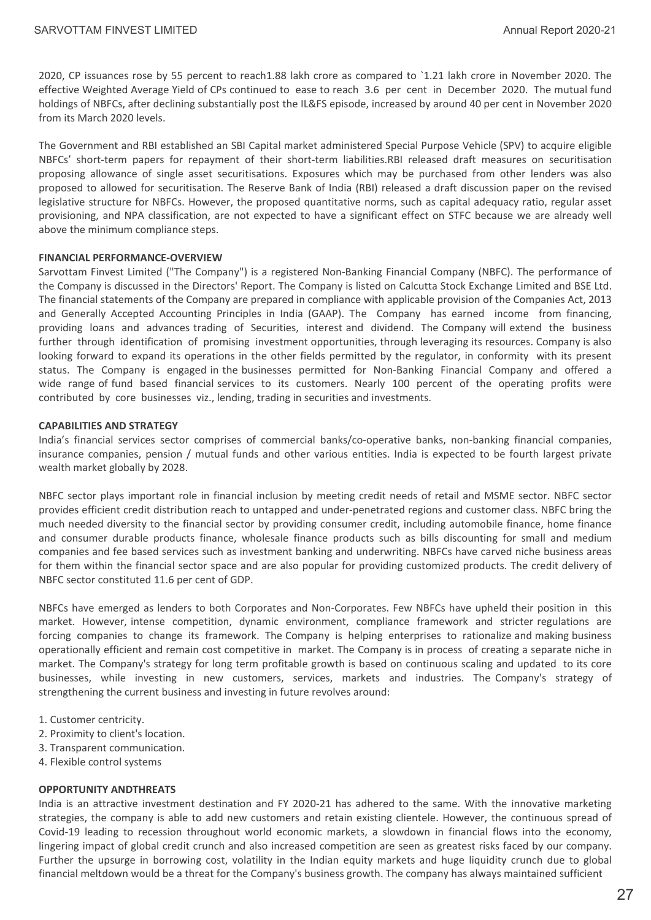2020, CP issuances rose by 55 percent to reach1.88 lakh crore as compared to `1.21 lakh crore in November 2020. The effective Weighted Average Yield of CPs continued to ease to reach 3.6 per cent in December 2020. The mutual fund holdings of NBFCs, after declining substantially post the IL&FS episode, increased by around 40 per cent in November 2020 from its March 2020 levels

The Government and RBI established an SBI Capital market administered Special Purpose Vehicle (SPV) to acquire eligible NBFCs' short-term papers for repayment of their short-term liabilities.RBI released draft measures on securitisation proposing allowance of single asset securitisations. Exposures which may be purchased from other lenders was also proposed to allowed for securitisation. The Reserve Bank of India (RBI) released a draft discussion paper on the revised legislative structure for NBFCs. However, the proposed quantitative norms, such as capital adequacy ratio, regular asset provisioning, and NPA classification, are not expected to have a significant effect on STFC because we are already well above the minimum compliance steps.

#### **FINANCIAL PERFORMANCE-OVERVIEW**

Sarvottam Finvest Limited ("The Company") is a registered Non-Banking Financial Company (NBFC). The performance of the Company is discussed in the Directors' Report. The Company is listed on Calcutta Stock Exchange Limited and BSE Ltd. The financial statements of the Company are prepared in compliance with applicable provision of the Companies Act, 2013 and Generally Accepted Accounting Principles in India (GAAP). The Company has earned income from financing, providing loans and advances trading of Securities, interest and dividend. The Company will extend the business further through identification of promising investment opportunities, through leveraging its resources. Company is also looking forward to expand its operations in the other fields permitted by the regulator, in conformity with its present status. The Company is engaged in the businesses permitted for Non-Banking Financial Company and offered a wide range of fund based financial services to its customers. Nearly 100 percent of the operating profits were contributed by core businesses viz., lending, trading in securities and investments.

#### **CAPABILITIES AND STRATEGY**

India's financial services sector comprises of commercial banks/co-operative banks, non-banking financial companies, insurance companies, pension / mutual funds and other various entities. India is expected to be fourth largest private wealth market globally by 2028.

NBFC sector plays important role in financial inclusion by meeting credit needs of retail and MSME sector. NBFC sector provides efficient credit distribution reach to untapped and under-penetrated regions and customer class. NBFC bring the much needed diversity to the financial sector by providing consumer credit, including automobile finance, home finance and consumer durable products finance, wholesale finance products such as bills discounting for small and medium companies and fee based services such as investment banking and underwriting. NBFCs have carved niche business areas for them within the financial sector space and are also popular for providing customized products. The credit delivery of NBFC sector constituted 11.6 per cent of GDP.

NBFCs have emerged as lenders to both Corporates and Non-Corporates. Few NBFCs have upheld their position in this market. However, intense competition, dynamic environment, compliance framework and stricter regulations are forcing companies to change its framework. The Company is helping enterprises to rationalize and making business operationally efficient and remain cost competitive in market. The Company is in process of creating a separate niche in market. The Company's strategy for long term profitable growth is based on continuous scaling and updated to its core businesses, while investing in new customers, services, markets and industries. The Company's strategy of strengthening the current business and investing in future revolves around:

- 1. Customer centricity.
- 2. Proximity to client's location.
- 3. Transparent communication.
- 4. Flexible control systems

#### **COPPORTUNITY ANDTHREATS**

India is an attractive investment destination and FY 2020-21 has adhered to the same. With the innovative marketing strategies, the company is able to add new customers and retain existing clientele. However, the continuous spread of Covid-19 leading to recession throughout world economic markets, a slowdown in financial flows into the economy, lingering impact of global credit crunch and also increased competition are seen as greatest risks faced by our company. Further the upsurge in borrowing cost, volatility in the Indian equity markets and huge liquidity crunch due to global financial meltdown would be a threat for the Company's business growth. The company has always maintained sufficient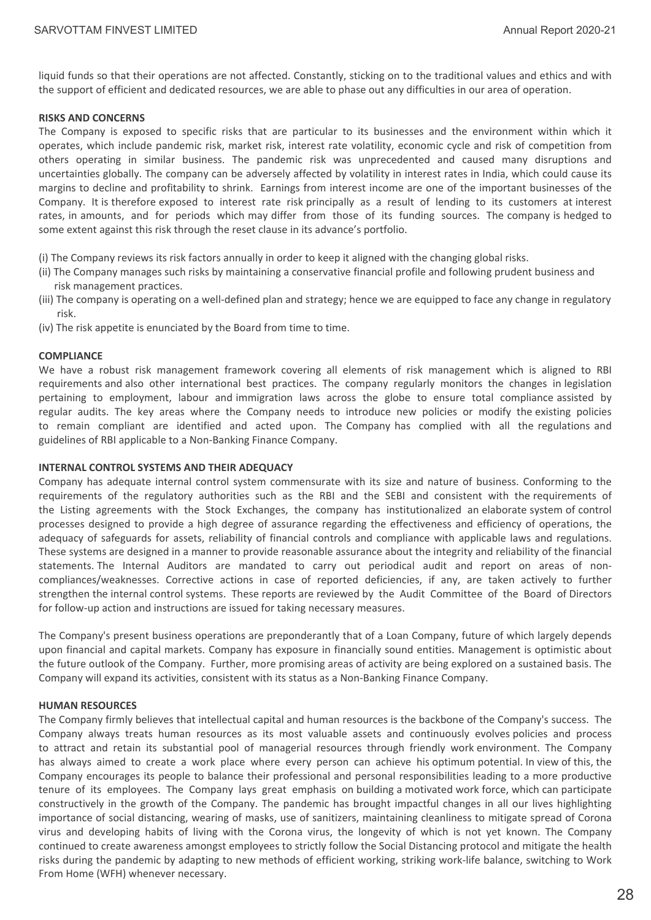liquid funds so that their operations are not affected. Constantly, sticking on to the traditional values and ethics and with the support of efficient and dedicated resources, we are able to phase out any difficulties in our area of operation.

#### **RISKS AND CONCERNS**

The Company is exposed to specific risks that are particular to its businesses and the environment within which it operates, which include pandemic risk, market risk, interest rate volatility, economic cycle and risk of competition from others operating in similar business. The pandemic risk was unprecedented and caused many disruptions and uncertainties globally. The company can be adversely affected by volatility in interest rates in India, which could cause its margins to decline and profitability to shrink. Earnings from interest income are one of the important businesses of the Company. It is therefore exposed to interest rate risk principally as a result of lending to its customers at interest rates, in amounts, and for periods which may differ from those of its funding sources. The company is hedged to some extent against this risk through the reset clause in its advance's portfolio.

- (i) The Company reviews its risk factors annually in order to keep it aligned with the changing global risks.
- (ii) The Company manages such risks by maintaining a conservative financial profile and following prudent business and risk management practices.
- (iii) The company is operating on a well-defined plan and strategy; hence we are equipped to face any change in regulatory risk.
- (iv) The risk appetite is enunciated by the Board from time to time.

#### **COMPLIANCE**

We have a robust risk management framework covering all elements of risk management which is aligned to RBI requirements and also other international best practices. The company regularly monitors the changes in legislation pertaining to employment, labour and immigration laws across the globe to ensure total compliance assisted by regular audits. The key areas where the Company needs to introduce new policies or modify the existing policies to remain compliant are identified and acted upon. The Company has complied with all the regulations and guidelines of RBI applicable to a Non-Banking Finance Company.

#### **INTERNAL CONTROL SYSTEMS AND THEIR ADEQUACY**

Company has adequate internal control system commensurate with its size and nature of business. Conforming to the requirements of the regulatory authorities such as the RBI and the SEBI and consistent with the requirements of the Listing agreements with the Stock Exchanges, the company has institutionalized an elaborate system of control processes designed to provide a high degree of assurance regarding the effectiveness and efficiency of operations, the adequacy of safeguards for assets, reliability of financial controls and compliance with applicable laws and regulations. These systems are designed in a manner to provide reasonable assurance about the integrity and reliability of the financial statements. The Internal Auditors are mandated to carry out periodical audit and report on areas of noncompliances/weaknesses. Corrective actions in case of reported deficiencies, if any, are taken actively to further strengthen the internal control systems. These reports are reviewed by the Audit Committee of the Board of Directors for follow-up action and instructions are issued for taking necessary measures.

The Company's present business operations are preponderantly that of a Loan Company, future of which largely depends upon financial and capital markets. Company has exposure in financially sound entities. Management is optimistic about the future outlook of the Company. Further, more promising areas of activity are being explored on a sustained basis. The Company will expand its activities, consistent with its status as a Non-Banking Finance Company.

#### **HUMAN RESOURCES**

The Company firmly believes that intellectual capital and human resources is the backbone of the Company's success. The Company always treats human resources as its most valuable assets and continuously evolves policies and process to attract and retain its substantial pool of managerial resources through friendly work environment. The Company has always aimed to create a work place where every person can achieve his optimum potential. In view of this, the Company encourages its people to balance their professional and personal responsibilities leading to a more productive tenure of its employees. The Company lays great emphasis on building a motivated work force, which can participate constructively in the growth of the Company. The pandemic has brought impactful changes in all our lives highlighting importance of social distancing, wearing of masks, use of sanitizers, maintaining cleanliness to mitigate spread of Corona virus and developing habits of living with the Corona virus, the longevity of which is not yet known. The Company continued to create awareness amongst employees to strictly follow the Social Distancing protocol and mitigate the health risks during the pandemic by adapting to new methods of efficient working, striking work-life balance, switching to Work From Home (WFH) whenever necessary.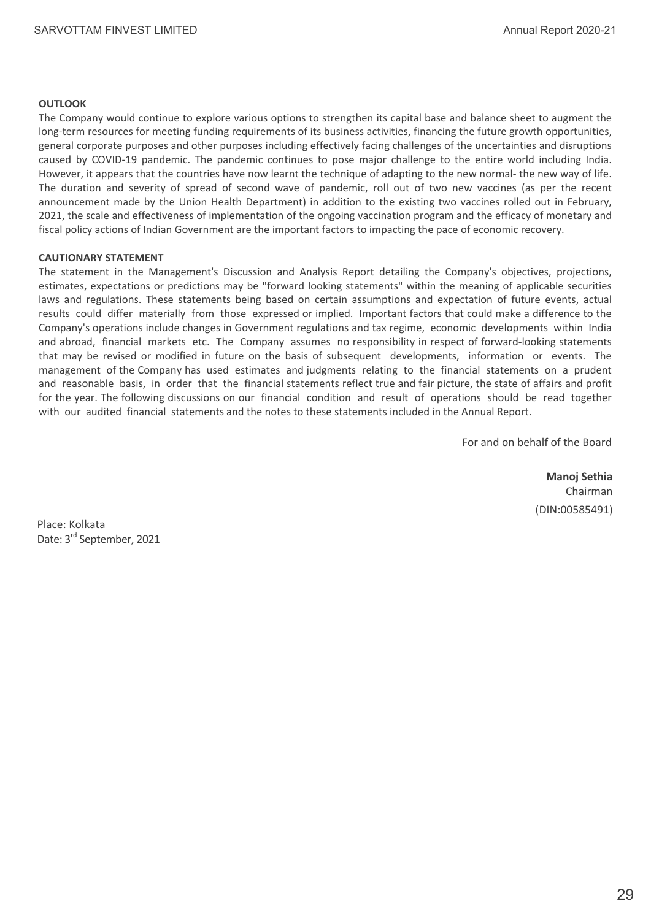#### *<u>OUTLOOK</u>*

The Company would continue to explore various options to strengthen its capital base and balance sheet to augment the long-term resources for meeting funding requirements of its business activities, financing the future growth opportunities, general corporate purposes and other purposes including effectively facing challenges of the uncertainties and disruptions caused by COVID-19 pandemic. The pandemic continues to pose major challenge to the entire world including India. However, it appears that the countries have now learnt the technique of adapting to the new normal- the new way of life. The duration and severity of spread of second wave of pandemic, roll out of two new vaccines (as per the recent announcement made by the Union Health Department) in addition to the existing two vaccines rolled out in February, 2021, the scale and effectiveness of implementation of the ongoing vaccination program and the efficacy of monetary and fiscal policy actions of Indian Government are the important factors to impacting the pace of economic recovery.

#### **CAUTIONARY STATEMENT**

The statement in the Management's Discussion and Analysis Report detailing the Company's objectives, projections, estimates, expectations or predictions may be "forward looking statements" within the meaning of applicable securities laws and regulations. These statements being based on certain assumptions and expectation of future events, actual results could differ materially from those expressed or implied. Important factors that could make a difference to the Company's operations include changes in Government regulations and tax regime, economic developments within India and abroad, financial markets etc. The Company assumes no responsibility in respect of forward-looking statements that may be revised or modified in future on the basis of subsequent developments, information or events. The management of the Company has used estimates and judgments relating to the financial statements on a prudent and reasonable basis, in order that the financial statements reflect true and fair picture, the state of affairs and profit for the year. The following discussions on our financial condition and result of operations should be read together with our audited financial statements and the notes to these statements included in the Annual Report.

For and on behalf of the Board

**Manoj Sethia** Chairman (DIN:00585491)

Place: Kolkata Date: 3<sup>rd</sup> September, 2021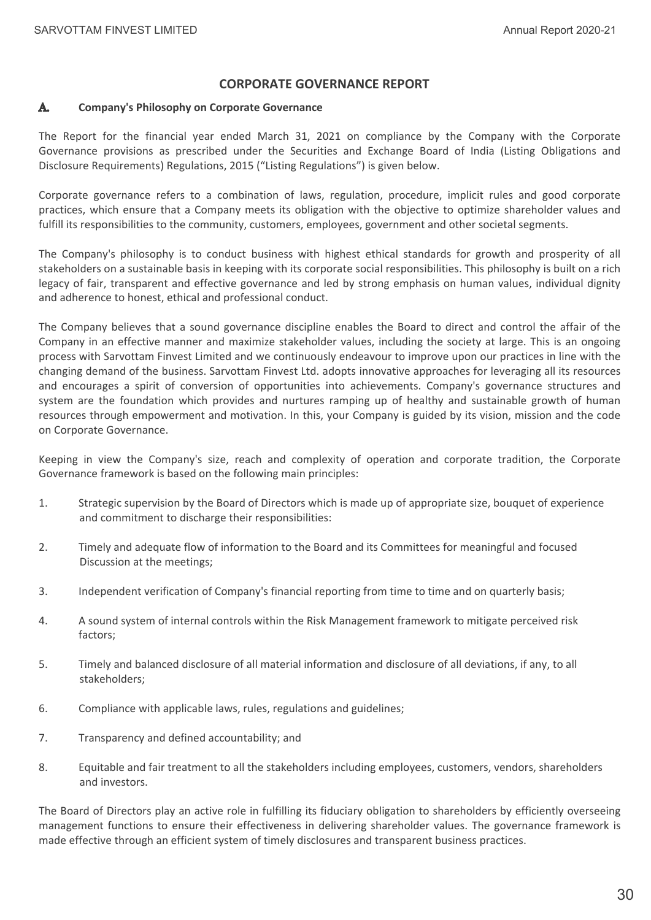#### **CORPORATE GOVERNANCE REPORT**

#### **A.** Company's Philosophy on Corporate Governance

The Report for the financial year ended March 31, 2021 on compliance by the Company with the Corporate Governance provisions as prescribed under the Securities and Exchange Board of India (Listing Obligations and Disclosure Requirements) Regulations, 2015 ("Listing Regulations") is given below.

Corporate governance refers to a combination of laws, regulation, procedure, implicit rules and good corporate practices, which ensure that a Company meets its obligation with the objective to optimize shareholder values and fulfill its responsibilities to the community, customers, employees, government and other societal segments.

The Company's philosophy is to conduct business with highest ethical standards for growth and prosperity of all stakeholders on a sustainable basis in keeping with its corporate social responsibilities. This philosophy is built on a rich legacy of fair, transparent and effective governance and led by strong emphasis on human values, individual dignity and adherence to honest, ethical and professional conduct.

The Company believes that a sound governance discipline enables the Board to direct and control the affair of the Company in an effective manner and maximize stakeholder values, including the society at large. This is an ongoing process with Sarvottam Finvest Limited and we continuously endeavour to improve upon our practices in line with the changing demand of the business. Sarvottam Finvest Ltd. adopts innovative approaches for leveraging all its resources and encourages a spirit of conversion of opportunities into achievements. Company's governance structures and system are the foundation which provides and nurtures ramping up of healthy and sustainable growth of human resources through empowerment and motivation. In this, your Company is guided by its vision, mission and the code on Corporate Governance.

Keeping in view the Company's size, reach and complexity of operation and corporate tradition, the Corporate Governance framework is based on the following main principles:

- 1. Strategic supervision by the Board of Directors which is made up of appropriate size, bouquet of experience and commitment to discharge their responsibilities:
- 2. Timely and adequate flow of information to the Board and its Committees for meaningful and focused Discussion at the meetings;
- 3. Independent verification of Company's financial reporting from time to time and on quarterly basis;
- 4. A sound system of internal controls within the Risk Management framework to mitigate perceived risk factors:
- 5. Timely and balanced disclosure of all material information and disclosure of all deviations, if any, to all stakeholders;
- 6. Compliance with applicable laws, rules, regulations and guidelines;
- 7. Transparency and defined accountability; and
- 8. Equitable and fair treatment to all the stakeholders including employees, customers, vendors, shares. and investors.

The Board of Directors play an active role in fulfilling its fiduciary obligation to shareholders by efficiently overseeing management functions to ensure their effectiveness in delivering shareholder values. The governance framework is made effective through an efficient system of timely disclosures and transparent business practices.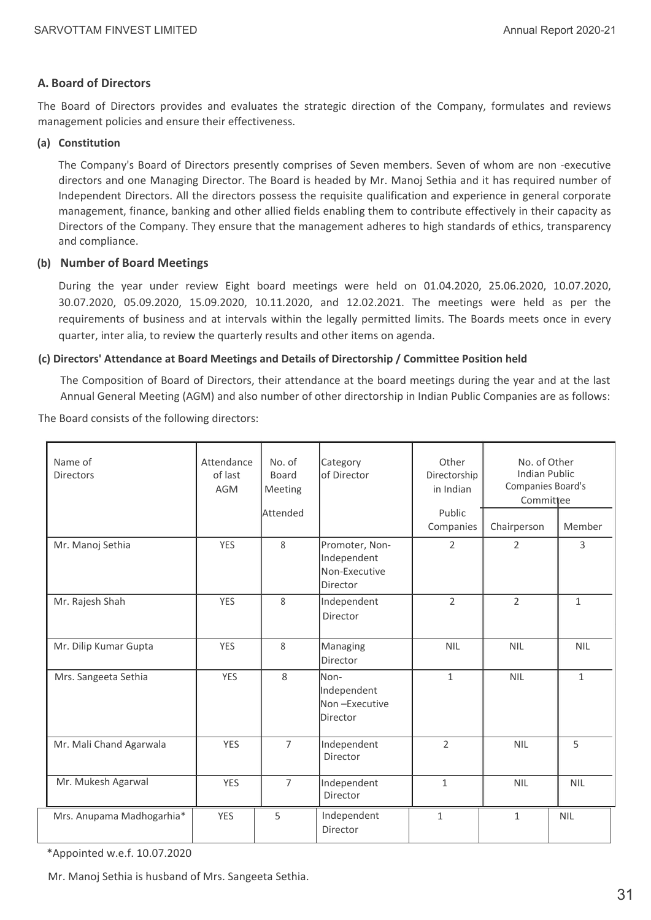#### A. Board of Directors

The Board of Directors provides and evaluates the strategic direction of the Company, formulates and reviews management policies and ensure their effectiveness.

#### **(a)** Constitution

The Company's Board of Directors presently comprises of Seven members. Seven of whom are non -executive directors and one Managing Director. The Board is headed by Mr. Manoj Sethia and it has required number of Independent Directors. All the directors possess the requisite qualification and experience in general corporate management, finance, banking and other allied fields enabling them to contribute effectively in their capacity as Directors of the Company. They ensure that the management adheres to high standards of ethics, transparency and compliance.

#### (b) Number of Board Meetings

During the year under review Eight board meetings were held on 01.04.2020, 25.06.2020, 10.07.2020, 30.07.2020, 05.09.2020, 15.09.2020, 10.11.2020, and 12.02.2021. The meetings were held as per the requirements of business and at intervals within the legally permitted limits. The Boards meets once in every quarter, inter alia, to review the quarterly results and other items on agenda.

#### (c) Directors' Attendance at Board Meetings and Details of Directorship / Committee Position held

The Composition of Board of Directors, their attendance at the board meetings during the year and at the last Annual General Meeting (AGM) and also number of other directorship in Indian Public Companies are as follows:

The Board consists of the following directors:

| Name of<br><b>Directors</b> | Attendance<br>of last<br><b>AGM</b> | No. of<br>Board<br>Meeting<br>Attended | Category<br>of Director                                    | Other<br>Directorship<br>in Indian<br>Public | No. of Other<br>Indian Public<br>Companies Board's<br>Committee |                |
|-----------------------------|-------------------------------------|----------------------------------------|------------------------------------------------------------|----------------------------------------------|-----------------------------------------------------------------|----------------|
|                             |                                     |                                        |                                                            | Companies                                    | Chairperson                                                     | Member         |
| Mr. Manoj Sethia            | <b>YES</b>                          | 8                                      | Promoter, Non-<br>Independent<br>Non-Executive<br>Director | $\overline{2}$                               | $\overline{2}$                                                  | $\overline{3}$ |
| Mr. Rajesh Shah             | <b>YES</b>                          | 8                                      | Independent<br>Director                                    | $\overline{2}$                               | $\overline{2}$                                                  | $\mathbf{1}$   |
| Mr. Dilip Kumar Gupta       | <b>YES</b>                          | 8                                      | Managing<br>Director                                       | <b>NIL</b>                                   | <b>NIL</b>                                                      | <b>NIL</b>     |
| Mrs. Sangeeta Sethia        | <b>YES</b>                          | 8                                      | Non-<br>Independent<br>Non-Executive<br>Director           | $\mathbf{1}$                                 | <b>NIL</b>                                                      | $\mathbf{1}$   |
| Mr. Mali Chand Agarwala     | <b>YES</b>                          | $\overline{7}$                         | Independent<br>Director                                    | $\overline{2}$                               | <b>NIL</b>                                                      | 5              |
| Mr. Mukesh Agarwal          | <b>YES</b>                          | $\overline{7}$                         | Independent<br>Director                                    | $\mathbf{1}$                                 | <b>NIL</b>                                                      | <b>NIL</b>     |
| Mrs. Anupama Madhogarhia*   | <b>YES</b>                          | 5                                      | Independent<br>Director                                    | $\mathbf{1}$                                 | $\mathbf{1}$                                                    | <b>NIL</b>     |

\*Appointed w.e.f. 10.07.2020

Mr. Manoj Sethia is husband of Mrs. Sangeeta Sethia.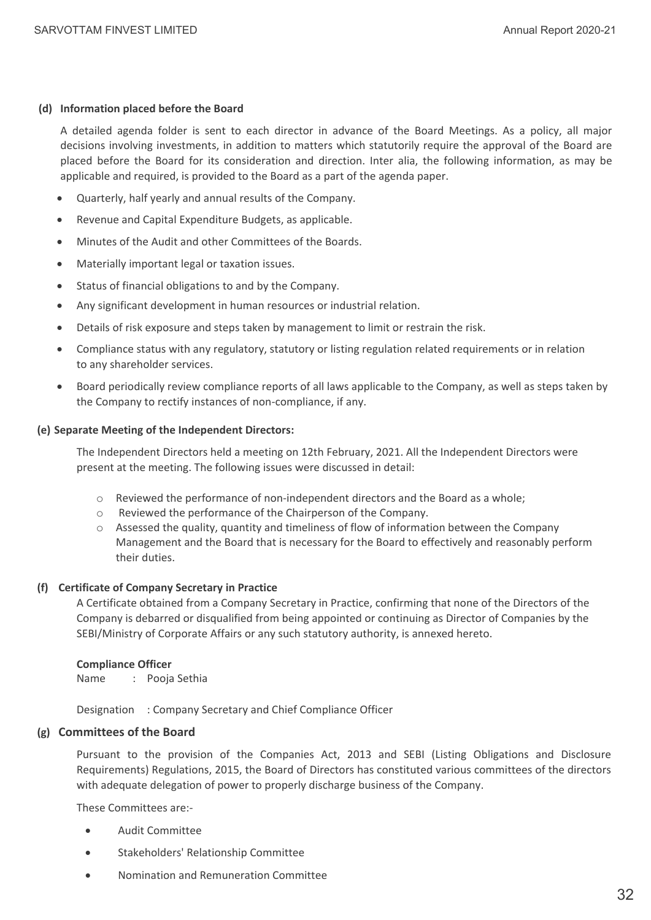#### $(d)$  Information placed before the Board

A detailed agenda folder is sent to each director in advance of the Board Meetings. As a policy, all major decisions involving investments, in addition to matters which statutorily require the approval of the Board are placed before the Board for its consideration and direction. Inter alia, the following information, as may be applicable and required, is provided to the Board as a part of the agenda paper.

- Quarterly, half yearly and annual results of the Company.
- Revenue and Capital Expenditure Budgets, as applicable.
- Minutes of the Audit and other Committees of the Boards.
- Materially important legal or taxation issues.
- Status of financial obligations to and by the Company.
- Any significant development in human resources or industrial relation.
- Details of risk exposure and steps taken by management to limit or restrain the risk.
- Compliance status with any regulatory, statutory or listing regulation related requirements or in relation to any shareholder services.
- Board periodically review compliance reports of all laws applicable to the Company, as well as steps taken by the Company to rectify instances of non-compliance, if any.

#### $(e)$  Separate Meeting of the Independent Directors:

The Independent Directors held a meeting on 12th February, 2021. All the Independent Directors were present at the meeting. The following issues were discussed in detail:

- $\circ$  Reviewed the performance of non-independent directors and the Board as a whole;
- $\circ$  Reviewed the performance of the Chairperson of the Company.
- $\circ$  Assessed the quality, quantity and timeliness of flow of information between the Company Management and the Board that is necessary for the Board to effectively and reasonably perform their duties.

#### $\blacksquare$  **f)** Certificate of Company Secretary in Practice

A Certificate obtained from a Company Secretary in Practice, confirming that none of the Directors of the Company is debarred or disqualified from being appointed or continuing as Director of Companies by the SEBI/Ministry of Corporate Affairs or any such statutory authority, is annexed hereto.

#### **Compliance Officer**

Name : Pooja Sethia

Designation : Company Secretary and Chief Compliance Officer

#### $g$  **Committees of the Board**

Pursuant to the provision of the Companies Act, 2013 and SEBI (Listing Obligations and Disclosure Requirements) Regulations, 2015, the Board of Directors has constituted various committees of the directors with adequate delegation of power to properly discharge business of the Company.

These Committees are:-

- Audit Committee
- Stakeholders' Relationship Committee
- Nomination and Remuneration Committee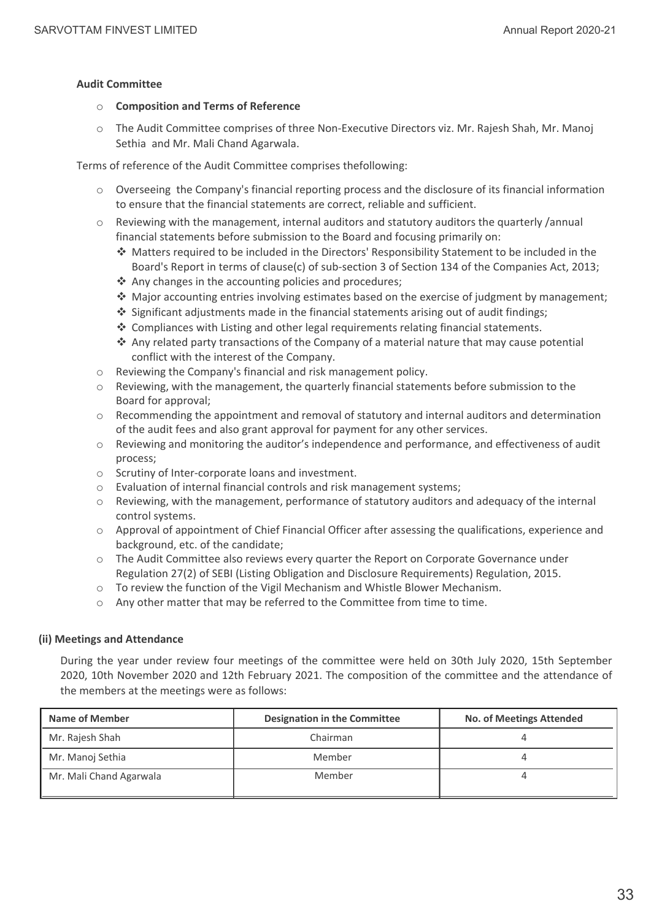#### **Audit Committee**

- $\circ$  **Composition and Terms of Reference**
- $\circ$  The Audit Committee comprises of three Non-Executive Directors viz. Mr. Rajesh Shah, Mr. Manoj Sethia and Mr. Mali Chand Agarwala.

Terms of reference of the Audit Committee comprises thefollowing:

- $\circ$  Overseeing the Company's financial reporting process and the disclosure of its financial information to ensure that the financial statements are correct, reliable and sufficient.
- $\circ$  Reviewing with the management, internal auditors and statutory auditors the quarterly /annual financial statements before submission to the Board and focusing primarily on:
	- $*$  Matters required to be included in the Directors' Responsibility Statement to be included in the Board's Report in terms of clause(c) of sub-section 3 of Section 134 of the Companies Act, 2013;
	- $\triangle$  Any changes in the accounting policies and procedures;
	- ❖ Major accounting entries involving estimates based on the exercise of judgment by management;
	- $\clubsuit$  Significant adjustments made in the financial statements arising out of audit findings;
	- $\clubsuit$  Compliances with Listing and other legal requirements relating financial statements.
	- ❖ Any related party transactions of the Company of a material nature that may cause potential conflict with the interest of the Company.
- $\circ$  Reviewing the Company's financial and risk management policy.
- $\circ$  Reviewing, with the management, the quarterly financial statements before submission to the Board for approval;
- $\circ$  Recommending the appointment and removal of statutory and internal auditors and determination of the audit fees and also grant approval for payment for any other services.
- $\circ$  Reviewing and monitoring the auditor's independence and performance, and effectiveness of audit process;
- $\circ$  Scrutiny of Inter-corporate loans and investment.
- $\circ$  Evaluation of internal financial controls and risk management systems:
- $\circ$  Reviewing, with the management, performance of statutory auditors and adequacy of the internal control systems.
- $\circ$  Approval of appointment of Chief Financial Officer after assessing the qualifications, experience and background, etc. of the candidate;
- $\circ$  The Audit Committee also reviews every quarter the Report on Corporate Governance under Regulation 27(2) of SEBI (Listing Obligation and Disclosure Requirements) Regulation, 2015.
- $\circ$  To review the function of the Vigil Mechanism and Whistle Blower Mechanism.
- $\circ$  Any other matter that may be referred to the Committee from time to time.

#### **(ii) Meetings and Attendance**

During the year under review four meetings of the committee were held on 30th July 2020, 15th September 2020, 10th November 2020 and 12th February 2021. The composition of the committee and the attendance of the members at the meetings were as follows:

| Name of Member          | <b>Designation in the Committee</b> | <b>No. of Meetings Attended</b> |
|-------------------------|-------------------------------------|---------------------------------|
| Mr. Rajesh Shah         | Chairman                            |                                 |
| Mr. Manoj Sethia        | Member                              |                                 |
| Mr. Mali Chand Agarwala | Member                              |                                 |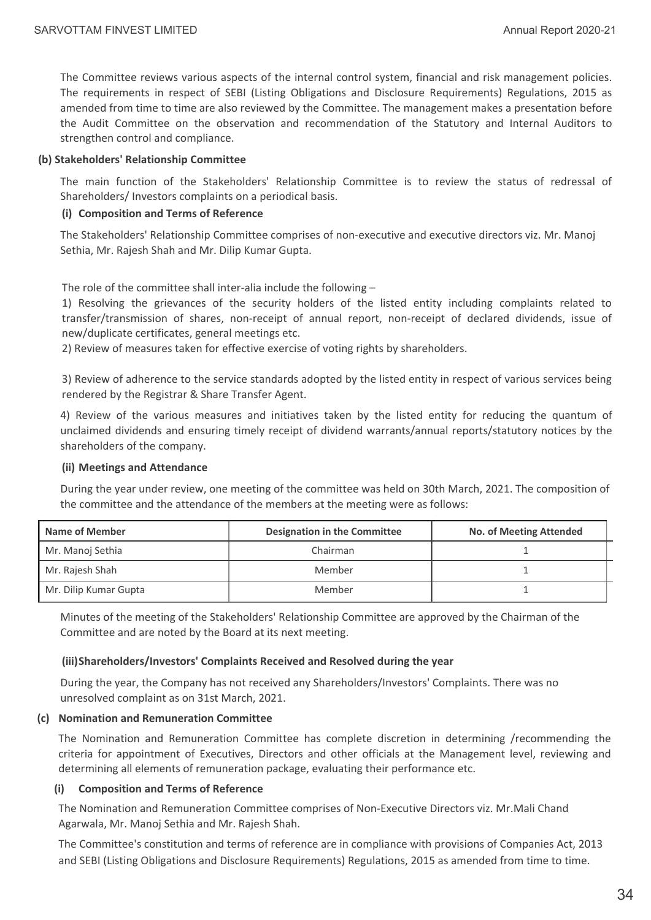The Committee reviews various aspects of the internal control system, financial and risk management policies. The requirements in respect of SEBI (Listing Obligations and Disclosure Requirements) Regulations, 2015 as amended from time to time are also reviewed by the Committee. The management makes a presentation before the Audit Committee on the observation and recommendation of the Statutory and Internal Auditors to strengthen control and compliance.

# **(b) Stakeholders' Relationship Committee**

The main function of the Stakeholders' Relationship Committee is to review the status of redressal of Shareholders/ Investors complaints on a periodical basis.

# $(i)$  Composition and Terms of Reference

The Stakeholders' Relationship Committee comprises of non-executive and executive directors viz. Mr. Manoj Sethia, Mr. Rajesh Shah and Mr. Dilip Kumar Gupta.

The role of the committee shall inter-alia include the following  $-$ 

1) Resolving the grievances of the security holders of the listed entity including complaints related to transfer/transmission of shares, non-receipt of annual report, non-receipt of declared dividends, issue of new/duplicate certificates, general meetings etc.

2) Review of measures taken for effective exercise of voting rights by shareholders.

3) Review of adherence to the service standards adopted by the listed entity in respect of various services being rendered by the Registrar & Share Transfer Agent.

4) Review of the various measures and initiatives taken by the listed entity for reducing the quantum of unclaimed dividends and ensuring timely receipt of dividend warrants/annual reports/statutory notices by the shareholders of the company.

## **(ii) Meetings and Attendance**

During the year under review, one meeting of the committee was held on 30th March, 2021. The composition of the committee and the attendance of the members at the meeting were as follows:

| <b>Name of Member</b> | <b>Designation in the Committee</b> | <b>No. of Meeting Attended</b> |
|-----------------------|-------------------------------------|--------------------------------|
| Mr. Manoj Sethia      | Chairman                            |                                |
| Mr. Rajesh Shah       | Member                              |                                |
| Mr. Dilip Kumar Gupta | Member                              |                                |

Minutes of the meeting of the Stakeholders' Relationship Committee are approved by the Chairman of the Committee and are noted by the Board at its next meeting.

## (iii)Shareholders/Investors' Complaints Received and Resolved during the year

During the year, the Company has not received any Shareholders/Investors' Complaints. There was no unresolved complaint as on 31st March, 2021.

# $(c)$  Nomination and Remuneration Committee

The Nomination and Remuneration Committee has complete discretion in determining /recommending the criteria for appointment of Executives, Directors and other officials at the Management level, reviewing and determining all elements of remuneration package, evaluating their performance etc.

## $(i)$  **Composition and Terms of Reference**

The Nomination and Remuneration Committee comprises of Non-Executive Directors viz. Mr.Mali Chand Agarwala, Mr. Manoj Sethia and Mr. Rajesh Shah.

The Committee's constitution and terms of reference are in compliance with provisions of Companies Act, 2013 and SEBI (Listing Obligations and Disclosure Requirements) Regulations, 2015 as amended from time to time.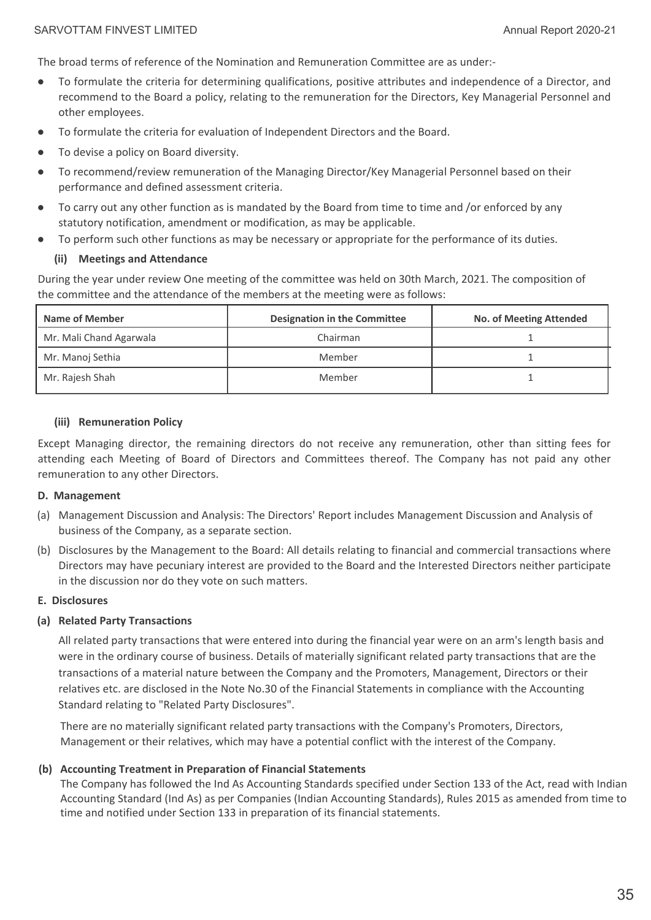The broad terms of reference of the Nomination and Remuneration Committee are as under:-

- To formulate the criteria for determining qualifications, positive attributes and independence of a Director, and recommend to the Board a policy, relating to the remuneration for the Directors, Key Managerial Personnel and other employees.
- To formulate the criteria for evaluation of Independent Directors and the Board.
- To devise a policy on Board diversity.
- To recommend/review remuneration of the Managing Director/Key Managerial Personnel based on their performance and defined assessment criteria.
- To carry out any other function as is mandated by the Board from time to time and /or enforced by any statutory notification, amendment or modification, as may be applicable.
- To perform such other functions as may be necessary or appropriate for the performance of its duties.

## $(iii)$  Meetings and Attendance

During the year under review One meeting of the committee was held on 30th March, 2021. The composition of the committee and the attendance of the members at the meeting were as follows:

| Name of Member          | <b>Designation in the Committee</b> | <b>No. of Meeting Attended</b> |
|-------------------------|-------------------------------------|--------------------------------|
| Mr. Mali Chand Agarwala | Chairman                            |                                |
| Mr. Manoj Sethia        | Member                              |                                |
| Mr. Rajesh Shah         | Member                              |                                |

# **(iii)** Remuneration Policy

Except Managing director, the remaining directors do not receive any remuneration, other than sitting fees for attending each Meeting of Board of Directors and Committees thereof. The Company has not paid any other remuneration to any other Directors.

## **D.** Management

- (a) Management Discussion and Analysis: The Directors' Report includes Management Discussion and Analysis of business of the Company, as a separate section.
- (b) Disclosures by the Management to the Board: All details relating to financial and commercial transactions where Directors may have pecuniary interest are provided to the Board and the Interested Directors neither participate in the discussion nor do they vote on such matters.

## **E.** Disclosures

# **(a)** Related Party Transactions

All related party transactions that were entered into during the financial year were on an arm's length basis and were in the ordinary course of business. Details of materially significant related party transactions that are the transactions of a material nature between the Company and the Promoters, Management, Directors or their relatives etc. are disclosed in the Note No.30 of the Financial Statements in compliance with the Accounting Standard relating to "Related Party Disclosures".

There are no materially significant related party transactions with the Company's Promoters. Directors. Management or their relatives, which may have a potential conflict with the interest of the Company.

## (b) Accounting Treatment in Preparation of Financial Statements

The Company has followed the Ind As Accounting Standards specified under Section 133 of the Act, read with Indian Accounting Standard (Ind As) as per Companies (Indian Accounting Standards), Rules 2015 as amended from time to time and notified under Section 133 in preparation of its financial statements.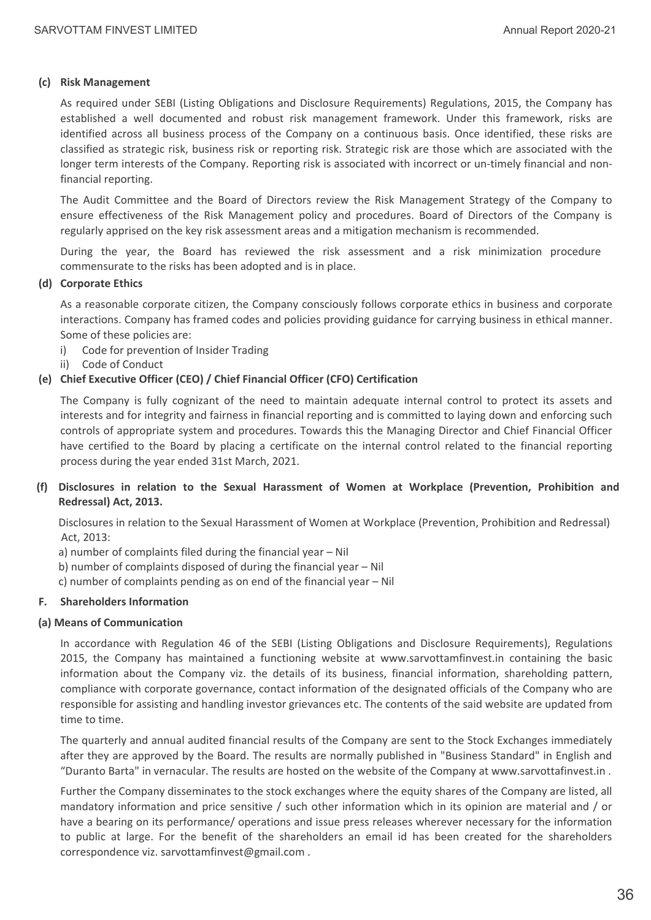# $(c)$  Risk Management

As required under SEBI (Listing Obligations and Disclosure Requirements) Regulations, 2015, the Company has established a well documented and robust risk management framework. Under this framework, risks are identified across all business process of the Company on a continuous basis. Once identified, these risks are classified as strategic risk, business risk or reporting risk. Strategic risk are those which are associated with the longer term interests of the Company. Reporting risk is associated with incorrect or un-timely financial and nonfinancial reporting.

The Audit Committee and the Board of Directors review the Risk Management Strategy of the Company to ensure effectiveness of the Risk Management policy and procedures. Board of Directors of the Company is regularly apprised on the key risk assessment areas and a mitigation mechanism is recommended.

During the year, the Board has reviewed the risk assessment and a risk minimization procedure commensurate to the risks has been adopted and is in place.

# $(d)$  Corporate Ethics

As a reasonable corporate citizen, the Company consciously follows corporate ethics in business and corporate interactions. Company has framed codes and policies providing guidance for carrying business in ethical manner. Some of these policies are:

- i) Code for prevention of Insider Trading
- ii) Code of Conduct

# (e) Chief Executive Officer (CEO) / Chief Financial Officer (CFO) Certification

The Company is fully cognizant of the need to maintain adequate internal control to protect its assets and interests and for integrity and fairness in financial reporting and is committed to laying down and enforcing such controls of appropriate system and procedures. Towards this the Managing Director and Chief Financial Officer have certified to the Board by placing a certificate on the internal control related to the financial reporting process during the year ended 31st March, 2021.

# (f) Disclosures in relation to the Sexual Harassment of Women at Workplace (Prevention, Prohibition and **Redressal) Act, 2013.**

Disclosures in relation to the Sexual Harassment of Women at Workplace (Prevention, Prohibition and Redressal) Act, 2013:

a) number of complaints filed during the financial year - Nil

b) number of complaints disposed of during the financial year - Nil

c) number of complaints pending as on end of the financial year – Nil

## **F.** Shareholders Information

## $(a)$  Means of Communication

In accordance with Regulation 46 of the SEBI (Listing Obligations and Disclosure Requirements), Regulations 2015, the Company has maintained a functioning website at www.sarvottamfinvest.in containing the basic information about the Company viz. the details of its business, financial information, shareholding pattern, compliance with corporate governance, contact information of the designated officials of the Company who are responsible for assisting and handling investor grievances etc. The contents of the said website are updated from time to time.

The quarterly and annual audited financial results of the Company are sent to the Stock Exchanges immediately after they are approved by the Board. The results are normally published in "Business Standard" in English and "Duranto Barta" in vernacular. The results are hosted on the website of the Company at www.sarvottafinvest.in.

Further the Company disseminates to the stock exchanges where the equity shares of the Company are listed, all mandatory information and price sensitive / such other information which in its opinion are material and / or have a bearing on its performance/ operations and issue press releases wherever necessary for the information to public at large. For the benefit of the shareholders an email id has been created for the shareholders correspondence viz. sarvottamfinvest@gmail.com.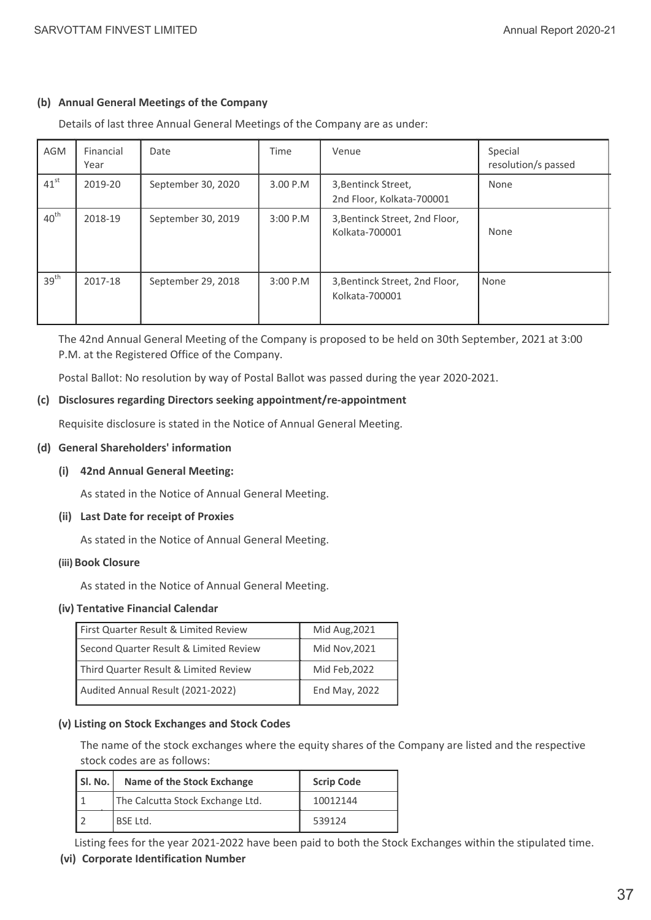# (b) Annual General Meetings of the Company

Details of last three Annual General Meetings of the Company are as under:

| AGM              | Financial<br>Year | Date               | Time     | Venue                                            | Special<br>resolution/s passed |
|------------------|-------------------|--------------------|----------|--------------------------------------------------|--------------------------------|
| $41^{\text{st}}$ | 2019-20           | September 30, 2020 | 3.00 P.M | 3, Bentinck Street,<br>2nd Floor, Kolkata-700001 | None                           |
| $40^{\text{th}}$ | 2018-19           | September 30, 2019 | 3:00 P.M | 3. Bentinck Street, 2nd Floor,<br>Kolkata-700001 | None                           |
| 39 <sup>th</sup> | 2017-18           | September 29, 2018 | 3:00 P.M | 3. Bentinck Street, 2nd Floor,<br>Kolkata-700001 | None                           |

The 42nd Annual General Meeting of the Company is proposed to be held on 30th September, 2021 at 3:00 P.M. at the Registered Office of the Company.

Postal Ballot: No resolution by way of Postal Ballot was passed during the year 2020-2021.

## (c) Disclosures regarding Directors seeking appointment/re-appointment

Requisite disclosure is stated in the Notice of Annual General Meeting.

### **(d)** General Shareholders' information

**(i)** 42nd Annual General Meeting:

As stated in the Notice of Annual General Meeting.

## $(i)$  Last Date for receipt of Proxies

As stated in the Notice of Annual General Meeting.

### $(iii)$  Book Closure

As stated in the Notice of Annual General Meeting.

### **(iv) Tentative Financial Calendar**

| First Quarter Result & Limited Review  | Mid Aug, 2021 |
|----------------------------------------|---------------|
| Second Quarter Result & Limited Review | Mid Nov, 2021 |
| Third Quarter Result & Limited Review  | Mid Feb, 2022 |
| Audited Annual Result (2021-2022)      | End May, 2022 |

### (v) Listing on Stock Exchanges and Stock Codes

The name of the stock exchanges where the equity shares of the Company are listed and the respective stock codes are as follows:

| l Sl. No. l | Name of the Stock Exchange       | <b>Scrip Code</b> |
|-------------|----------------------------------|-------------------|
|             | The Calcutta Stock Exchange Ltd. | 10012144          |
|             | l BSE Ltd.                       | 539124            |

Listing fees for the year 2021-2022 have been paid to both the Stock Exchanges within the stipulated time.

## $(vi)$  Corporate Identification Number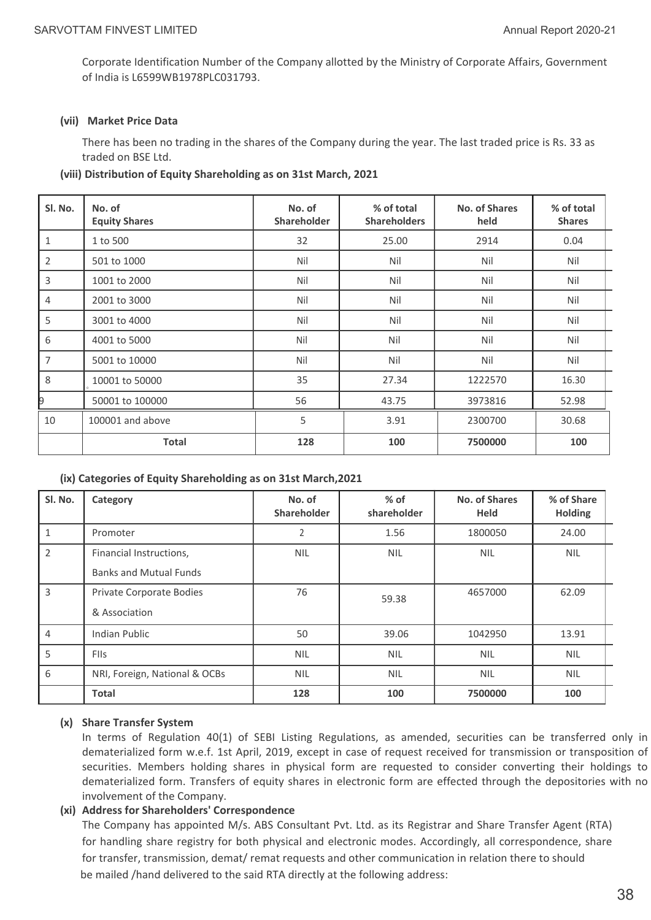Corporate Identification Number of the Company allotted by the Ministry of Corporate Affairs, Government of India is L6599WB1978PLC031793.

# **(vii)** Market Price Data

There has been no trading in the shares of the Company during the year. The last traded price is Rs. 33 as traded on BSE Ltd.

# (viii) Distribution of Equity Shareholding as on 31st March, 2021

| Sl. No.        | No. of<br><b>Equity Shares</b> | No. of<br>Shareholder | % of total<br><b>Shareholders</b> | <b>No. of Shares</b><br>held | % of total<br><b>Shares</b> |
|----------------|--------------------------------|-----------------------|-----------------------------------|------------------------------|-----------------------------|
| 1              | 1 to 500                       | 32                    | 25.00                             | 2914                         | 0.04                        |
| $\overline{2}$ | 501 to 1000                    | Nil                   | Nil                               | Nil                          | Nil                         |
| 3              | 1001 to 2000                   | Nil                   | Nil                               | Nil                          | Nil                         |
| 4              | 2001 to 3000                   | Nil                   | Nil                               | Nil                          | Nil                         |
| 5              | 3001 to 4000                   | Nil                   | Nil                               | Nil                          | Nil                         |
| 6              | 4001 to 5000                   | Nil                   | Nil                               | Nil                          | Nil                         |
| $\overline{7}$ | 5001 to 10000                  | Nil                   | Nil                               | Nil                          | Nil                         |
| 8              | 10001 to 50000                 | 35                    | 27.34                             | 1222570                      | 16.30                       |
| þ              | 50001 to 100000                | 56                    | 43.75                             | 3973816                      | 52.98                       |
| 10             | 100001 and above               | 5                     | 3.91                              | 2300700                      | 30.68                       |
|                | <b>Total</b>                   | 128                   | 100                               | 7500000                      | 100                         |

## (ix) Categories of Equity Shareholding as on 31st March, 2021

| Sl. No.        | Category                                  | No. of<br>Shareholder | $%$ of<br>shareholder | No. of Shares<br><b>Held</b> | % of Share<br><b>Holding</b> |  |
|----------------|-------------------------------------------|-----------------------|-----------------------|------------------------------|------------------------------|--|
|                | Promoter                                  | $\overline{2}$        | 1.56                  | 1800050                      | 24.00                        |  |
| 2              | Financial Instructions,                   | <b>NIL</b>            | <b>NIL</b>            | <b>NIL</b>                   | <b>NIL</b>                   |  |
|                | <b>Banks and Mutual Funds</b>             |                       |                       |                              |                              |  |
| 3              | Private Corporate Bodies<br>& Association | 76                    | 59.38                 | 4657000                      | 62.09                        |  |
| $\overline{4}$ | Indian Public                             | 50                    | 39.06                 | 1042950                      | 13.91                        |  |
| 5              | <b>FIIs</b>                               | <b>NIL</b>            | <b>NIL</b>            | <b>NIL</b>                   | <b>NIL</b>                   |  |
| 6              | NRI, Foreign, National & OCBs             | <b>NIL</b>            | <b>NIL</b>            | <b>NIL</b>                   | <b>NIL</b>                   |  |
|                | <b>Total</b>                              | 128                   | 100                   | 7500000                      | 100                          |  |

# **(x)** Share Transfer System

In terms of Regulation 40(1) of SEBI Listing Regulations, as amended, securities can be transferred only in dematerialized form w.e.f. 1st April, 2019, except in case of request received for transmission or transposition of securities. Members holding shares in physical form are requested to consider converting their holdings to dematerialized form. Transfers of equity shares in electronic form are effected through the depositories with no involvement of the Company.

# (xi) Address for Shareholders' Correspondence

The Company has appointed M/s. ABS Consultant Pvt. Ltd. as its Registrar and Share Transfer Agent (RTA) for handling share registry for both physical and electronic modes. Accordingly, all correspondence, share for transfer, transmission, demat/remat requests and other communication in relation there to should be mailed /hand delivered to the said RTA directly at the following address: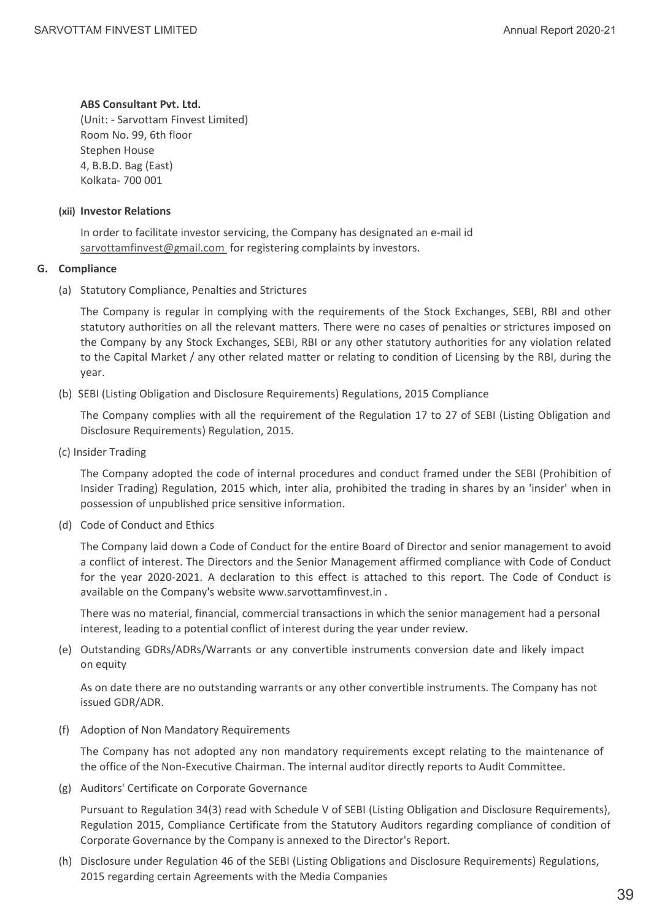## **ABS Consultant Pvt. Ltd.**

(Unit: - Sarvottam Finvest Limited) Room No. 99, 6th floor Stephen House 4, B.B.D. Bag (East) Kolkata- 700 001

### $(xii)$  **Investor Relations**

In order to facilitate investor servicing, the Company has designated an e-mail id sarvottamfinvest@gmail.com for registering complaints by investors.

### **G.** Compliance

(a) Statutory Compliance, Penalties and Strictures

The Company is regular in complying with the requirements of the Stock Exchanges, SEBI, RBI and other statutory authorities on all the relevant matters. There were no cases of penalties or strictures imposed on the Company by any Stock Exchanges, SEBI, RBI or any other statutory authorities for any violation related to the Capital Market / any other related matter or relating to condition of Licensing by the RBI, during the year.

(b) SEBI (Listing Obligation and Disclosure Requirements) Regulations, 2015 Compliance

The Company complies with all the requirement of the Regulation 17 to 27 of SEBI (Listing Obligation and Disclosure Requirements) Regulation, 2015.

(c) Insider Trading

The Company adopted the code of internal procedures and conduct framed under the SEBI (Prohibition of Insider Trading) Regulation, 2015 which, inter alia, prohibited the trading in shares by an 'insider' when in possession of unpublished price sensitive information.

(d) Code of Conduct and Ethics

The Company laid down a Code of Conduct for the entire Board of Director and senior management to avoid a conflict of interest. The Directors and the Senior Management affirmed compliance with Code of Conduct for the year 2020-2021. A declaration to this effect is attached to this report. The Code of Conduct is available on the Company's website www.sarvottamfinvest.in.

There was no material, financial, commercial transactions in which the senior management had a personal interest, leading to a potential conflict of interest during the year under review.

(e) Outstanding GDRs/ADRs/Warrants or any convertible instruments conversion date and likely impact on equity

As on date there are no outstanding warrants or any other convertible instruments. The Company has not issued GDR/ADR.

(f) Adoption of Non Mandatory Requirements

The Company has not adopted any non mandatory requirements except relating to the maintenance of the office of the Non-Executive Chairman. The internal auditor directly reports to Audit Committee.

(g) Auditors' Certificate on Corporate Governance

Pursuant to Regulation 34(3) read with Schedule V of SEBI (Listing Obligation and Disclosure Requirements), Regulation 2015, Compliance Certificate from the Statutory Auditors regarding compliance of condition of Corporate Governance by the Company is annexed to the Director's Report.

(h) Disclosure under Regulation 46 of the SEBI (Listing Obligations and Disclosure Requirements) Regulations, 2015 regarding certain Agreements with the Media Companies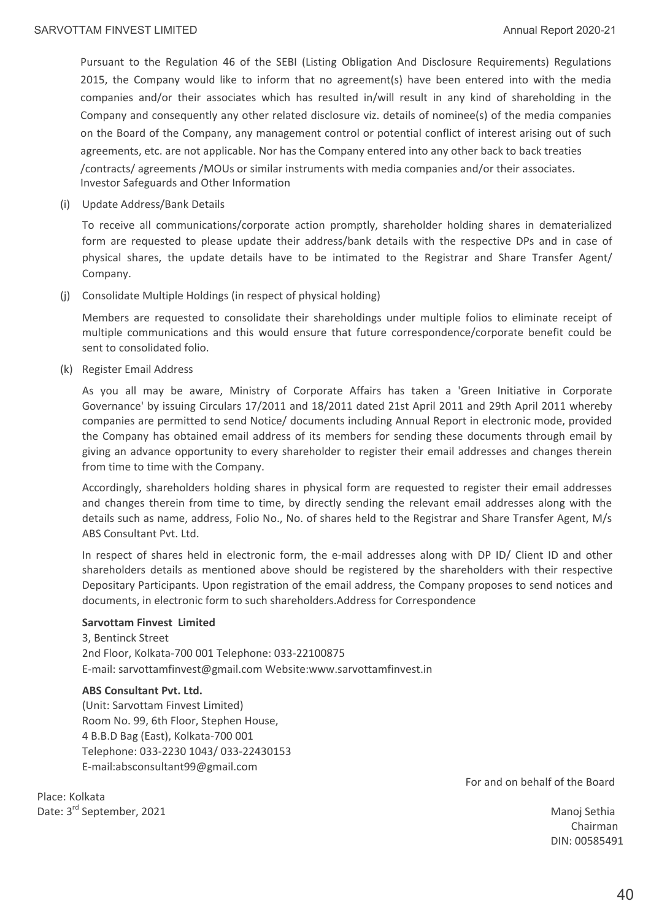Pursuant to the Regulation 46 of the SEBI (Listing Obligation And Disclosure Requirements) Regulations 2015, the Company would like to inform that no agreement(s) have been entered into with the media companies and/or their associates which has resulted in/will result in any kind of shareholding in the Company and consequently any other related disclosure viz. details of nominee(s) of the media companies on the Board of the Company, any management control or potential conflict of interest arising out of such agreements, etc. are not applicable. Nor has the Company entered into any other back to back treaties /contracts/ agreements /MOUs or similar instruments with media companies and/or their associates. Investor Safeguards and Other Information

### (i) Update Address/Bank Details

To receive all communications/corporate action promptly, shareholder holding shares in dematerialized form are requested to please update their address/bank details with the respective DPs and in case of physical shares, the update details have to be intimated to the Registrar and Share Transfer Agent/ Company.

(j) Consolidate Multiple Holdings (in respect of physical holding)

Members are requested to consolidate their shareholdings under multiple folios to eliminate receipt of multiple communications and this would ensure that future correspondence/corporate benefit could be sent to consolidated folio.

(k) Register Email Address

As you all may be aware, Ministry of Corporate Affairs has taken a 'Green Initiative in Corporate Governance' by issuing Circulars 17/2011 and 18/2011 dated 21st April 2011 and 29th April 2011 whereby companies are permitted to send Notice/ documents including Annual Report in electronic mode, provided the Company has obtained email address of its members for sending these documents through email by giving an advance opportunity to every shareholder to register their email addresses and changes therein from time to time with the Company.

Accordingly, shareholders holding shares in physical form are requested to register their email addresses and changes therein from time to time, by directly sending the relevant email addresses along with the details such as name, address, Folio No., No. of shares held to the Registrar and Share Transfer Agent, M/s ABS Consultant Pvt. Ltd.

In respect of shares held in electronic form, the e-mail addresses along with DP ID/ Client ID and other shareholders details as mentioned above should be registered by the shareholders with their respective Depositary Participants. Upon registration of the email address, the Company proposes to send notices and documents, in electronic form to such shareholders. Address for Correspondence

### **Sarvottam Finvest Limited**

3, Bentinck Street 2nd Floor, Kolkata-700 001 Telephone: 033-22100875 E-mail: sarvottamfinvest@gmail.com Website:www.sarvottamfinvest.in

### ABS Consultant Pvt. Ltd.

(Unit: Sarvottam Finvest Limited) Room No. 99, 6th Floor, Stephen House, 4 B.B.D Bag (East), Kolkata-700 001 Telephone: 033-2230 1043/ 033-22430153 E-mail:absconsultant99@gmail.com

Place: Kolkata Date: 3<sup>rd</sup> September. 2021 **Analyzist Controllering Controllering Controllering Controllering Controllering Controllering Controllering Controllering Controllering Controllering Controllering Controllering Controllering C** 

For and on behalf of the Board

Chairman DIN: 00585491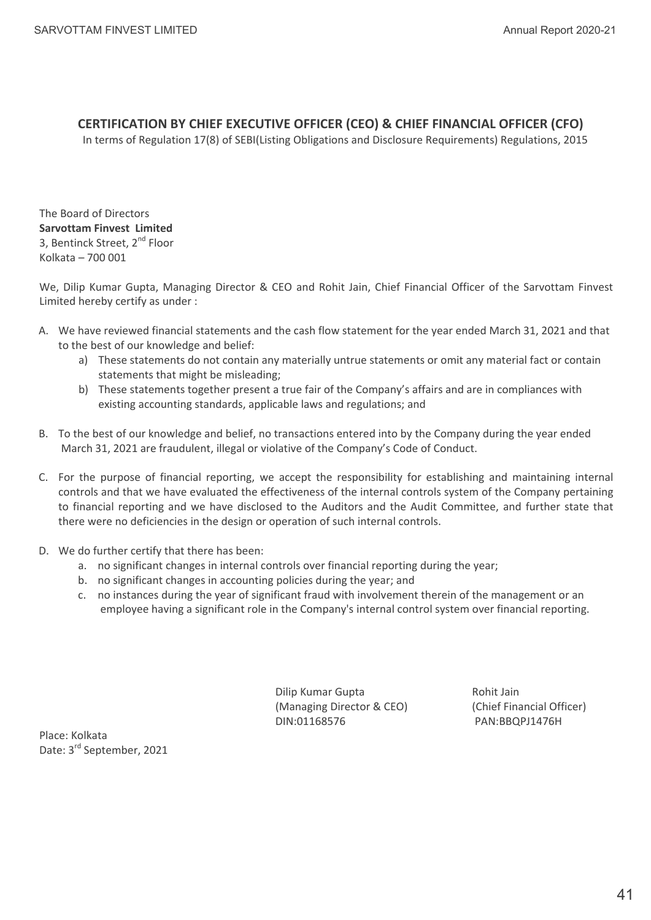# **CERTIFICATION BY CHIEF EXECUTIVE OFFICER (CEO) & CHIEF FINANCIAL OFFICER (CFO)**

In terms of Regulation 17(8) of SEBI(Listing Obligations and Disclosure Requirements) Regulations, 2015

The Board of Directors Sarvottam Finvest Limited 3. Bentinck Street. 2<sup>nd</sup> Floor Kolkata $-700001$ 

We, Dilip Kumar Gupta, Managing Director & CEO and Rohit Jain, Chief Financial Officer of the Sarvottam Finvest Limited hereby certify as under :

- A. We have reviewed financial statements and the cash flow statement for the year ended March 31, 2021 and that to the best of our knowledge and belief:
	- a) These statements do not contain any materially untrue statements or omit any material fact or contain statements that might be misleading;
	- b) These statements together present a true fair of the Company's affairs and are in compliances with existing accounting standards, applicable laws and regulations; and
- B. To the best of our knowledge and belief, no transactions entered into by the Company during the year ended March 31, 2021 are fraudulent, illegal or violative of the Company's Code of Conduct.
- C. For the purpose of financial reporting, we accept the responsibility for establishing and maintaining internal controls and that we have evaluated the effectiveness of the internal controls system of the Company pertaining to financial reporting and we have disclosed to the Auditors and the Audit Committee, and further state that there were no deficiencies in the design or operation of such internal controls.
- D. We do further certify that there has been:
	- a. no significant changes in internal controls over financial reporting during the year;
	- b. no significant changes in accounting policies during the year; and
	- c. no instances during the year of significant fraud with involvement therein of the management or an employee having a significant role in the Company's internal control system over financial reporting.

Dilip Kumar Gupta<br>
Rohit Jain (Managing Director & CEO) (Chief Financial Officer) DIN:01168576 PAN:BBOPJ1476H

Place: Kolkata Date: 3<sup>rd</sup> September, 2021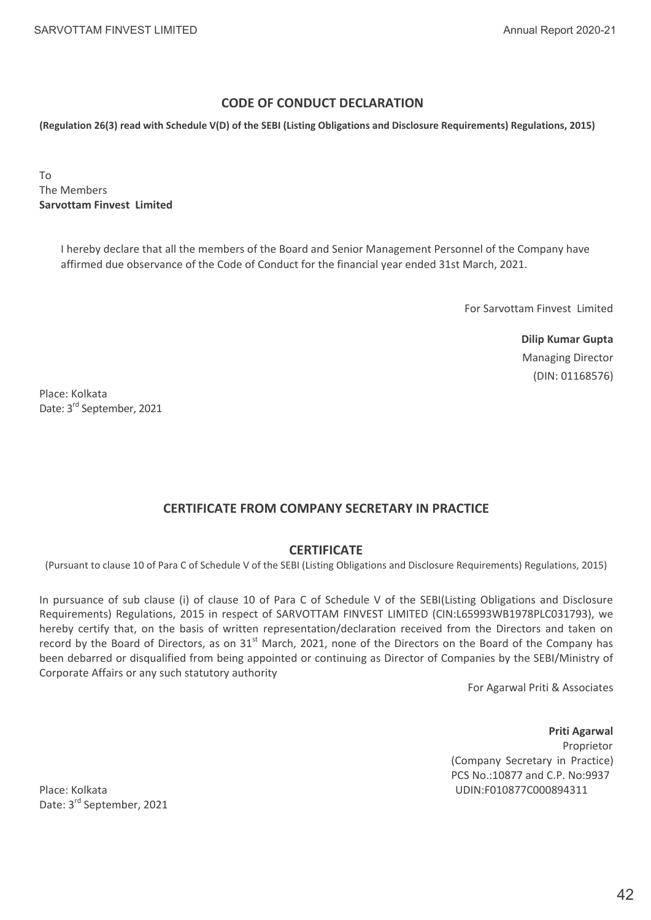# **CODE OF CONDUCT DECLARATION**

(Regulation 26(3) read with Schedule V(D) of the SEBI (Listing Obligations and Disclosure Requirements) Regulations, 2015)

T<sub>Ω</sub> The Members **Sarvottam Finvest Limited** 

> I hereby declare that all the members of the Board and Senior Management Personnel of the Company have affirmed due observance of the Code of Conduct for the financial year ended 31st March, 2021.

> > For Sarvottam Finvest Limited

*<u>Dilip Kumar Gupta</u>* Managing Director (DIN: 01168576)

Place: Kolkata Date: 3rd September, 2021

# *CERTIFICATE FROM COMPANY SECRETARY IN PRACTICE*

## *CERTIFICATE*

(Pursuant to clause 10 of Para C of Schedule V of the SEBI (Listing Obligations and Disclosure Requirements) Regulations, 2015)

In pursuance of sub clause (i) of clause 10 of Para C of Schedule V of the SEBI(Listing Obligations and Disclosure Requirements) Regulations, 2015 in respect of SARVOTTAM FINVEST LIMITED (CIN:L65993WB1978PLC031793), we hereby certify that, on the basis of written representation/declaration received from the Directors and taken on record by the Board of Directors, as on  $31<sup>st</sup>$  March, 2021, none of the Directors on the Board of the Company has been debarred or disqualified from being appointed or continuing as Director of Companies by the SEBI/Ministry of Corporate Affairs or any such statutory authority

For Agarwal Priti & Associates

**Priti Agarwal** Proprietor (Company Secretary in Practice) PCS No.:10877 and C.P. No:9937 UDIN:F010877C000894311

Place: Kolkata Date: 3rd September, 2021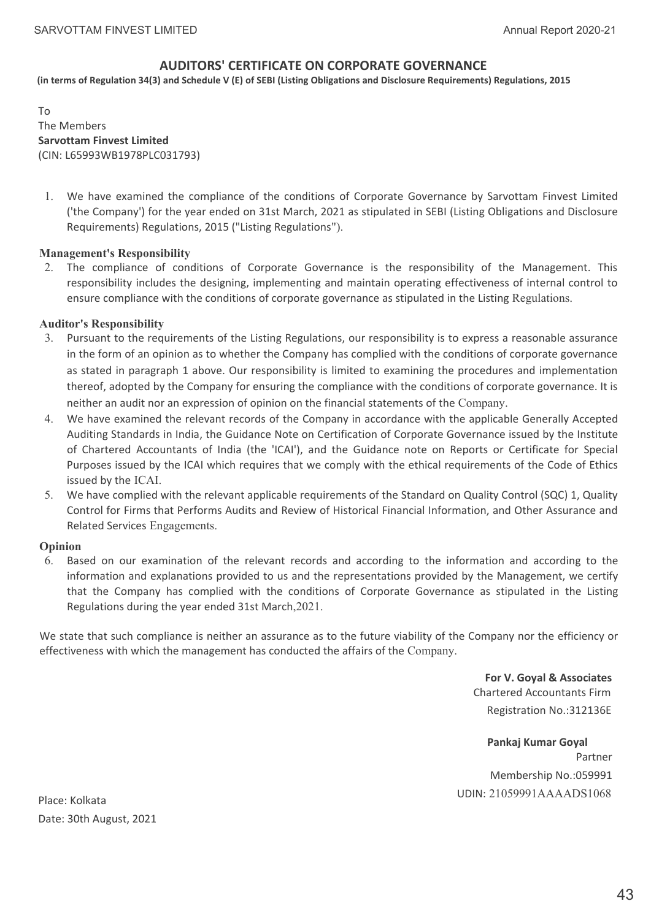# **AUDITORS' CERTIFICATE ON CORPORATE GOVERNANCE**

(in terms of Regulation 34(3) and Schedule V (E) of SEBI (Listing Obligations and Disclosure Requirements) Regulations, 2015

 $T<sub>0</sub>$ The Members **Sarvottam Finvest Limited** (CIN: L65993WB1978PLC031793)

1. We have examined the compliance of the conditions of Corporate Governance by Sarvottam Finvest Limited ('the Company') for the year ended on 31st March, 2021 as stipulated in SEBI (Listing Obligations and Disclosure Requirements) Regulations, 2015 ("Listing Regulations").

## **Management's Responsibility**

2. The compliance of conditions of Corporate Governance is the responsibility of the Management. This responsibility includes the designing, implementing and maintain operating effectiveness of internal control to ensure compliance with the conditions of corporate governance as stipulated in the Listing Regulations.

# **Auditor's Responsibility**

- 3. Pursuant to the requirements of the Listing Regulations, our responsibility is to express a reasonable assurance in the form of an opinion as to whether the Company has complied with the conditions of corporate governance as stated in paragraph 1 above. Our responsibility is limited to examining the procedures and implementation thereof, adopted by the Company for ensuring the compliance with the conditions of corporate governance. It is neither an audit nor an expression of opinion on the financial statements of the Company.
- 4. We have examined the relevant records of the Company in accordance with the applicable Generally Accepted Auditing Standards in India, the Guidance Note on Certification of Corporate Governance issued by the Institute of Chartered Accountants of India (the 'ICAI'), and the Guidance note on Reports or Certificate for Special Purposes issued by the ICAI which requires that we comply with the ethical requirements of the Code of Ethics issued by the ICAI.
- 5. We have complied with the relevant applicable requirements of the Standard on Quality Control (SQC) 1, Quality Control for Firms that Performs Audits and Review of Historical Financial Information, and Other Assurance and Related Services Engagements.

# **2**Opinion

 $6.$  Based on our examination of the relevant records and according to the information and according to the information and explanations provided to us and the representations provided by the Management, we certify that the Company has complied with the conditions of Corporate Governance as stipulated in the Listing Regulations during the year ended 31st March, 2021.

We state that such compliance is neither an assurance as to the future viability of the Company nor the efficiency or effectiveness with which the management has conducted the affairs of the Company.

> **For V. Goval & Associates** Chartered Accountants Firm Registration No.:312136E

**Pankaj Kumar Goyal** Partner Membership No.: 059991 UDIN: 21059991AAAADS1068

Place: Kolkata Date: 30th August, 2021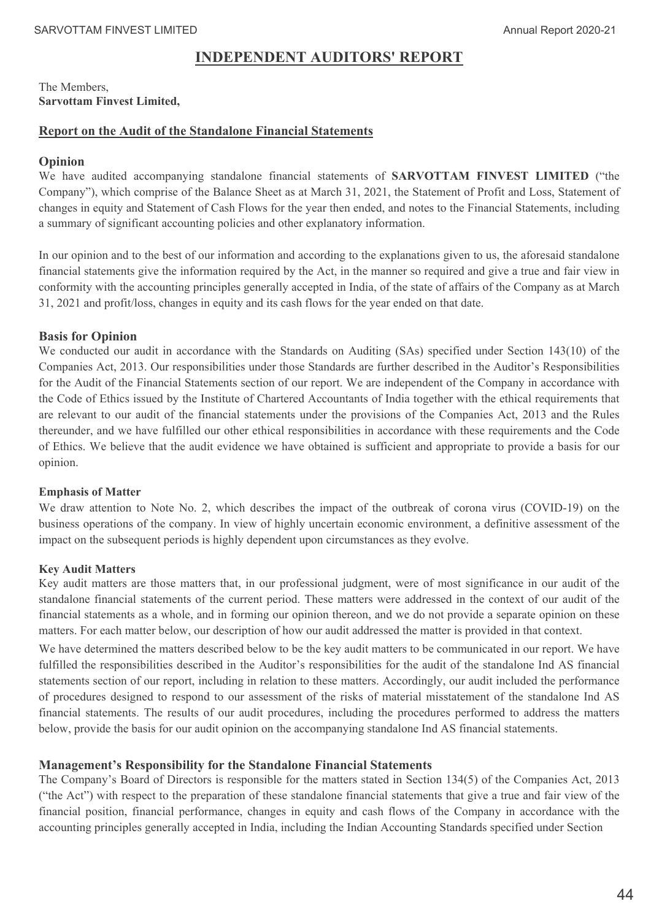# **INDEPENDENT AUDITORS' REPORT**

The Members. **Sarvottam Finvest Limited,** 

# **Report on the Audit of the Standalone Financial Statements**

# Opinion

We have audited accompanying standalone financial statements of SARVOTTAM FINVEST LIMITED ("the Company"), which comprise of the Balance Sheet as at March 31, 2021, the Statement of Profit and Loss, Statement of changes in equity and Statement of Cash Flows for the year then ended, and notes to the Financial Statements, including a summary of significant accounting policies and other explanatory information.

In our opinion and to the best of our information and according to the explanations given to us, the aforesaid standalone financial statements give the information required by the Act, in the manner so required and give a true and fair view in conformity with the accounting principles generally accepted in India, of the state of affairs of the Company as at March 31, 2021 and profit/loss, changes in equity and its cash flows for the year ended on that date.

# **Basis for Opinion**

We conducted our audit in accordance with the Standards on Auditing (SAs) specified under Section 143(10) of the Companies Act, 2013. Our responsibilities under those Standards are further described in the Auditor's Responsibilities for the Audit of the Financial Statements section of our report. We are independent of the Company in accordance with the Code of Ethics issued by the Institute of Chartered Accountants of India together with the ethical requirements that are relevant to our audit of the financial statements under the provisions of the Companies Act, 2013 and the Rules thereunder, and we have fulfilled our other ethical responsibilities in accordance with these requirements and the Code of Ethics. We believe that the audit evidence we have obtained is sufficient and appropriate to provide a basis for our opinion.

# **Emphasis of Matter**

We draw attention to Note No. 2, which describes the impact of the outbreak of corona virus (COVID-19) on the business operations of the company. In view of highly uncertain economic environment, a definitive assessment of the impact on the subsequent periods is highly dependent upon circumstances as they evolve.

# **Key Audit Matters**

Key audit matters are those matters that, in our professional judgment, were of most significance in our audit of the standalone financial statements of the current period. These matters were addressed in the context of our audit of the financial statements as a whole, and in forming our opinion thereon, and we do not provide a separate opinion on these matters. For each matter below, our description of how our audit addressed the matter is provided in that context.

We have determined the matters described below to be the key audit matters to be communicated in our report. We have fulfilled the responsibilities described in the Auditor's responsibilities for the audit of the standalone Ind AS financial statements section of our report, including in relation to these matters. Accordingly, our audit included the performance of procedures designed to respond to our assessment of the risks of material misstatement of the standalone Ind AS financial statements. The results of our audit procedures, including the procedures performed to address the matters below, provide the basis for our audit opinion on the accompanying standalone Ind AS financial statements.

# **Management's Responsibility for the Standalone Financial Statements**

The Company's Board of Directors is responsible for the matters stated in Section 134(5) of the Companies Act, 2013 ("the Act") with respect to the preparation of these standalone financial statements that give a true and fair view of the financial position, financial performance, changes in equity and cash flows of the Company in accordance with the accounting principles generally accepted in India, including the Indian Accounting Standards specified under Section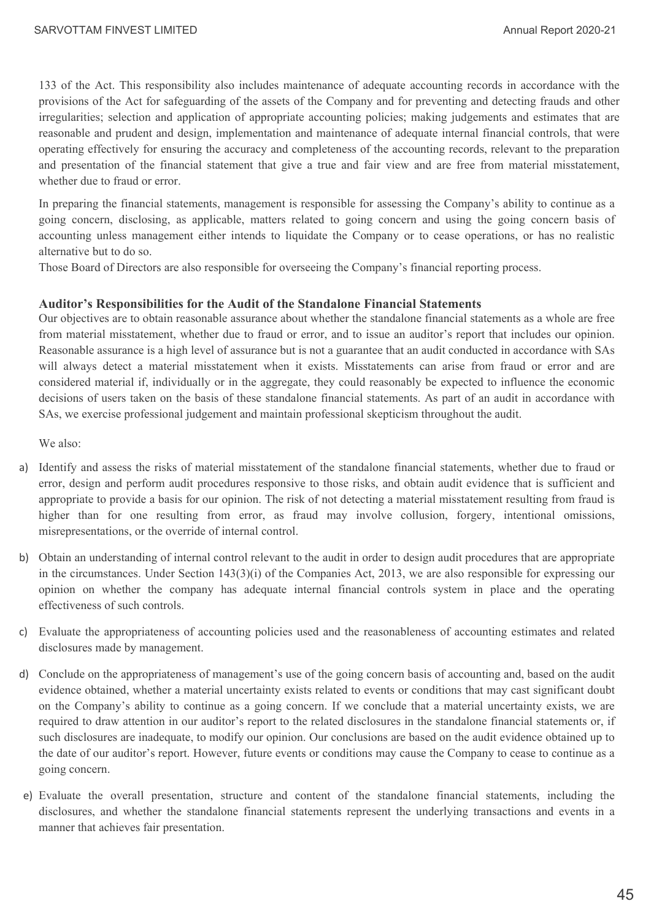133 of the Act. This responsibility also includes maintenance of adequate accounting records in accordance with the provisions of the Act for safeguarding of the assets of the Company and for preventing and detecting frauds and other irregularities; selection and application of appropriate accounting policies; making judgements and estimates that are reasonable and prudent and design, implementation and maintenance of adequate internal financial controls, that were operating effectively for ensuring the accuracy and completeness of the accounting records, relevant to the preparation and presentation of the financial statement that give a true and fair view and are free from material misstatement. whether due to fraud or error.

In preparing the financial statements, management is responsible for assessing the Company's ability to continue as a going concern, disclosing, as applicable, matters related to going concern and using the going concern basis of accounting unless management either intends to liquidate the Company or to cease operations, or has no realistic alternative but to do so.

Those Board of Directors are also responsible for overseeing the Company's financial reporting process.

# **Auditor's Responsibilities for the Audit of the Standalone Financial Statements**

Our objectives are to obtain reasonable assurance about whether the standalone financial statements as a whole are free from material misstatement, whether due to fraud or error, and to issue an auditor's report that includes our opinion. Reasonable assurance is a high level of assurance but is not a guarantee that an audit conducted in accordance with SAs will always detect a material misstatement when it exists. Misstatements can arise from fraud or error and are considered material if, individually or in the aggregate, they could reasonably be expected to influence the economic decisions of users taken on the basis of these standalone financial statements. As part of an audit in accordance with SAs, we exercise professional judgement and maintain professional skepticism throughout the audit.

We also:

- a) Identify and assess the risks of material misstatement of the standalone financial statements, whether due to fraud or error, design and perform audit procedures responsive to those risks, and obtain audit evidence that is sufficient and appropriate to provide a basis for our opinion. The risk of not detecting a material misstatement resulting from fraud is higher than for one resulting from error, as fraud may involve collusion, forgery, intentional omissions, misrepresentations, or the override of internal control.
- b) Obtain an understanding of internal control relevant to the audit in order to design audit procedures that are appropriate in the circumstances. Under Section  $143(3)(i)$  of the Companies Act, 2013, we are also responsible for expressing our opinion on whether the company has adequate internal financial controls system in place and the operating effectiveness of such controls
- c) Evaluate the appropriateness of accounting policies used and the reasonableness of accounting estimates and related disclosures made by management.
- d) Conclude on the appropriateness of management's use of the going concern basis of accounting and, based on the audit evidence obtained, whether a material uncertainty exists related to events or conditions that may cast significant doubt on the Company's ability to continue as a going concern. If we conclude that a material uncertainty exists, we are required to draw attention in our auditor's report to the related disclosures in the standalone financial statements or, if such disclosures are inadequate, to modify our opinion. Our conclusions are based on the audit evidence obtained up to the date of our auditor's report. However, future events or conditions may cause the Company to cease to continue as a going concern.
- e) Evaluate the overall presentation, structure and content of the standalone financial statements, including the disclosures, and whether the standalone financial statements represent the underlying transactions and events in a manner that achieves fair presentation.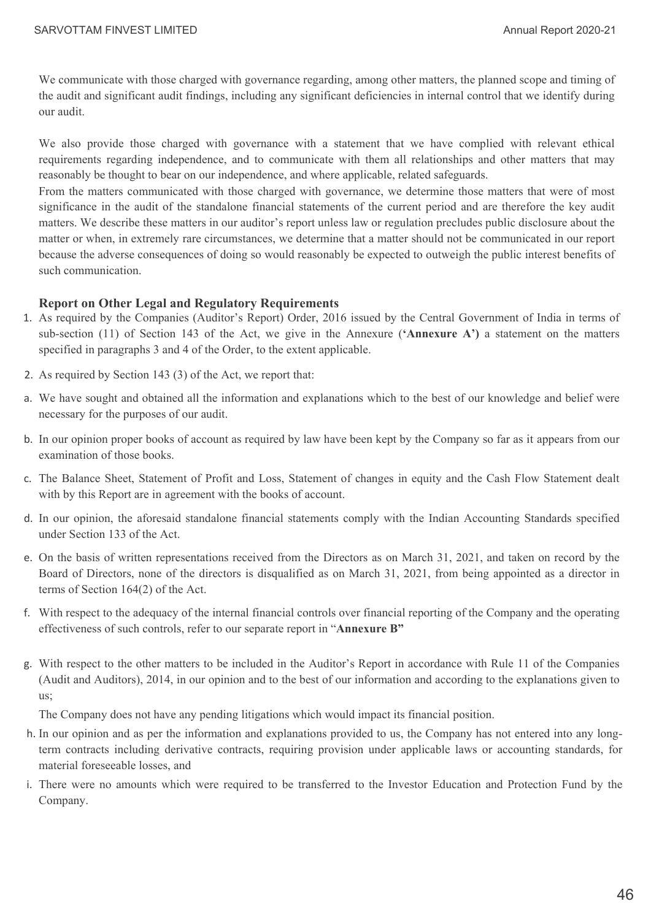We communicate with those charged with governance regarding, among other matters, the planned scope and timing of the audit and significant audit findings, including any significant deficiencies in internal control that we identify during our audit.

We also provide those charged with governance with a statement that we have complied with relevant ethical requirements regarding independence, and to communicate with them all relationships and other matters that may reasonably be thought to bear on our independence, and where applicable, related safeguards.

From the matters communicated with those charged with governance, we determine those matters that were of most significance in the audit of the standalone financial statements of the current period and are therefore the key audit matters. We describe these matters in our auditor's report unless law or regulation precludes public disclosure about the matter or when, in extremely rare circumstances, we determine that a matter should not be communicated in our report because the adverse consequences of doing so would reasonably be expected to outweigh the public interest benefits of such communication.

# **Report on Other Legal and Regulatory Requirements**

- 1. As required by the Companies (Auditor's Report) Order, 2016 issued by the Central Government of India in terms of sub-section (11) of Section 143 of the Act, we give in the Annexure ('Annexure A') a statement on the matters specified in paragraphs 3 and 4 of the Order, to the extent applicable.
- 2. As required by Section 143 (3) of the Act, we report that:
- a. We have sought and obtained all the information and explanations which to the best of our knowledge and belief were necessary for the purposes of our audit.
- b. In our opinion proper books of account as required by law have been kept by the Company so far as it appears from our examination of those books.
- c. The Balance Sheet, Statement of Profit and Loss, Statement of changes in equity and the Cash Flow Statement dealt with by this Report are in agreement with the books of account.
- d. In our opinion, the aforesaid standalone financial statements comply with the Indian Accounting Standards specified under Section 133 of the Act
- e. On the basis of written representations received from the Directors as on March 31, 2021, and taken on record by the Board of Directors, none of the directors is disqualified as on March 31, 2021, from being appointed as a director in terms of Section 164(2) of the Act.
- f. With respect to the adequacy of the internal financial controls over financial reporting of the Company and the operating effectiveness of such controls, refer to our separate report in "Annexure B"
- g. With respect to the other matters to be included in the Auditor's Report in accordance with Rule 11 of the Companies (Audit and Auditors), 2014, in our opinion and to the best of our information and according to the explanations given to us;

The Company does not have any pending litigations which would impact its financial position.

- h. In our opinion and as per the information and explanations provided to us, the Company has not entered into any longterm contracts including derivative contracts, requiring provision under applicable laws or accounting standards, for material foreseeable losses, and
- i. There were no amounts which were required to be transferred to the Investor Education and Protection Fund by the Company.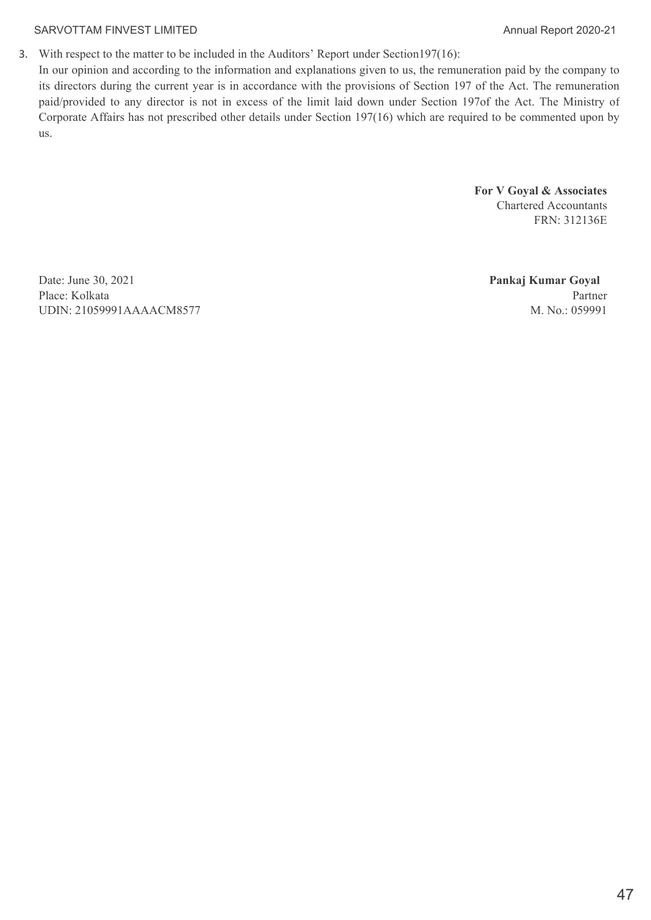# SARVOTTAM FINVEST LIMITED

- 3. With respect to the matter to be included in the Auditors' Report under Section 197(16):
	- In our opinion and according to the information and explanations given to us, the remuneration paid by the company to its directors during the current year is in accordance with the provisions of Section 197 of the Act. The remuneration paid/provided to any director is not in excess of the limit laid down under Section 197of the Act. The Ministry of Corporate Affairs has not prescribed other details under Section 197(16) which are required to be commented upon by us.

For V Goval & Associates **Chartered Accountants** FRN: 312136E

Date: June 30, 2021 Place: Kolkata UDIN: 21059991AAAACM8577 Pankaj Kumar Goyal Partner M. No.: 059991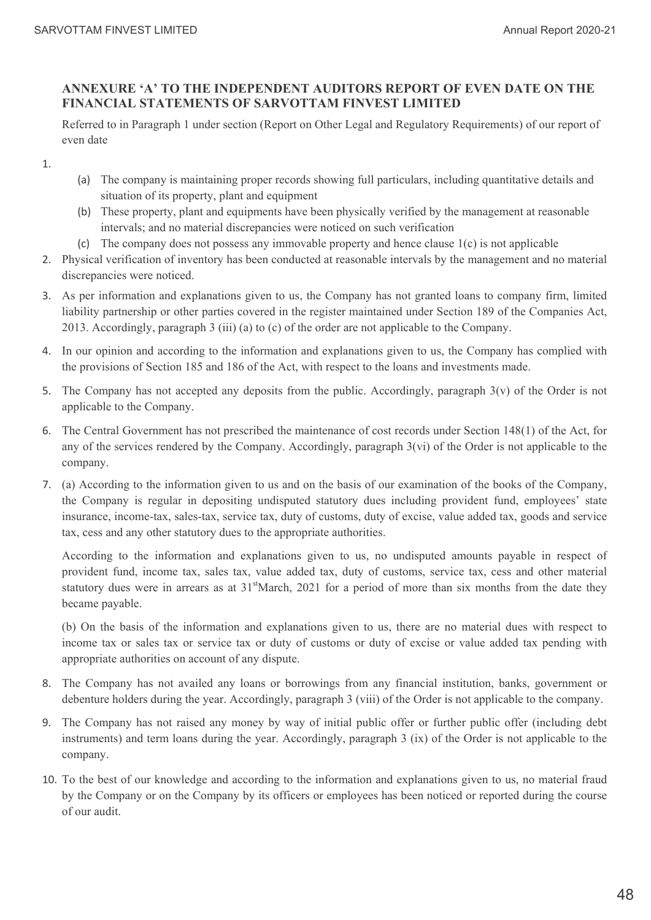# ANNEXURE 'A' TO THE INDEPENDENT AUDITORS REPORT OF EVEN DATE ON THE FINANCIAL STATEMENTS OF SARVOTTAM FINVEST LIMITED

Referred to in Paragraph 1 under section (Report on Other Legal and Regulatory Requirements) of our report of even date

 $1.$ 

- (a) The company is maintaining proper records showing full particulars, including quantitative details and situation of its property, plant and equipment
- (b) These property, plant and equipments have been physically verified by the management at reasonable intervals; and no material discrepancies were noticed on such verification
- (c) The company does not possess any immovable property and hence clause  $1(c)$  is not applicable
- 2. Physical verification of inventory has been conducted at reasonable intervals by the management and no material discrepancies were noticed.
- 3. As per information and explanations given to us, the Company has not granted loans to company firm, limited liability partnership or other parties covered in the register maintained under Section 189 of the Companies Act, 2013. Accordingly, paragraph 3 (iii) (a) to (c) of the order are not applicable to the Company.
- 4. In our opinion and according to the information and explanations given to us, the Company has complied with the provisions of Section 185 and 186 of the Act, with respect to the loans and investments made.
- 5. The Company has not accepted any deposits from the public. Accordingly, paragraph  $3(v)$  of the Order is not applicable to the Company.
- 6. The Central Government has not prescribed the maintenance of cost records under Section 148(1) of the Act, for any of the services rendered by the Company. Accordingly, paragraph 3(vi) of the Order is not applicable to the company.
- 7. (a) According to the information given to us and on the basis of our examination of the books of the Company, the Company is regular in depositing undisputed statutory dues including provident fund, employees' state insurance, income-tax, sales-tax, service tax, duty of customs, duty of excise, value added tax, goods and service tax, cess and any other statutory dues to the appropriate authorities.

According to the information and explanations given to us, no undisputed amounts payable in respect of provident fund, income tax, sales tax, value added tax, duty of customs, service tax, cess and other material statutory dues were in arrears as at 31<sup>st</sup>March, 2021 for a period of more than six months from the date they became payable.

(b) On the basis of the information and explanations given to us, there are no material dues with respect to income tax or sales tax or service tax or duty of customs or duty of excise or value added tax pending with appropriate authorities on account of any dispute.

- 8. The Company has not availed any loans or borrowings from any financial institution, banks, government or debenture holders during the year. Accordingly, paragraph 3 (viii) of the Order is not applicable to the company.
- 9. The Company has not raised any money by way of initial public offer or further public offer (including debt instruments) and term loans during the year. Accordingly, paragraph 3 (ix) of the Order is not applicable to the company.
- 10. To the best of our knowledge and according to the information and explanations given to us, no material fraud by the Company or on the Company by its officers or employees has been noticed or reported during the course of our audit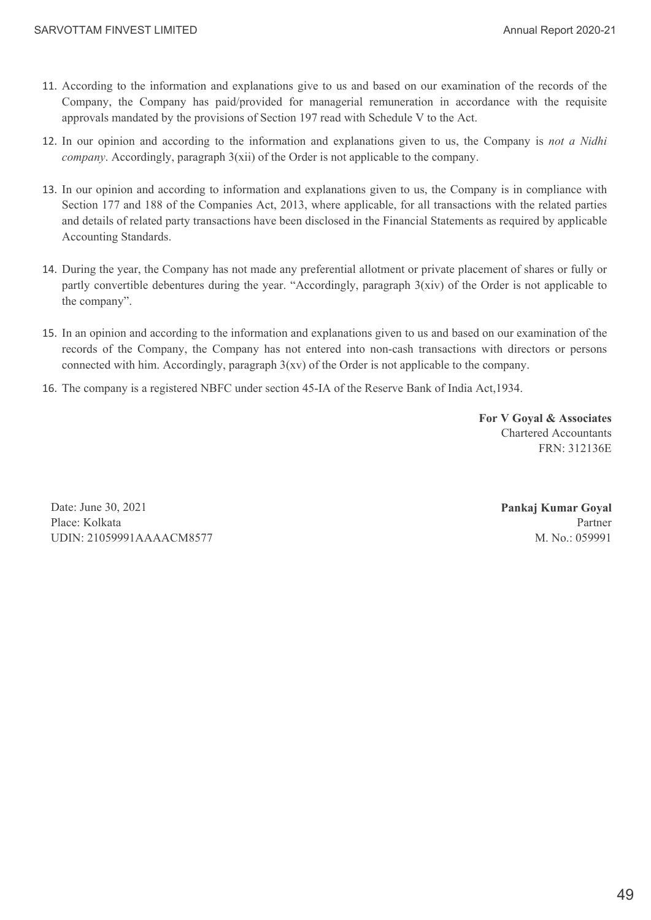- 11. According to the information and explanations give to us and based on our examination of the records of the Company, the Company has paid/provided for managerial remuneration in accordance with the requisite approvals mandated by the provisions of Section 197 read with Schedule V to the Act.
- 12. In our opinion and according to the information and explanations given to us, the Company is not a Nidhi *company*. Accordingly, paragraph 3(xii) of the Order is not applicable to the company.
- 13. In our opinion and according to information and explanations given to us, the Company is in compliance with Section 177 and 188 of the Companies Act, 2013, where applicable, for all transactions with the related parties and details of related party transactions have been disclosed in the Financial Statements as required by applicable Accounting Standards.
- 14. During the year, the Company has not made any preferential allotment or private placement of shares or fully or partly convertible debentures during the year. "Accordingly, paragraph 3(xiv) of the Order is not applicable to the company".
- 15. In an opinion and according to the information and explanations given to us and based on our examination of the records of the Company, the Company has not entered into non-cash transactions with directors or persons connected with him. Accordingly, paragraph  $3(xy)$  of the Order is not applicable to the company.
- 16. The company is a registered NBFC under section 45-IA of the Reserve Bank of India Act, 1934.

For V Goyal & Associates **Chartered Accountants** FRN: 312136E

Date: June 30, 2021 Place: Kolkata **UDIN: 21059991AAAACM8577**  Pankaj Kumar Goyal Partner  $M \text{ No} \cdot 059991$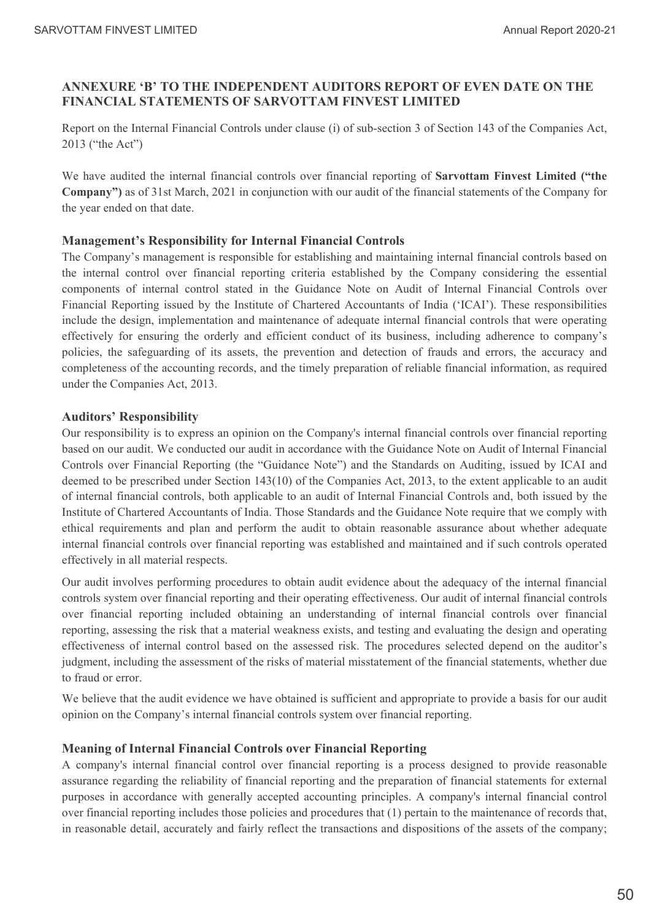# ANNEXURE 'B' TO THE INDEPENDENT AUDITORS REPORT OF EVEN DATE ON THE FINANCIAL STATEMENTS OF SARVOTTAM FINVEST LIMITED

Report on the Internal Financial Controls under clause (i) of sub-section 3 of Section 143 of the Companies Act. 2013 ("the Act")

We have audited the internal financial controls over financial reporting of Sarvottam Finvest Limited ("the **Company**") as of 31st March, 2021 in conjunction with our audit of the financial statements of the Company for the year ended on that date.

# **Management's Responsibility for Internal Financial Controls**

The Company's management is responsible for establishing and maintaining internal financial controls based on the internal control over financial reporting criteria established by the Company considering the essential components of internal control stated in the Guidance Note on Audit of Internal Financial Controls over Financial Reporting issued by the Institute of Chartered Accountants of India ('ICAI'). These responsibilities include the design, implementation and maintenance of adequate internal financial controls that were operating effectively for ensuring the orderly and efficient conduct of its business, including adherence to company's policies, the safeguarding of its assets, the prevention and detection of frauds and errors, the accuracy and completeness of the accounting records, and the timely preparation of reliable financial information, as required under the Companies Act, 2013.

# **Auditors' Responsibility**

Our responsibility is to express an opinion on the Company's internal financial controls over financial reporting based on our audit. We conducted our audit in accordance with the Guidance Note on Audit of Internal Financial Controls over Financial Reporting (the "Guidance Note") and the Standards on Auditing, issued by ICAI and deemed to be prescribed under Section  $143(10)$  of the Companies Act, 2013, to the extent applicable to an audit of internal financial controls, both applicable to an audit of Internal Financial Controls and, both issued by the Institute of Chartered Accountants of India. Those Standards and the Guidance Note require that we comply with ethical requirements and plan and perform the audit to obtain reasonable assurance about whether adequate internal financial controls over financial reporting was established and maintained and if such controls operated effectively in all material respects.

Our audit involves performing procedures to obtain audit evidence about the adequacy of the internal financial controls system over financial reporting and their operating effectiveness. Our audit of internal financial controls over financial reporting included obtaining an understanding of internal financial controls over financial reporting, assessing the risk that a material weakness exists, and testing and evaluating the design and operating effectiveness of internal control based on the assessed risk. The procedures selected depend on the auditor's judgment, including the assessment of the risks of material misstatement of the financial statements, whether due to fraud or error

We believe that the audit evidence we have obtained is sufficient and appropriate to provide a basis for our audit opinion on the Company's internal financial controls system over financial reporting.

# **Meaning of Internal Financial Controls over Financial Reporting**

A company's internal financial control over financial reporting is a process designed to provide reasonable assurance regarding the reliability of financial reporting and the preparation of financial statements for external purposes in accordance with generally accepted accounting principles. A company's internal financial control over financial reporting includes those policies and procedures that (1) pertain to the maintenance of records that, in reasonable detail, accurately and fairly reflect the transactions and dispositions of the assets of the company;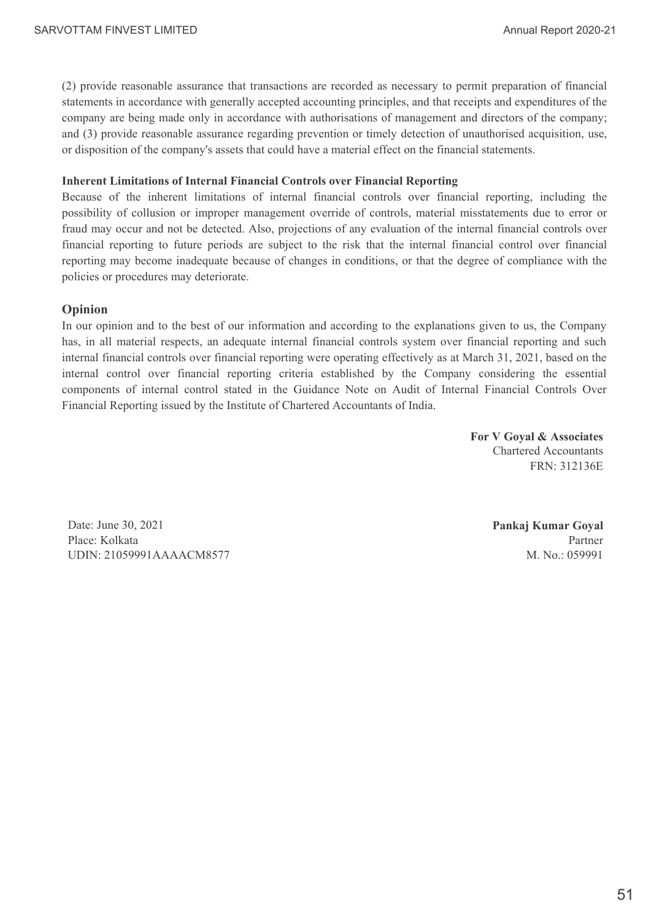(2) provide reasonable assurance that transactions are recorded as necessary to permit preparation of financial statements in accordance with generally accepted accounting principles, and that receipts and expenditures of the company are being made only in accordance with authorisations of management and directors of the company; and (3) provide reasonable assurance regarding prevention or timely detection of unauthorised acquisition, use, or disposition of the company's assets that could have a material effect on the financial statements.

# **Inherent Limitations of Internal Financial Controls over Financial Reporting**

Because of the inherent limitations of internal financial controls over financial reporting, including the possibility of collusion or improper management override of controls, material misstatements due to error or fraud may occur and not be detected. Also, projections of any evaluation of the internal financial controls over financial reporting to future periods are subject to the risk that the internal financial control over financial reporting may become inadequate because of changes in conditions, or that the degree of compliance with the policies or procedures may deteriorate.

# Opinion

In our opinion and to the best of our information and according to the explanations given to us, the Company has, in all material respects, an adequate internal financial controls system over financial reporting and such internal financial controls over financial reporting were operating effectively as at March 31, 2021, based on the internal control over financial reporting criteria established by the Company considering the essential components of internal control stated in the Guidance Note on Audit of Internal Financial Controls Over Financial Reporting issued by the Institute of Chartered Accountants of India.

> For V Goval & Associates **Chartered Accountants** FRN: 312136E

Date: June 30, 2021 Place: Kolkata **UDIN: 21059991AAAACM8577**  Pankaj Kumar Goyal Partner M. No.: 059991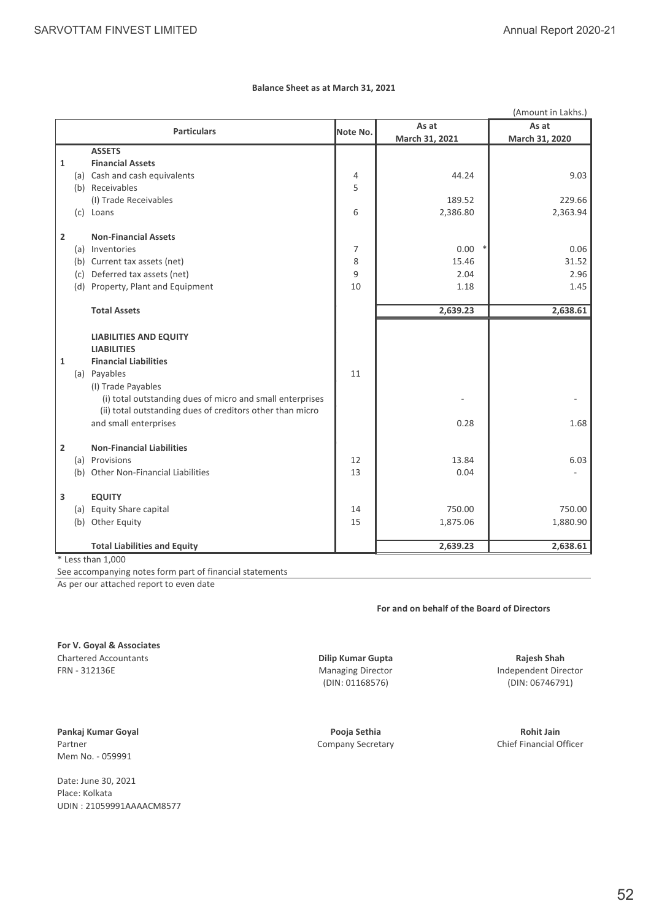#### Balance Sheet as at March 31, 2021

|                | (Amount in Lakhs.) |                                                           |          |                |                |  |  |  |
|----------------|--------------------|-----------------------------------------------------------|----------|----------------|----------------|--|--|--|
|                |                    | <b>Particulars</b>                                        | Note No. | As at          | As at          |  |  |  |
|                |                    |                                                           |          | March 31, 2021 | March 31, 2020 |  |  |  |
|                |                    | <b>ASSETS</b>                                             |          |                |                |  |  |  |
| $\mathbf{1}$   |                    | <b>Financial Assets</b>                                   |          |                |                |  |  |  |
|                |                    | (a) Cash and cash equivalents                             | 4        | 44.24          | 9.03           |  |  |  |
|                |                    | (b) Receivables                                           | 5        |                |                |  |  |  |
|                |                    | (I) Trade Receivables                                     |          | 189.52         | 229.66         |  |  |  |
|                |                    | (c) Loans                                                 | 6        | 2,386.80       | 2,363.94       |  |  |  |
| $\overline{2}$ |                    | <b>Non-Financial Assets</b>                               |          |                |                |  |  |  |
|                |                    | (a) Inventories                                           | 7        | $0.00*$        | 0.06           |  |  |  |
|                |                    | (b) Current tax assets (net)                              | 8        | 15.46          | 31.52          |  |  |  |
|                |                    | (c) Deferred tax assets (net)                             | 9        | 2.04           | 2.96           |  |  |  |
|                |                    | (d) Property, Plant and Equipment                         | 10       | 1.18           | 1.45           |  |  |  |
|                |                    | <b>Total Assets</b>                                       |          | 2,639.23       | 2,638.61       |  |  |  |
|                |                    |                                                           |          |                |                |  |  |  |
|                |                    | <b>LIABILITIES AND EQUITY</b>                             |          |                |                |  |  |  |
|                |                    | <b>LIABILITIES</b>                                        |          |                |                |  |  |  |
| 1              |                    | <b>Financial Liabilities</b>                              |          |                |                |  |  |  |
|                |                    | (a) Payables                                              | 11       |                |                |  |  |  |
|                |                    | (I) Trade Payables                                        |          |                |                |  |  |  |
|                |                    | (i) total outstanding dues of micro and small enterprises |          |                |                |  |  |  |
|                |                    | (ii) total outstanding dues of creditors other than micro |          |                |                |  |  |  |
|                |                    | and small enterprises                                     |          | 0.28           | 1.68           |  |  |  |
| $\overline{2}$ |                    | <b>Non-Financial Liabilities</b>                          |          |                |                |  |  |  |
|                |                    | (a) Provisions                                            | 12       | 13.84          | 6.03           |  |  |  |
|                |                    | (b) Other Non-Financial Liabilities                       | 13       | 0.04           |                |  |  |  |
| 3              |                    | <b>EQUITY</b>                                             |          |                |                |  |  |  |
|                |                    | (a) Equity Share capital                                  | 14       | 750.00         | 750.00         |  |  |  |
|                |                    | (b) Other Equity                                          | 15       | 1,875.06       | 1,880.90       |  |  |  |
|                |                    | <b>Total Liabilities and Equity</b>                       |          | 2,639.23       | 2,638.61       |  |  |  |
|                |                    | $*!$                                                      |          |                |                |  |  |  |

Less than 1,000

See accompanying notes form part of financial statements

As per our attached report to even date

### **For and on behalf of the Board of Directors**

**For V. Goyal & Associates**<br>Chartered Accountants Chartered Accountants<br>
FRN - 312136E<br>
FRN - 312136E<br>
FRN - 312136E

Pankaj Kumar Goyal<br>
Partner **Markaj Kumar Goyal**<br>
Partner **Markaj Kumar Goyal**<br>
Chief Financial Officer<br>
Chief Financial Officer Partner **MAZ Company Secretary** Mem No. - 059991

Date: June 30, 2021 Place: Kolkata UDIN: 21059991AAAACM8577 (DIN: 01168576)

Managing Director<br>
(DIN: 01168576) (DIN: 06746791)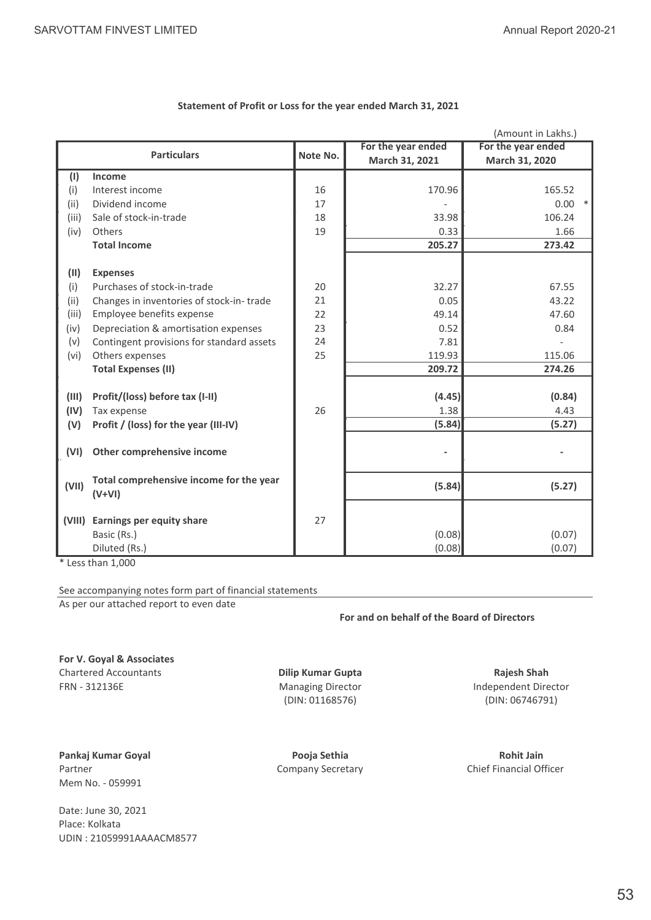|        |                                           |          |                    | (Amount in Lakhs.) |
|--------|-------------------------------------------|----------|--------------------|--------------------|
|        |                                           |          | For the year ended | For the year ended |
|        | <b>Particulars</b>                        | Note No. | March 31, 2021     | March 31, 2020     |
| (1)    | Income                                    |          |                    |                    |
| (i)    | Interest income                           | 16       | 170.96             | 165.52             |
| (ii)   | Dividend income                           | 17       |                    | $0.00*$            |
| (iii)  | Sale of stock-in-trade                    | 18       | 33.98              | 106.24             |
| (iv)   | Others                                    | 19       | 0.33               | 1.66               |
|        | <b>Total Income</b>                       |          | 205.27             | 273.42             |
|        |                                           |          |                    |                    |
| (11)   | <b>Expenses</b>                           |          |                    |                    |
| (i)    | Purchases of stock-in-trade               | 20       | 32.27              | 67.55              |
| (ii)   | Changes in inventories of stock-in-trade  | 21       | 0.05               | 43.22              |
| (iii)  | Employee benefits expense                 | 22       | 49.14              | 47.60              |
| (iv)   | Depreciation & amortisation expenses      | 23       | 0.52               | 0.84               |
| (v)    | Contingent provisions for standard assets | 24       | 7.81               |                    |
| (vi)   | Others expenses                           | 25       | 119.93             | 115.06             |
|        | <b>Total Expenses (II)</b>                |          | 209.72             | 274.26             |
|        |                                           |          |                    |                    |
| (III)  | Profit/(loss) before tax (I-II)           |          | (4.45)             | (0.84)             |
| (IV)   | Tax expense                               | 26       | 1.38               | 4.43               |
| (V)    | Profit / (loss) for the year (III-IV)     |          | (5.84)             | (5.27)             |
|        |                                           |          |                    |                    |
| (VI)   | Other comprehensive income                |          |                    |                    |
|        |                                           |          |                    |                    |
| (VII)  | Total comprehensive income for the year   |          | (5.84)             | (5.27)             |
|        | $(V+VI)$                                  |          |                    |                    |
|        |                                           |          |                    |                    |
| (VIII) | <b>Earnings per equity share</b>          | 27       |                    |                    |
|        | Basic (Rs.)                               |          | (0.08)             | (0.07)             |
|        | Diluted (Rs.)                             |          | (0.08)             | (0.07)             |

### Statement of Profit or Loss for the year ended March 31, 2021

 $*$  Less than 1,000

See accompanying notes form part of financial statements

As per our attached report to even date

### **Eor and on behalf of the Board of Directors**

For V. Goyal & Associates Chartered Accountants **School Community State Shah Dilip Kumar Gupta Shah Rajesh Shah** 

(DIN: 01168576) (DIN: 06746791)

&ZEͲϯϭϮϭϯϲ DĂŶĂŐŝŶŐŝƌĞĐƚŽƌ /ŶĚĞƉĞŶĚĞŶƚŝƌĞĐƚŽƌ

Pankaj Kumar Goyal **Witter School School** Pooja Sethia **Witter School School School School** Rohit Jain Partner **MAZ** Company Secretary **Company Secretary** Chief Financial Officer Mem No. - 059991

Date: June 30, 2021 Place: Kolkata UDIN: 21059991AAAACM8577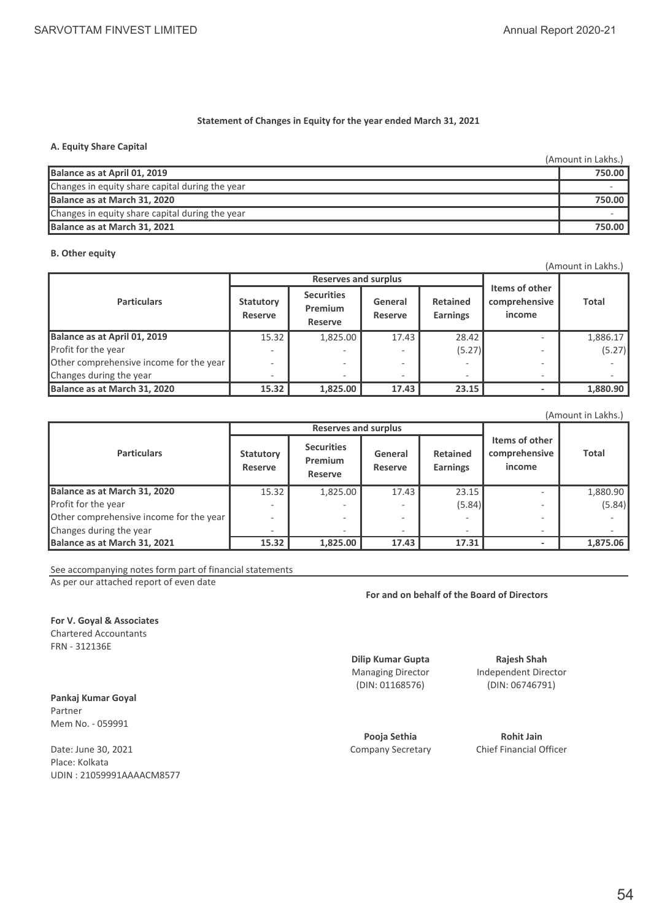### Statement of Changes in Equity for the year ended March 31, 2021

#### **A. Equity Share Capital**

|                                                 | (Amount in Lakhs.) |
|-------------------------------------------------|--------------------|
| Balance as at April 01, 2019                    | 750.00             |
| Changes in equity share capital during the year |                    |
| Balance as at March 31, 2020                    | 750.00             |
| Changes in equity share capital during the year |                    |
| Balance as at March 31, 2021                    | 750.00             |

#### **B.** Other equity

| (Amount in Lakhs.)                      |                                    |                                                |                           |                                    |                                           |              |
|-----------------------------------------|------------------------------------|------------------------------------------------|---------------------------|------------------------------------|-------------------------------------------|--------------|
|                                         |                                    | <b>Reserves and surplus</b>                    |                           |                                    |                                           |              |
| <b>Particulars</b>                      | <b>Statutory</b><br><b>Reserve</b> | <b>Securities</b><br><b>Premium</b><br>Reserve | General<br><b>Reserve</b> | <b>Retained</b><br><b>Earnings</b> | Items of other<br>comprehensive<br>income | <b>Total</b> |
| Balance as at April 01, 2019            | 15.32                              | 1,825.00                                       | 17.43                     | 28.42                              |                                           | 1,886.17     |
| <b>Profit for the year</b>              |                                    |                                                |                           | (5.27)                             |                                           | (5.27)       |
| Other comprehensive income for the year |                                    |                                                |                           |                                    |                                           |              |
| Changes during the year                 |                                    | $\overline{\phantom{a}}$                       |                           | $\overline{\phantom{a}}$           | ۰                                         |              |
| Balance as at March 31, 2020            | 15.32                              | 1,825.00                                       | 17.43                     | 23.15                              |                                           | 1,880.90     |

|                                         |                             | <b>Reserves and surplus</b>                           |                    |                                    |                                           |              |
|-----------------------------------------|-----------------------------|-------------------------------------------------------|--------------------|------------------------------------|-------------------------------------------|--------------|
| <b>Particulars</b>                      | <b>Statutory</b><br>Reserve | <b>Securities</b><br><b>Premium</b><br><b>Reserve</b> | General<br>Reserve | <b>Retained</b><br><b>Earnings</b> | Items of other<br>comprehensive<br>income | <b>Total</b> |
| Balance as at March 31, 2020            | 15.32                       | 1.825.00                                              | 17.43              | 23.15                              |                                           | 1,880.90     |
| Profit for the year                     |                             |                                                       |                    | (5.84)                             |                                           | (5.84)       |
| Other comprehensive income for the year |                             | -                                                     |                    |                                    |                                           |              |
| Changes during the year                 |                             | -                                                     |                    | $\overline{\phantom{a}}$           |                                           |              |
| Balance as at March 31, 2021            | 15.32                       | 1,825.00                                              | 17.43              | 17.31                              |                                           | 1.875.06     |

See accompanying notes form part of financial statements

As per our attached report of even date

**For and on behalf of the Board of Directors** 

### For V. Goyal & Associates

Chartered Accountants FRN - 312136E

### Pankaj Kumar Goyal

Partner Mem No. - 059991

Date: June 30, 2021 **And America** Company Secretary Place: Kolkata UDIN: 21059991AAAACM8577

**Suhip Kumar Gupta Shah** Rajesh Shah Managing Director lndependent Director (DIN: 01168576) (DIN: 06746791)

**Pooja Sethia**<br>
mpany Secretary **Manual Chief Financial Officer** 

(Amount in Lakhs)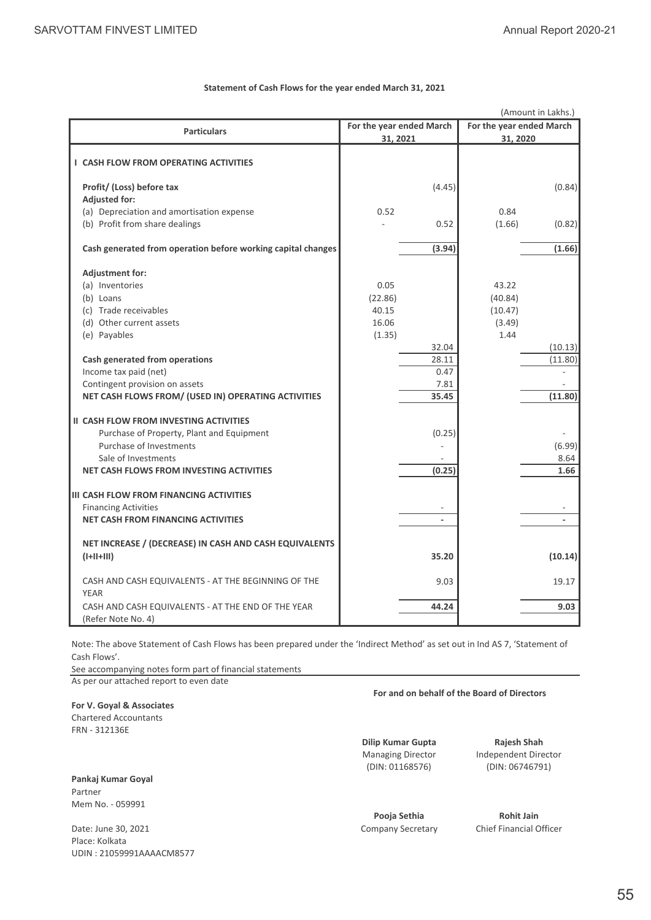| (Amount in Lakhs.)                                                   |          |                |                          |                          |
|----------------------------------------------------------------------|----------|----------------|--------------------------|--------------------------|
| For the year ended March                                             |          |                | For the year ended March |                          |
| <b>Particulars</b>                                                   | 31, 2021 |                | 31, 2020                 |                          |
|                                                                      |          |                |                          |                          |
| <b>I CASH FLOW FROM OPERATING ACTIVITIES</b>                         |          |                |                          |                          |
|                                                                      |          |                |                          |                          |
| Profit/ (Loss) before tax                                            |          | (4.45)         |                          | (0.84)                   |
| <b>Adjusted for:</b>                                                 |          |                |                          |                          |
| (a) Depreciation and amortisation expense                            | 0.52     |                | 0.84                     |                          |
| (b) Profit from share dealings                                       |          | 0.52           | (1.66)                   | (0.82)                   |
|                                                                      |          |                |                          |                          |
| Cash generated from operation before working capital changes         |          | (3.94)         |                          | (1.66)                   |
|                                                                      |          |                |                          |                          |
| <b>Adjustment for:</b>                                               |          |                |                          |                          |
| (a) Inventories                                                      | 0.05     |                | 43.22                    |                          |
| (b) Loans                                                            | (22.86)  |                | (40.84)                  |                          |
| (c) Trade receivables                                                | 40.15    |                | (10.47)                  |                          |
| (d) Other current assets                                             | 16.06    |                | (3.49)                   |                          |
| (e) Payables                                                         | (1.35)   |                | 1.44                     |                          |
|                                                                      |          |                |                          |                          |
|                                                                      |          | 32.04          |                          | (10.13)                  |
| Cash generated from operations                                       |          | 28.11          |                          | (11.80)                  |
| Income tax paid (net)                                                |          | 0.47           |                          |                          |
| Contingent provision on assets                                       |          | 7.81           |                          |                          |
| NET CASH FLOWS FROM/ (USED IN) OPERATING ACTIVITIES                  |          | 35.45          |                          | (11.80)                  |
| II CASH FLOW FROM INVESTING ACTIVITIES                               |          |                |                          |                          |
|                                                                      |          |                |                          |                          |
| Purchase of Property, Plant and Equipment<br>Purchase of Investments |          | (0.25)         |                          | (6.99)                   |
| Sale of Investments                                                  |          |                |                          | 8.64                     |
|                                                                      |          |                |                          |                          |
| <b>NET CASH FLOWS FROM INVESTING ACTIVITIES</b>                      |          | (0.25)         |                          | 1.66                     |
| IIII CASH FLOW FROM FINANCING ACTIVITIES                             |          |                |                          |                          |
|                                                                      |          |                |                          |                          |
| <b>Financing Activities</b>                                          |          |                |                          |                          |
| <b>NET CASH FROM FINANCING ACTIVITIES</b>                            |          | $\overline{a}$ |                          | $\overline{\phantom{a}}$ |
| NET INCREASE / (DECREASE) IN CASH AND CASH EQUIVALENTS               |          |                |                          |                          |
|                                                                      |          |                |                          |                          |
| $(I+II+III)$                                                         |          | 35.20          |                          | (10.14)                  |
| CASH AND CASH EQUIVALENTS - AT THE BEGINNING OF THE                  |          | 9.03           |                          | 19.17                    |
|                                                                      |          |                |                          |                          |
| <b>YEAR</b>                                                          |          |                |                          |                          |
| CASH AND CASH EQUIVALENTS - AT THE END OF THE YEAR                   |          | 44.24          |                          | 9.03                     |
| (Refer Note No. 4)                                                   |          |                |                          |                          |

### Statement of Cash Flows for the year ended March 31, 2021

Note: The above Statement of Cash Flows has been prepared under the 'Indirect Method' as set out in Ind AS 7, 'Statement of Cash Flows'.

See accompanying notes form part of financial statements As per our attached report to even date

For V. Goyal & Associates Chartered Accountants FRN - 312136E

For and on behalf of the Board of Directors

*<u>Dilip Kumar Gupta</u>* Managing Director (DIN: 01168576) (DIN: 06746791)

**Rajesh Shah** Independent Director

Pankaj Kumar Goyal Partner Mem No. - 059991

Date: June 30, 2021 Place: Kolkata UDIN: 21059991AAAACM8577 Company Secretary Pooja Sethia **WAZZA Rohit Jain** 

Chief Financial Officer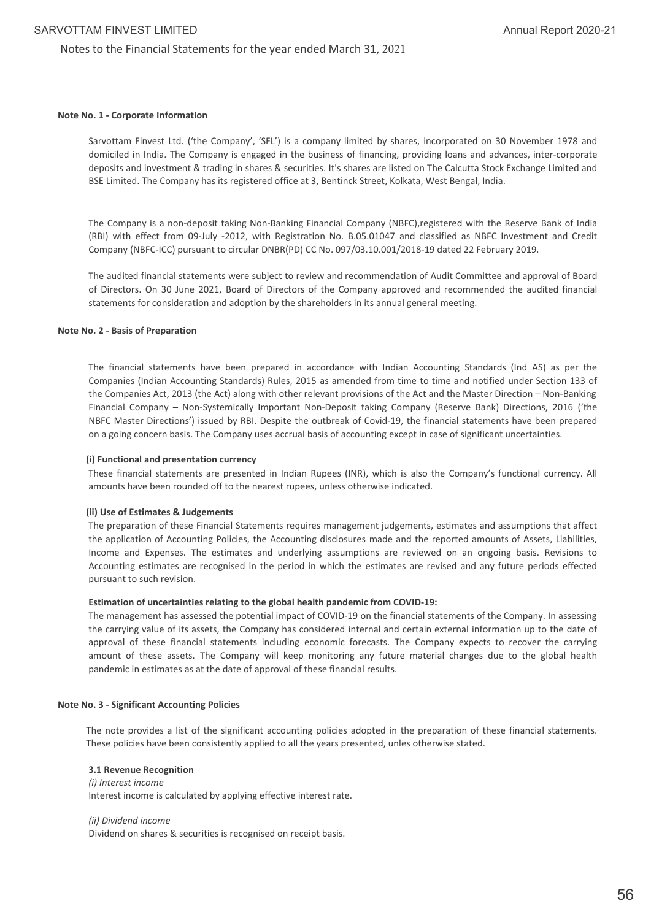#### **Note No. 1 - Corporate Information**

Sarvottam Finvest Ltd. ('the Company', 'SFL') is a company limited by shares, incorporated on 30 November 1978 and domiciled in India. The Company is engaged in the business of financing, providing loans and advances, inter-corporate deposits and investment & trading in shares & securities. It's shares are listed on The Calcutta Stock Exchange Limited and BSE Limited. The Company has its registered office at 3, Bentinck Street, Kolkata, West Bengal, India.

The Company is a non-deposit taking Non-Banking Financial Company (NBFC) registered with the Reserve Bank of India (RBI) with effect from 09-July -2012, with Registration No. B.05.01047 and classified as NBFC Investment and Credit Company (NBFC-ICC) pursuant to circular DNBR(PD) CC No. 097/03.10.001/2018-19 dated 22 February 2019.

The audited financial statements were subject to review and recommendation of Audit Committee and approval of Board of Directors. On 30 June 2021, Board of Directors of the Company approved and recommended the audited financial statements for consideration and adoption by the shareholders in its annual general meeting.

#### **Note No. 2 - Basis of Preparation**

The financial statements have been prepared in accordance with Indian Accounting Standards (Ind AS) as per the Companies (Indian Accounting Standards) Rules, 2015 as amended from time to time and notified under Section 133 of the Companies Act, 2013 (the Act) along with other relevant provisions of the Act and the Master Direction - Non-Banking Financial Company - Non-Systemically Important Non-Deposit taking Company (Reserve Bank) Directions, 2016 ('the NBFC Master Directions') issued by RBI. Despite the outbreak of Covid-19, the financial statements have been prepared on a going concern basis. The Company uses accrual basis of accounting except in case of significant uncertainties.

#### **(i) Functional and presentation currency**

These financial statements are presented in Indian Rupees (INR), which is also the Company's functional currency. All amounts have been rounded off to the nearest rupees, unless otherwise indicated.

#### **(ii) Use of Estimates & Judgements**

The preparation of these Financial Statements requires management judgements, estimates and assumptions that affect the application of Accounting Policies, the Accounting disclosures made and the reported amounts of Assets, Liabilities, Income and Expenses. The estimates and underlying assumptions are reviewed on an ongoing basis. Revisions to Accounting estimates are recognised in the period in which the estimates are revised and any future periods effected pursuant to such revision.

#### Estimation of uncertainties relating to the global health pandemic from COVID-19:

The management has assessed the potential impact of COVID-19 on the financial statements of the Company. In assessing the carrying value of its assets, the Company has considered internal and certain external information up to the date of approval of these financial statements including economic forecasts. The Company expects to recover the carrying amount of these assets. The Company will keep monitoring any future material changes due to the global health pandemic in estimates as at the date of approval of these financial results.

#### **Note No. 3 - Significant Accounting Policies**

The note provides a list of the significant accounting policies adopted in the preparation of these financial statements. These policies have been consistently applied to all the years presented, unles otherwise stated.

### **3.1 Revenue Recognition**

*(i)* Interest income Interest income is calculated by applying effective interest rate.

*(ii)* Dividend income

Dividend on shares & securities is recognised on receipt basis.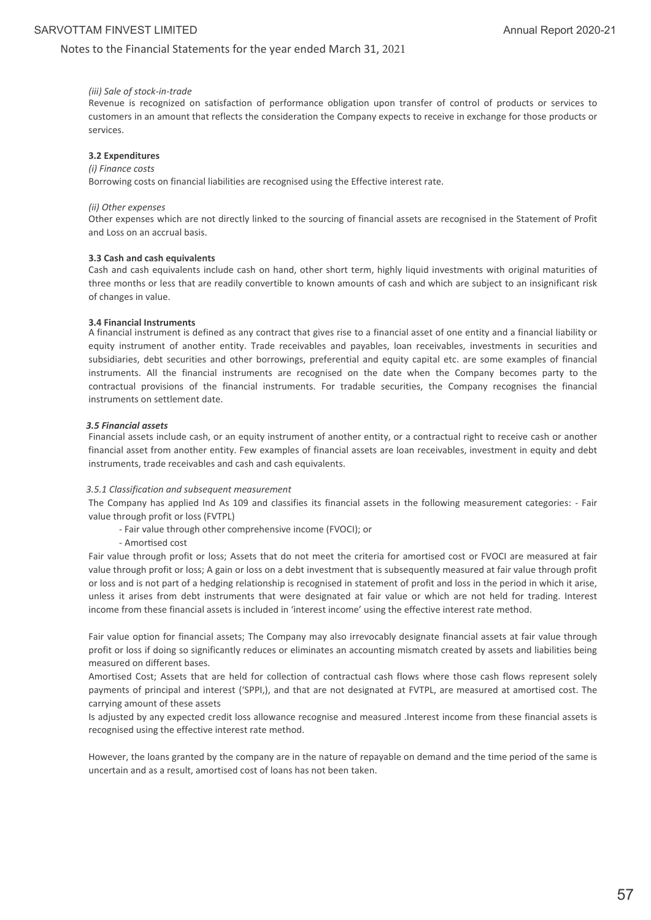#### *(iii)* Sale of stock-in-trade

Revenue is recognized on satisfaction of performance obligation upon transfer of control of products or services to customers in an amount that reflects the consideration the Company expects to receive in exchange for those products or SArvices

#### **3.2 Expenditures**

#### *(i)* Finance costs

Borrowing costs on financial liabilities are recognised using the Effective interest rate.

#### *(ii)* Other expenses

Other expenses which are not directly linked to the sourcing of financial assets are recognised in the Statement of Profit and Loss on an accrual basis.

#### **3.3 Cash and cash equivalents**

Cash and cash equivalents include cash on hand, other short term, highly liquid investments with original maturities of three months or less that are readily convertible to known amounts of cash and which are subject to an insignificant risk of changes in value.

#### **3.4 Financial Instruments**

A financial instrument is defined as any contract that gives rise to a financial asset of one entity and a financial liability or equity instrument of another entity. Trade receivables and payables, loan receivables, investments in securities and subsidiaries, debt securities and other borrowings, preferential and equity capital etc. are some examples of financial instruments. All the financial instruments are recognised on the date when the Company becomes party to the contractual provisions of the financial instruments. For tradable securities, the Company recognises the financial instruments on settlement date.

#### $3.5$  Financial assets

Financial assets include cash, or an equity instrument of another entity, or a contractual right to receive cash or another financial asset from another entity. Few examples of financial assets are loan receivables, investment in equity and debt instruments, trade receivables and cash and cash equivalents.

#### 3.5.1 Classification and subsequent measurement

The Company has applied Ind As 109 and classifies its financial assets in the following measurement categories: - Fair value through profit or loss (FVTPL)

- Fair value through other comprehensive income (FVOCI); or
- Amortised cost

Fair value through profit or loss; Assets that do not meet the criteria for amortised cost or FVOCI are measured at fair value through profit or loss; A gain or loss on a debt investment that is subsequently measured at fair value through profit or loss and is not part of a hedging relationship is recognised in statement of profit and loss in the period in which it arise, unless it arises from debt instruments that were designated at fair value or which are not held for trading. Interest income from these financial assets is included in 'interest income' using the effective interest rate method.

Fair value option for financial assets; The Company may also irrevocably designate financial assets at fair value through profit or loss if doing so significantly reduces or eliminates an accounting mismatch created by assets and liabilities being measured on different bases.

Amortised Cost; Assets that are held for collection of contractual cash flows where those cash flows represent solely payments of principal and interest ('SPPI,), and that are not designated at FVTPL, are measured at amortised cost. The carrying amount of these assets

Is adjusted by any expected credit loss allowance recognise and measured .Interest income from these financial assets is recognised using the effective interest rate method.

However, the loans granted by the company are in the nature of repayable on demand and the time period of the same is uncertain and as a result, amortised cost of loans has not been taken.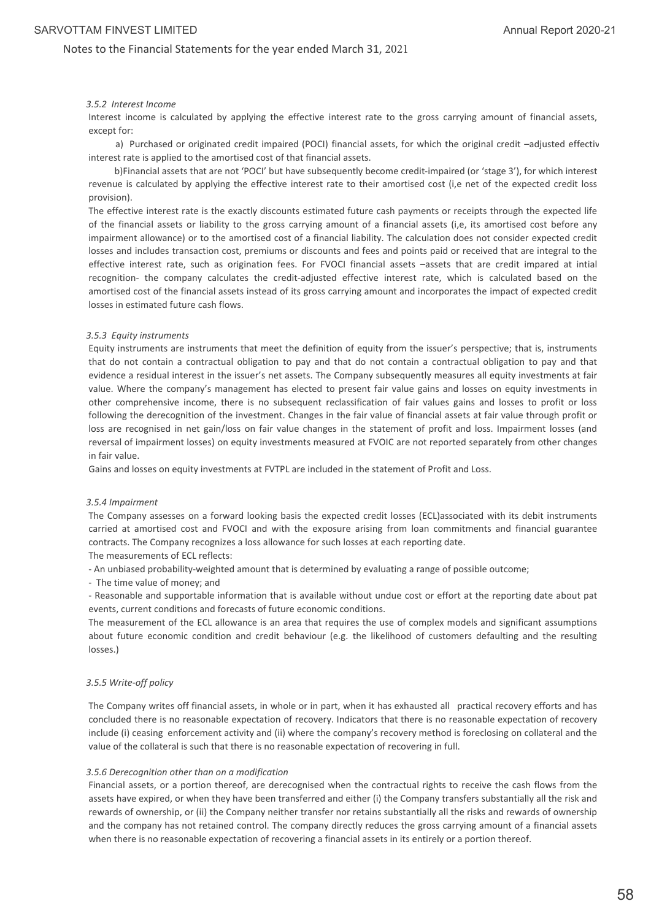#### 3.5.2 Interest Income

Interest income is calculated by applying the effective interest rate to the gross carrying amount of financial assets, except for:

a) Purchased or originated credit impaired (POCI) financial assets, for which the original credit -adjusted effectiv interest rate is applied to the amortised cost of that financial assets.

b)Financial assets that are not 'POCI' but have subsequently become credit-impaired (or 'stage 3'), for which interest revenue is calculated by applying the effective interest rate to their amortised cost (i,e net of the expected credit loss provision).

The effective interest rate is the exactly discounts estimated future cash payments or receipts through the expected life of the financial assets or liability to the gross carrying amount of a financial assets (i,e, its amortised cost before any impairment allowance) or to the amortised cost of a financial liability. The calculation does not consider expected credit losses and includes transaction cost, premiums or discounts and fees and points paid or received that are integral to the effective interest rate, such as origination fees. For FVOCI financial assets -assets that are credit impared at intial recognition- the company calculates the credit-adjusted effective interest rate, which is calculated based on the amortised cost of the financial assets instead of its gross carrying amount and incorporates the impact of expected credit losses in estimated future cash flows.

### 3.5.3 Equity instruments

Equity instruments are instruments that meet the definition of equity from the issuer's perspective; that is, instruments that do not contain a contractual obligation to pay and that do not contain a contractual obligation to pay and that evidence a residual interest in the issuer's net assets. The Company subsequently measures all equity investments at fair value. Where the company's management has elected to present fair value gains and losses on equity investments in other comprehensive income, there is no subsequent reclassification of fair values gains and losses to profit or loss following the derecognition of the investment. Changes in the fair value of financial assets at fair value through profit or loss are recognised in net gain/loss on fair value changes in the statement of profit and loss. Impairment losses (and reversal of impairment losses) on equity investments measured at FVOIC are not reported separately from other changes in fair value.

Gains and losses on equity investments at FVTPL are included in the statement of Profit and Loss.

### 3.5.4 Impairment

The Company assesses on a forward looking basis the expected credit losses (ECL)associated with its debit instruments carried at amortised cost and FVOCI and with the exposure arising from loan commitments and financial guarantee contracts. The Company recognizes a loss allowance for such losses at each reporting date.

The measurements of ECL reflects:

- An unbiased probability-weighted amount that is determined by evaluating a range of possible outcome;

- The time value of money; and

- Reasonable and supportable information that is available without undue cost or effort at the reporting date about pat events, current conditions and forecasts of future economic conditions.

The measurement of the ECL allowance is an area that requires the use of complex models and significant assumptions about future economic condition and credit behaviour (e.g. the likelihood of customers defaulting and the resulting losses.)

### 3.5.5 Write-off policy

The Company writes off financial assets, in whole or in part, when it has exhausted all practical recovery efforts and has concluded there is no reasonable expectation of recovery. Indicators that there is no reasonable expectation of recovery include (i) ceasing enforcement activity and (ii) where the company's recovery method is foreclosing on collateral and the value of the collateral is such that there is no reasonable expectation of recovering in full.

#### 3.5.6 Derecognition other than on a modification

Financial assets, or a portion thereof, are derecognised when the contractual rights to receive the cash flows from the assets have expired, or when they have been transferred and either (i) the Company transfers substantially all the risk and rewards of ownership, or (ii) the Company neither transfer nor retains substantially all the risks and rewards of ownership and the company has not retained control. The company directly reduces the gross carrying amount of a financial assets when there is no reasonable expectation of recovering a financial assets in its entirely or a portion thereof.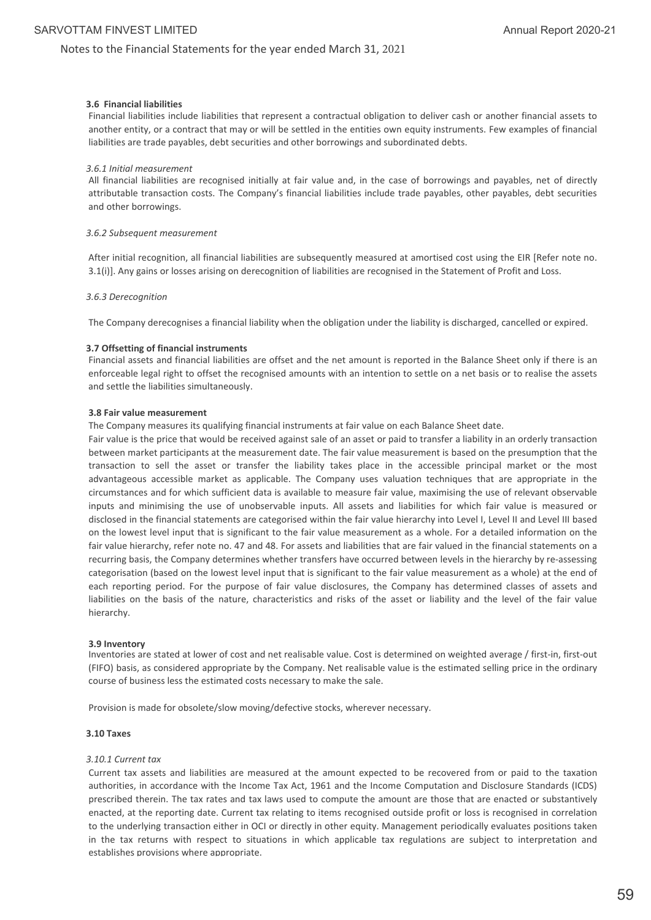#### **3.6 Financial liabilities**

Financial liabilities include liabilities that represent a contractual obligation to deliver cash or another financial assets to another entity, or a contract that may or will be settled in the entities own equity instruments. Few examples of financial liabilities are trade payables, debt securities and other borrowings and subordinated debts.

#### *ϯ͘ϲ͘ϭ/ŶŝƚŝĂůŵĞĂƐƵƌĞŵĞŶƚ*

All financial liabilities are recognised initially at fair value and, in the case of borrowings and payables, net of directly attributable transaction costs. The Company's financial liabilities include trade payables, other payables, debt securities and other borrowings.

### 3.6.2 Subsequent measurement

After initial recognition, all financial liabilities are subsequently measured at amortised cost using the EIR [Refer note no. 3.1(i)]. Any gains or losses arising on derecognition of liabilities are recognised in the Statement of Profit and Loss.

### **3.6.3 Derecognition**

The Company derecognises a financial liability when the obligation under the liability is discharged, cancelled or expired.

### **3.7 Offsetting of financial instruments**

Financial assets and financial liabilities are offset and the net amount is reported in the Balance Sheet only if there is an enforceable legal right to offset the recognised amounts with an intention to settle on a net basis or to realise the assets and settle the liabilities simultaneously.

### **3.8 Fair value measurement**

The Company measures its qualifying financial instruments at fair value on each Balance Sheet date.

Fair value is the price that would be received against sale of an asset or paid to transfer a liability in an orderly transaction between market participants at the measurement date. The fair value measurement is based on the presumption that the transaction to sell the asset or transfer the liability takes place in the accessible principal market or the most advantageous accessible market as applicable. The Company uses valuation techniques that are appropriate in the circumstances and for which sufficient data is available to measure fair value, maximising the use of relevant observable inputs and minimising the use of unobservable inputs. All assets and liabilities for which fair value is measured or disclosed in the financial statements are categorised within the fair value hierarchy into Level I, Level II and Level III based on the lowest level input that is significant to the fair value measurement as a whole. For a detailed information on the fair value hierarchy, refer note no. 47 and 48. For assets and liabilities that are fair valued in the financial statements on a recurring basis, the Company determines whether transfers have occurred between levels in the hierarchy by re-assessing categorisation (based on the lowest level input that is significant to the fair value measurement as a whole) at the end of each reporting period. For the purpose of fair value disclosures, the Company has determined classes of assets and liabilities on the basis of the nature, characteristics and risks of the asset or liability and the level of the fair value hierarchy.

#### **3.9 Inventory**

Inventories are stated at lower of cost and net realisable value. Cost is determined on weighted average / first-in, first-out (FIFO) basis, as considered appropriate by the Company. Net realisable value is the estimated selling price in the ordinary course of business less the estimated costs necessary to make the sale.

Provision is made for obsolete/slow moving/defective stocks, wherever necessary.

### **3.10 Taxes**

### 3.10.1 Current tax

Current tax assets and liabilities are measured at the amount expected to be recovered from or paid to the taxation authorities, in accordance with the Income Tax Act, 1961 and the Income Computation and Disclosure Standards (ICDS) prescribed therein. The tax rates and tax laws used to compute the amount are those that are enacted or substantively enacted, at the reporting date. Current tax relating to items recognised outside profit or loss is recognised in correlation to the underlying transaction either in OCI or directly in other equity. Management periodically evaluates positions taken in the tax returns with respect to situations in which applicable tax regulations are subject to interpretation and establishes provisions where appropriate.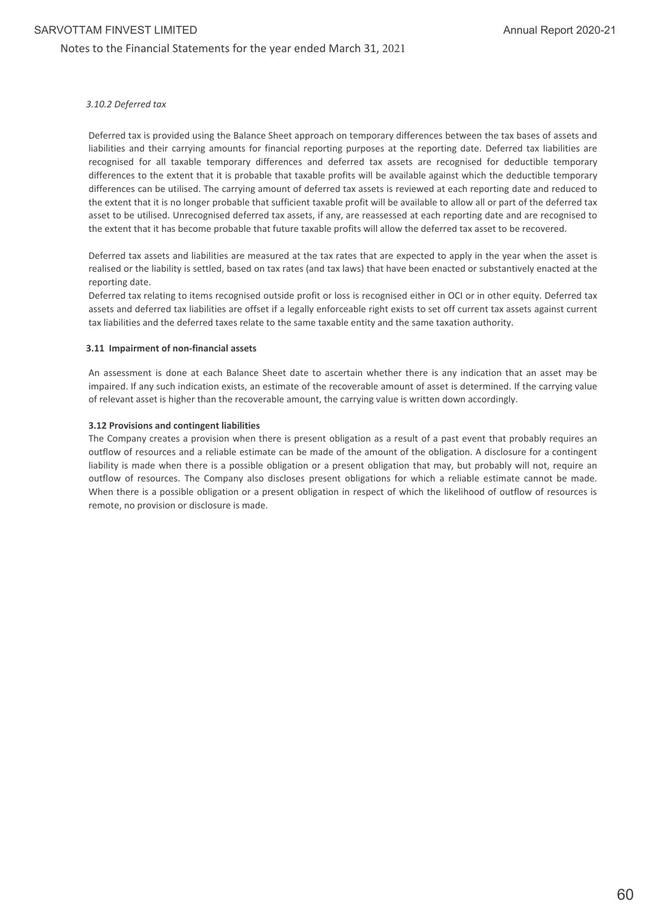### 3.10.2 Deferred tax

Deferred tax is provided using the Balance Sheet approach on temporary differences between the tax bases of assets and liabilities and their carrying amounts for financial reporting purposes at the reporting date. Deferred tax liabilities are recognised for all taxable temporary differences and deferred tax assets are recognised for deductible temporary differences to the extent that it is probable that taxable profits will be available against which the deductible temporary differences can be utilised. The carrying amount of deferred tax assets is reviewed at each reporting date and reduced to the extent that it is no longer probable that sufficient taxable profit will be available to allow all or part of the deferred tax asset to be utilised. Unrecognised deferred tax assets, if any, are reassessed at each reporting date and are recognised to the extent that it has become probable that future taxable profits will allow the deferred tax asset to be recovered.

Deferred tax assets and liabilities are measured at the tax rates that are expected to apply in the year when the asset is realised or the liability is settled, based on tax rates (and tax laws) that have been enacted or substantively enacted at the reporting date.

Deferred tax relating to items recognised outside profit or loss is recognised either in OCI or in other equity. Deferred tax assets and deferred tax liabilities are offset if a legally enforceable right exists to set off current tax assets against current tax liabilities and the deferred taxes relate to the same taxable entity and the same taxation authority.

#### **3.11 Impairment of non-financial assets**

An assessment is done at each Balance Sheet date to ascertain whether there is any indication that an asset may be impaired. If any such indication exists, an estimate of the recoverable amount of asset is determined. If the carrying value of relevant asset is higher than the recoverable amount, the carrying value is written down accordingly.

#### **3.12 Provisions and contingent liabilities**

The Company creates a provision when there is present obligation as a result of a past event that probably requires an outflow of resources and a reliable estimate can be made of the amount of the obligation. A disclosure for a contingent liability is made when there is a possible obligation or a present obligation that may, but probably will not, require an outflow of resources. The Company also discloses present obligations for which a reliable estimate cannot be made. When there is a possible obligation or a present obligation in respect of which the likelihood of outflow of resources is remote, no provision or disclosure is made.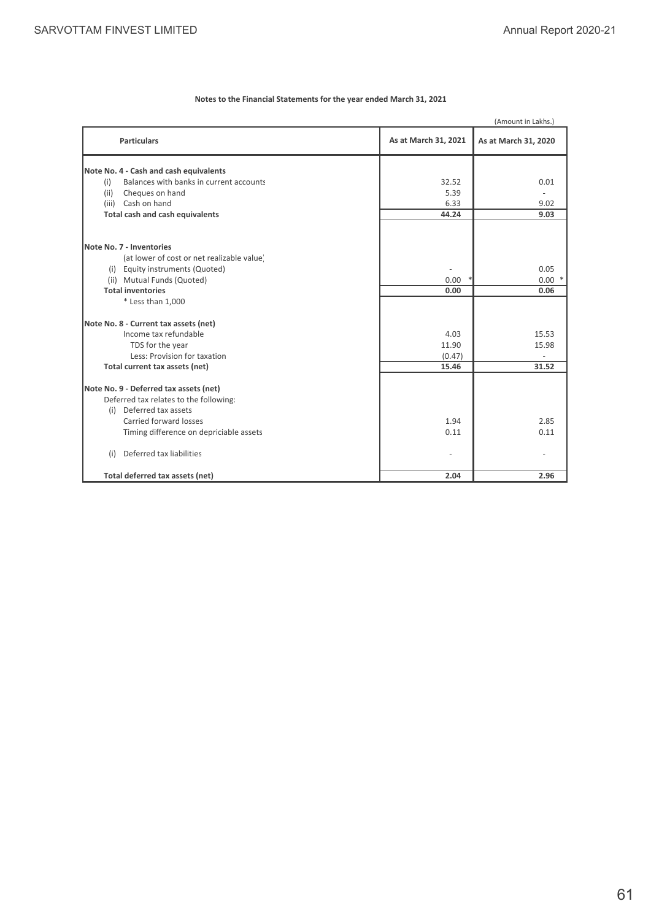| (Amount in Lakhs.)                             |                      |                      |
|------------------------------------------------|----------------------|----------------------|
| <b>Particulars</b>                             | As at March 31, 2021 | As at March 31, 2020 |
| Note No. 4 - Cash and cash equivalents         |                      |                      |
| Balances with banks in current accounts<br>(i) | 32.52                | 0.01                 |
| (ii)<br>Cheques on hand                        | 5.39                 |                      |
| (iii) Cash on hand                             | 6.33                 | 9.02                 |
| <b>Total cash and cash equivalents</b>         | 44.24                | 9.03                 |
|                                                |                      |                      |
| Note No. 7 - Inventories                       |                      |                      |
| (at lower of cost or net realizable value)     |                      |                      |
| (i) Equity instruments (Quoted)                |                      | 0.05                 |
| (ii) Mutual Funds (Quoted)                     | 0.00                 | $0.00*$              |
| <b>Total inventories</b>                       | 0.00                 | 0.06                 |
| $*$ Less than 1,000                            |                      |                      |
| Note No. 8 - Current tax assets (net)          |                      |                      |
| Income tax refundable                          | 4.03                 | 15.53                |
| TDS for the year                               | 11.90                | 15.98                |
| Less: Provision for taxation                   | (0.47)               |                      |
| Total current tax assets (net)                 | 15.46                | 31.52                |
| Note No. 9 - Deferred tax assets (net)         |                      |                      |
| Deferred tax relates to the following:         |                      |                      |
| (i) Deferred tax assets                        |                      |                      |
| Carried forward losses                         | 1.94                 | 2.85                 |
| Timing difference on depriciable assets        | 0.11                 | 0.11                 |
| Deferred tax liabilities<br>(i)                |                      |                      |
| Total deferred tax assets (net)                | 2.04                 | 2.96                 |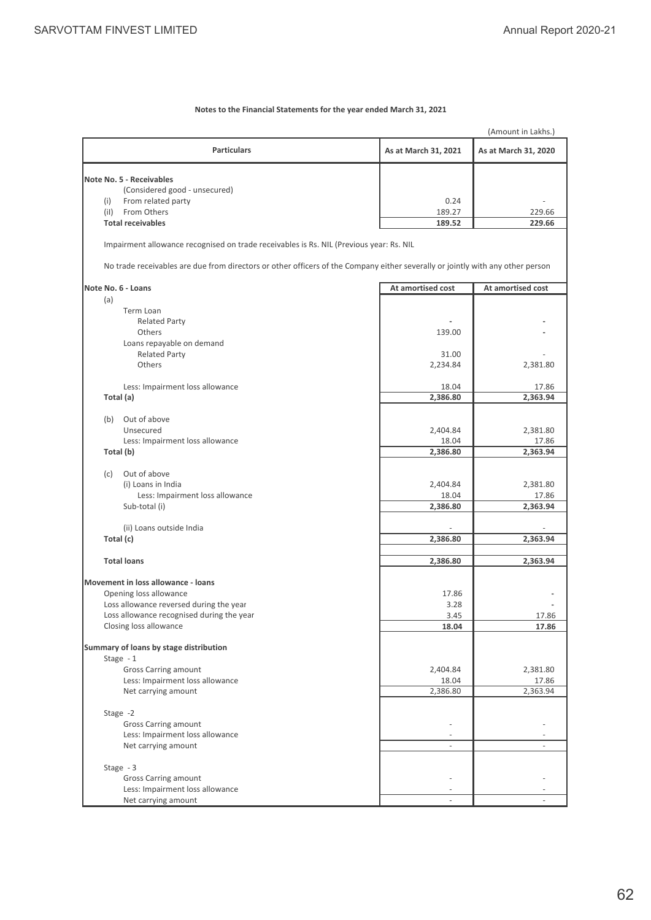| (Amount in Lakhs.)                                                                                                             |                      |                      |
|--------------------------------------------------------------------------------------------------------------------------------|----------------------|----------------------|
| <b>Particulars</b>                                                                                                             | As at March 31, 2021 | As at March 31, 2020 |
| Note No. 5 - Receivables                                                                                                       |                      |                      |
| (Considered good - unsecured)                                                                                                  |                      |                      |
| From related party<br>(i)                                                                                                      | 0.24                 |                      |
| From Others<br>(ii)                                                                                                            | 189.27               | 229.66               |
| <b>Total receivables</b>                                                                                                       | 189.52               | 229.66               |
| Impairment allowance recognised on trade receivables is Rs. NIL (Previous year: Rs. NIL                                        |                      |                      |
| No trade receivables are due from directors or other officers of the Company either severally or jointly with any other person |                      |                      |
| Note No. 6 - Loans                                                                                                             | At amortised cost    | At amortised cost    |
| (a)                                                                                                                            |                      |                      |
| Term Loan                                                                                                                      |                      |                      |
| <b>Related Party</b>                                                                                                           |                      |                      |
| Others<br>Loans repayable on demand                                                                                            | 139.00               |                      |
| <b>Related Party</b>                                                                                                           | 31.00                |                      |
| Others                                                                                                                         | 2,234.84             | 2,381.80             |
|                                                                                                                                |                      |                      |
| Less: Impairment loss allowance                                                                                                | 18.04                | 17.86                |
| Total (a)                                                                                                                      | 2,386.80             | 2,363.94             |
|                                                                                                                                |                      |                      |
| Out of above<br>(b)                                                                                                            |                      |                      |
| Unsecured                                                                                                                      | 2,404.84             | 2,381.80             |
| Less: Impairment loss allowance                                                                                                | 18.04                | 17.86                |
| Total (b)                                                                                                                      | 2,386.80             | 2,363.94             |
|                                                                                                                                |                      |                      |
| Out of above<br>(c)                                                                                                            |                      |                      |
| (i) Loans in India                                                                                                             | 2,404.84             | 2,381.80             |
| Less: Impairment loss allowance<br>Sub-total (i)                                                                               | 18.04<br>2,386.80    | 17.86<br>2,363.94    |
|                                                                                                                                |                      |                      |
| (ii) Loans outside India                                                                                                       |                      |                      |
| Total (c)                                                                                                                      | 2,386.80             | 2,363.94             |
|                                                                                                                                |                      |                      |
| <b>Total loans</b>                                                                                                             | 2,386.80             | 2,363.94             |
| Movement in loss allowance - loans                                                                                             |                      |                      |
| Opening loss allowance                                                                                                         | 17.86                |                      |
| Loss allowance reversed during the year                                                                                        | 3.28                 |                      |
| Loss allowance recognised during the year                                                                                      | 3.45                 | 17.86                |
| Closing loss allowance                                                                                                         | 18.04                | 17.86                |
| Summary of loans by stage distribution                                                                                         |                      |                      |
| Stage $-1$                                                                                                                     |                      |                      |
| <b>Gross Carring amount</b>                                                                                                    | 2,404.84             | 2,381.80             |
| Less: Impairment loss allowance                                                                                                | 18.04                | 17.86                |
| Net carrying amount                                                                                                            | 2,386.80             | 2,363.94             |
|                                                                                                                                |                      |                      |
| Stage -2                                                                                                                       |                      |                      |
| <b>Gross Carring amount</b>                                                                                                    |                      |                      |
| Less: Impairment loss allowance                                                                                                |                      |                      |
| Net carrying amount                                                                                                            | $\omega$             | $\omega$             |
| Stage $-3$                                                                                                                     |                      |                      |
| Gross Carring amount                                                                                                           |                      |                      |
| Less: Impairment loss allowance                                                                                                |                      |                      |
| Net carrying amount                                                                                                            |                      |                      |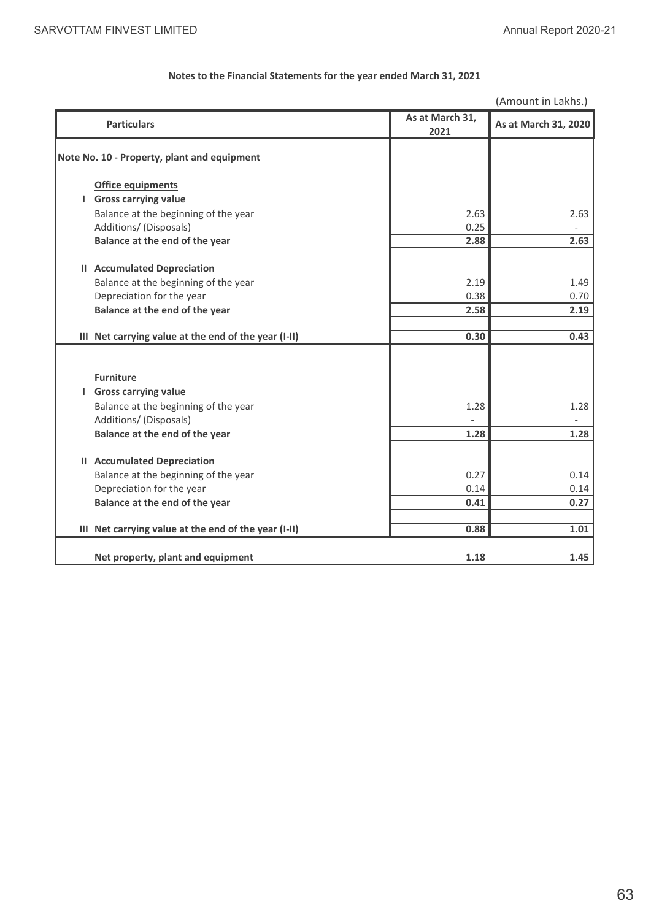|                                                      |                 | AIIIVUIIL III LANIIS.J |
|------------------------------------------------------|-----------------|------------------------|
| <b>Particulars</b>                                   | As at March 31, | As at March 31, 2020   |
|                                                      | 2021            |                        |
| Note No. 10 - Property, plant and equipment          |                 |                        |
| Office equipments                                    |                 |                        |
| I Gross carrying value                               |                 |                        |
| Balance at the beginning of the year                 | 2.63            | 2.63                   |
| Additions/ (Disposals)                               | 0.25            |                        |
| Balance at the end of the year                       | 2.88            | 2.63                   |
|                                                      |                 |                        |
| <b>II</b> Accumulated Depreciation                   |                 |                        |
| Balance at the beginning of the year                 | 2.19            | 1.49                   |
| Depreciation for the year                            | 0.38            | 0.70                   |
| Balance at the end of the year                       | 2.58            | 2.19                   |
|                                                      |                 |                        |
| III Net carrying value at the end of the year (I-II) | 0.30            | 0.43                   |
|                                                      |                 |                        |
|                                                      |                 |                        |
| <b>Furniture</b>                                     |                 |                        |
| I Gross carrying value                               |                 |                        |
| Balance at the beginning of the year                 | 1.28            | 1.28                   |
| Additions/ (Disposals)                               |                 |                        |
| Balance at the end of the year                       | 1.28            | 1.28                   |
|                                                      |                 |                        |
| <b>II</b> Accumulated Depreciation                   |                 |                        |
| Balance at the beginning of the year                 | 0.27            | 0.14                   |
| Depreciation for the year                            | 0.14            | 0.14                   |
| Balance at the end of the year                       | 0.41            | 0.27                   |
|                                                      |                 |                        |
| III Net carrying value at the end of the year (I-II) | 0.88            | 1.01                   |
|                                                      |                 |                        |
| Net property, plant and equipment                    | 1.18            | 1.45                   |

 $(A$ mount in Lakhs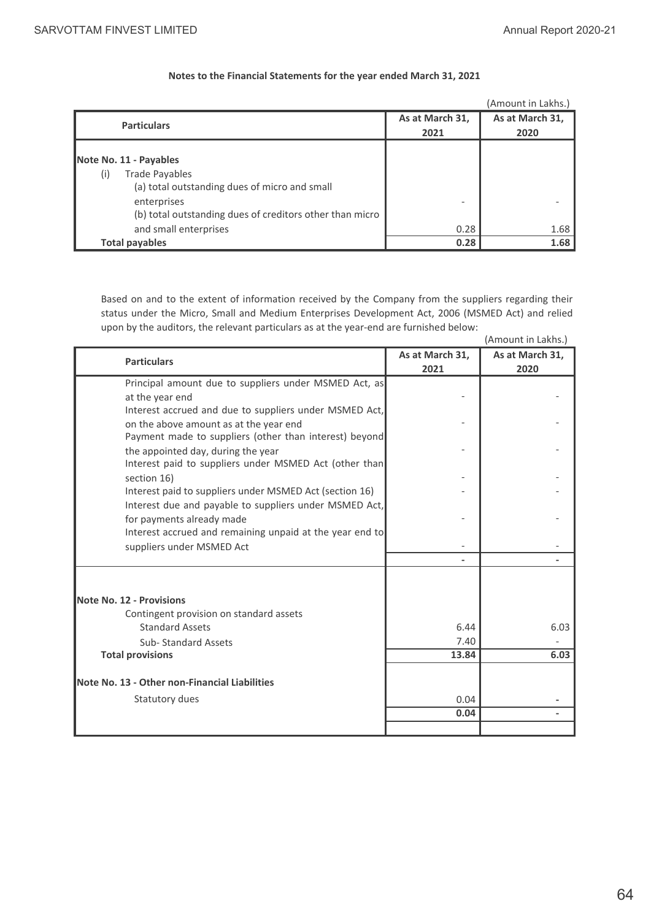|                                                          |                 | והווסטווג ווו במגווס. |
|----------------------------------------------------------|-----------------|-----------------------|
| <b>Particulars</b>                                       | As at March 31, | As at March 31,       |
|                                                          | 2021            | 2020                  |
|                                                          |                 |                       |
| Note No. 11 - Payables                                   |                 |                       |
| <b>Trade Payables</b><br>(i)                             |                 |                       |
| (a) total outstanding dues of micro and small            |                 |                       |
| enterprises                                              |                 |                       |
| (b) total outstanding dues of creditors other than micro |                 |                       |
| and small enterprises                                    | 0.28            | 1.68                  |
| <b>Total payables</b>                                    | 0.28            | 1.68                  |

 $(Amoint in Lakhs)$ 

 $(A$ mount in Lakhs Based on and to the extent of information received by the Company from the suppliers regarding their status under the Micro, Small and Medium Enterprises Development Act, 2006 (MSMED Act) and relied upon by the auditors, the relevant particulars as at the year-end are furnished below:

|                                                          |                          | (Allioulit III Lakiis.) |
|----------------------------------------------------------|--------------------------|-------------------------|
| <b>Particulars</b>                                       | As at March 31,          | As at March 31,         |
|                                                          | 2021                     | 2020                    |
| Principal amount due to suppliers under MSMED Act, as    |                          |                         |
| at the year end                                          |                          |                         |
| Interest accrued and due to suppliers under MSMED Act,   |                          |                         |
| on the above amount as at the year end                   |                          |                         |
| Payment made to suppliers (other than interest) beyond   |                          |                         |
| the appointed day, during the year                       |                          |                         |
| Interest paid to suppliers under MSMED Act (other than   |                          |                         |
| section 16)                                              |                          |                         |
| Interest paid to suppliers under MSMED Act (section 16)  |                          |                         |
| Interest due and payable to suppliers under MSMED Act,   |                          |                         |
| for payments already made                                |                          |                         |
| Interest accrued and remaining unpaid at the year end to |                          |                         |
| suppliers under MSMED Act                                |                          |                         |
|                                                          | $\overline{\phantom{a}}$ |                         |
|                                                          |                          |                         |
|                                                          |                          |                         |
| Note No. 12 - Provisions                                 |                          |                         |
| Contingent provision on standard assets                  |                          |                         |
| <b>Standard Assets</b>                                   | 6.44                     | 6.03                    |
| Sub-Standard Assets                                      | 7.40                     |                         |
| <b>Total provisions</b>                                  | 13.84                    | 6.03                    |
|                                                          |                          |                         |
| Note No. 13 - Other non-Financial Liabilities            |                          |                         |
| Statutory dues                                           | 0.04                     |                         |
|                                                          | 0.04                     |                         |
|                                                          |                          |                         |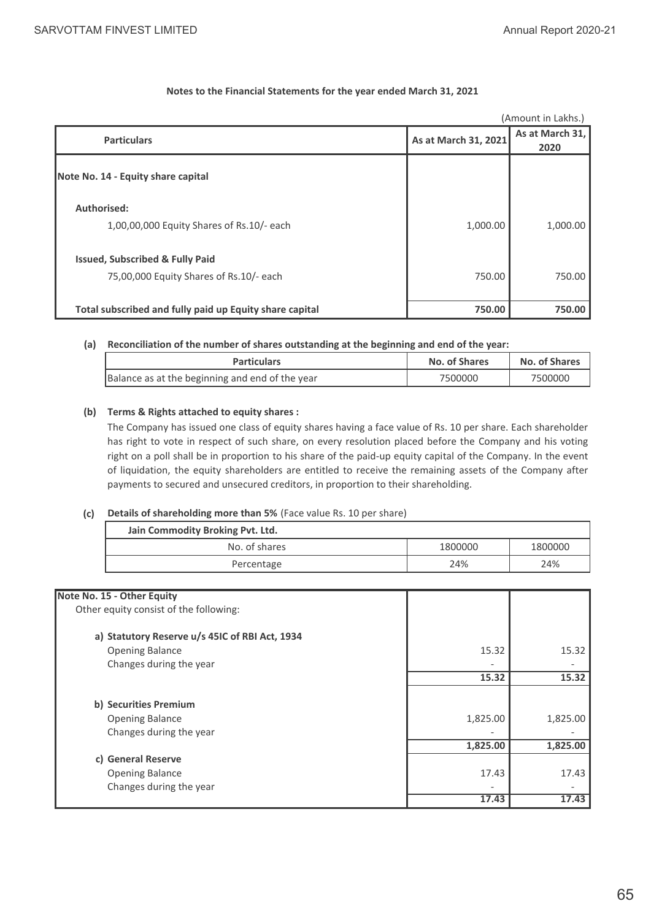|                                                         |                      | (Amount in Lakhs.) |
|---------------------------------------------------------|----------------------|--------------------|
| <b>Particulars</b>                                      | As at March 31, 2021 | As at March 31,    |
|                                                         |                      | 2020               |
| Note No. 14 - Equity share capital                      |                      |                    |
| Authorised:                                             |                      |                    |
| 1,00,00,000 Equity Shares of Rs.10/- each               | 1,000.00             | 1,000.00           |
| <b>Issued, Subscribed &amp; Fully Paid</b>              |                      |                    |
| 75,00,000 Equity Shares of Rs.10/- each                 | 750.00               | 750.00             |
| Total subscribed and fully paid up Equity share capital | 750.00               | 750.00             |

### (a) Reconciliation of the number of shares outstanding at the beginning and end of the year:

| <b>Particulars</b>                              | No. of Shares | No. of Shares |
|-------------------------------------------------|---------------|---------------|
| Balance as at the beginning and end of the year | 7500000       | 7500000       |

## (b) Terms & Rights attached to equity shares :

The Company has issued one class of equity shares having a face value of Rs. 10 per share. Each shareholder has right to vote in respect of such share, on every resolution placed before the Company and his voting right on a poll shall be in proportion to his share of the paid-up equity capital of the Company. In the event of liquidation, the equity shareholders are entitled to receive the remaining assets of the Company after payments to secured and unsecured creditors, in proportion to their shareholding.

## **(c)** Details of shareholding more than 5% (Face value Rs. 10 per share)

| Jain Commodity Broking Pvt. Ltd. |         |         |
|----------------------------------|---------|---------|
| No. of shares                    | 1800000 | 1800000 |
| Percentage                       | 24%     | 24%     |

| Note No. 15 - Other Equity                     |          |          |
|------------------------------------------------|----------|----------|
| Other equity consist of the following:         |          |          |
| a) Statutory Reserve u/s 45IC of RBI Act, 1934 |          |          |
| <b>Opening Balance</b>                         | 15.32    | 15.32    |
| Changes during the year                        |          |          |
|                                                | 15.32    | 15.32    |
|                                                |          |          |
| b) Securities Premium                          |          |          |
| <b>Opening Balance</b>                         | 1,825.00 | 1,825.00 |
| Changes during the year                        |          |          |
|                                                | 1,825.00 | 1,825.00 |
| c) General Reserve                             |          |          |
| <b>Opening Balance</b>                         | 17.43    | 17.43    |
| Changes during the year                        | ٠        |          |
|                                                | 17.43    | 17.43    |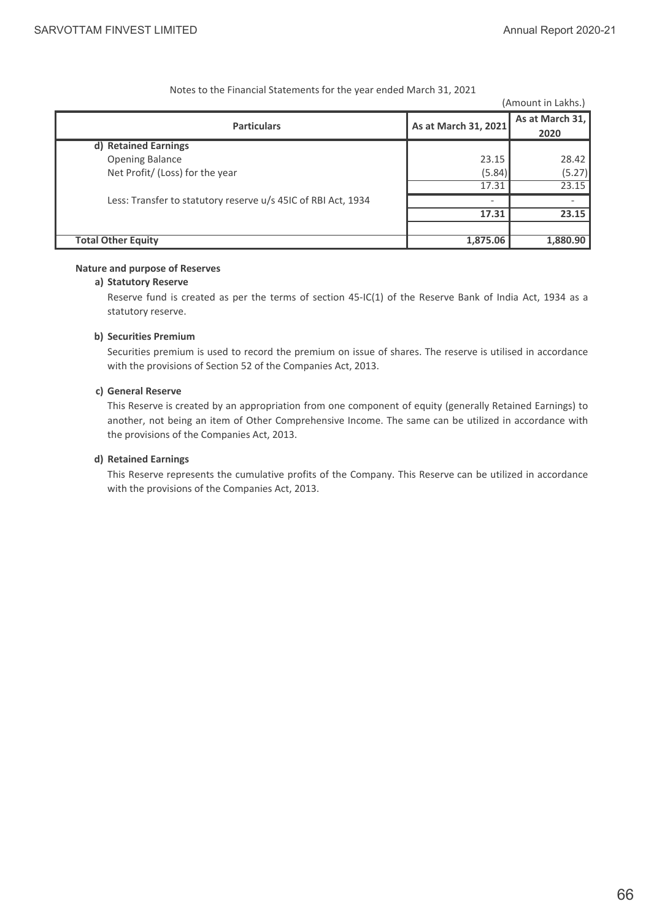|                                                               |                      | (Amount in Lakhs.) |
|---------------------------------------------------------------|----------------------|--------------------|
| <b>Particulars</b>                                            | As at March 31, 2021 | As at March 31,    |
|                                                               |                      | 2020               |
| d) Retained Earnings                                          |                      |                    |
| <b>Opening Balance</b>                                        | 23.15                | 28.42              |
| Net Profit/ (Loss) for the year                               | (5.84)               | (5.27)             |
|                                                               | 17.31                | 23.15              |
| Less: Transfer to statutory reserve u/s 45IC of RBI Act, 1934 |                      |                    |
|                                                               | 17.31                | 23.15              |
|                                                               |                      |                    |
| <b>Total Other Equity</b>                                     | 1,875.06             | 1,880.90           |

### **Nature and purpose of Reserves**

### a) Statutory Reserve

Reserve fund is created as per the terms of section 45-IC(1) of the Reserve Bank of India Act, 1934 as a statutory reserve.

### b) Securities Premium

Securities premium is used to record the premium on issue of shares. The reserve is utilised in accordance with the provisions of Section 52 of the Companies Act, 2013.

### c) General Reserve

This Reserve is created by an appropriation from one component of equity (generally Retained Earnings) to another, not being an item of Other Comprehensive Income. The same can be utilized in accordance with the provisions of the Companies Act, 2013.

### d) Retained Earnings

This Reserve represents the cumulative profits of the Company. This Reserve can be utilized in accordance with the provisions of the Companies Act, 2013.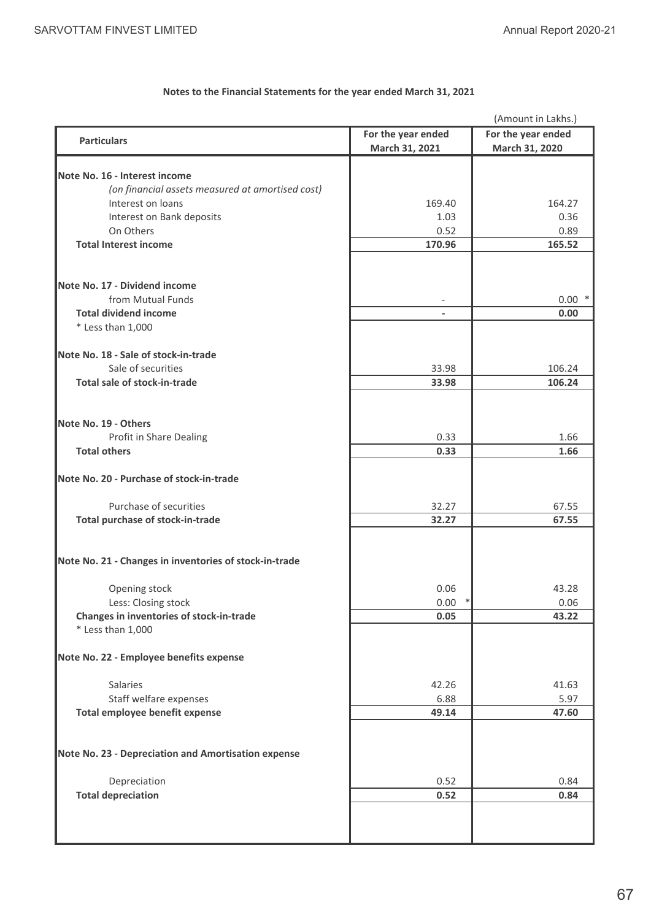| (Amount in Lakhs.)                                            |                                      |                                      |
|---------------------------------------------------------------|--------------------------------------|--------------------------------------|
| <b>Particulars</b>                                            | For the year ended<br>March 31, 2021 | For the year ended<br>March 31, 2020 |
| Note No. 16 - Interest income                                 |                                      |                                      |
| (on financial assets measured at amortised cost)              |                                      |                                      |
| Interest on loans                                             | 169.40                               | 164.27                               |
| Interest on Bank deposits                                     | 1.03                                 | 0.36                                 |
| On Others                                                     | 0.52                                 | 0.89                                 |
| <b>Total Interest income</b>                                  | 170.96                               | 165.52                               |
| Note No. 17 - Dividend income                                 |                                      |                                      |
| from Mutual Funds                                             |                                      | $0.00*$                              |
| <b>Total dividend income</b>                                  |                                      | 0.00                                 |
| * Less than 1,000                                             |                                      |                                      |
| Note No. 18 - Sale of stock-in-trade                          |                                      |                                      |
| Sale of securities                                            | 33.98                                | 106.24                               |
| Total sale of stock-in-trade                                  | 33.98                                | 106.24                               |
| Note No. 19 - Others                                          |                                      |                                      |
| Profit in Share Dealing                                       | 0.33                                 | 1.66                                 |
| <b>Total others</b>                                           | 0.33                                 | 1.66                                 |
| Note No. 20 - Purchase of stock-in-trade                      |                                      |                                      |
| Purchase of securities                                        | 32.27                                | 67.55                                |
| Total purchase of stock-in-trade                              | 32.27                                | 67.55                                |
| Note No. 21 - Changes in inventories of stock-in-trade        |                                      |                                      |
| Opening stock                                                 | 0.06                                 | 43.28                                |
| Less: Closing stock                                           | $0.00*$                              | 0.06                                 |
| Changes in inventories of stock-in-trade<br>* Less than 1,000 | 0.05                                 | 43.22                                |
| Note No. 22 - Employee benefits expense                       |                                      |                                      |
| Salaries                                                      | 42.26                                | 41.63                                |
| Staff welfare expenses                                        | 6.88                                 | 5.97                                 |
| Total employee benefit expense                                | 49.14                                | 47.60                                |
| Note No. 23 - Depreciation and Amortisation expense           |                                      |                                      |
| Depreciation                                                  | 0.52                                 | 0.84                                 |
| <b>Total depreciation</b>                                     | 0.52                                 | 0.84                                 |
|                                                               |                                      |                                      |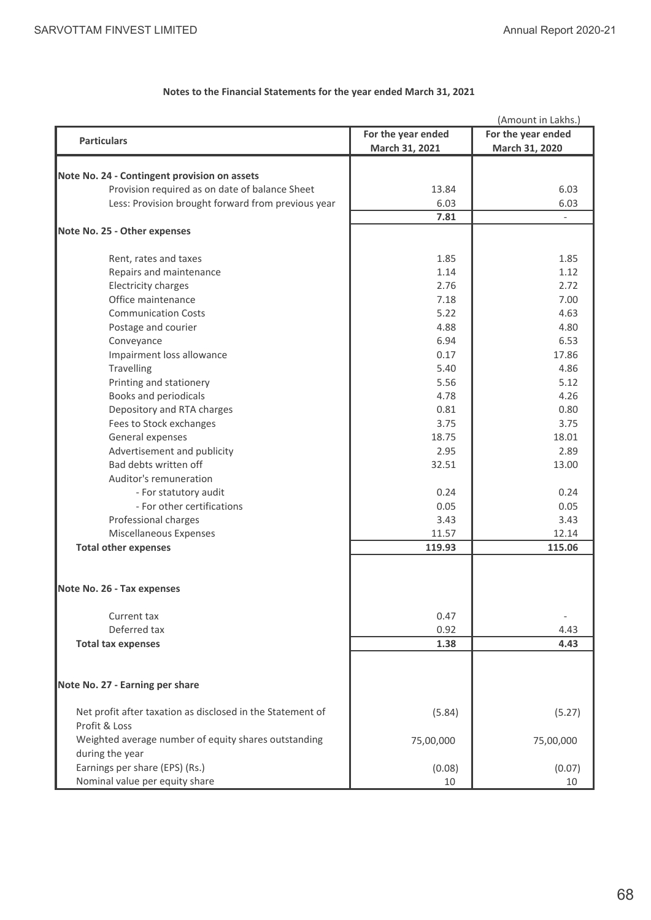|                                                            | (Amount in Lakhs.) |                          |
|------------------------------------------------------------|--------------------|--------------------------|
| <b>Particulars</b>                                         | For the year ended | For the year ended       |
|                                                            | March 31, 2021     | March 31, 2020           |
|                                                            |                    |                          |
| Note No. 24 - Contingent provision on assets               |                    |                          |
| Provision required as on date of balance Sheet             | 13.84              | 6.03                     |
| Less: Provision brought forward from previous year         | 6.03               | 6.03                     |
| Note No. 25 - Other expenses                               | 7.81               | $\overline{\phantom{a}}$ |
|                                                            |                    |                          |
| Rent, rates and taxes                                      | 1.85               | 1.85                     |
| Repairs and maintenance                                    | 1.14               | 1.12                     |
| Electricity charges                                        | 2.76               | 2.72                     |
| Office maintenance                                         | 7.18               | 7.00                     |
| <b>Communication Costs</b>                                 | 5.22               | 4.63                     |
| Postage and courier                                        | 4.88               | 4.80                     |
| Conveyance                                                 | 6.94               | 6.53                     |
| Impairment loss allowance                                  | 0.17               | 17.86                    |
| <b>Travelling</b>                                          | 5.40               | 4.86                     |
| Printing and stationery                                    | 5.56               | 5.12                     |
| Books and periodicals                                      | 4.78               | 4.26                     |
| Depository and RTA charges                                 | 0.81               | 0.80                     |
| Fees to Stock exchanges                                    | 3.75               | 3.75                     |
| General expenses                                           | 18.75              | 18.01                    |
| Advertisement and publicity                                | 2.95               | 2.89                     |
| Bad debts written off                                      | 32.51              | 13.00                    |
| Auditor's remuneration                                     |                    |                          |
| - For statutory audit                                      | 0.24               | 0.24                     |
| - For other certifications                                 | 0.05               | 0.05                     |
| Professional charges                                       | 3.43               | 3.43                     |
| Miscellaneous Expenses                                     | 11.57              | 12.14                    |
| <b>Total other expenses</b>                                | 119.93             | 115.06                   |
|                                                            |                    |                          |
| Note No. 26 - Tax expenses                                 |                    |                          |
|                                                            |                    |                          |
| Current tax                                                | 0.47               |                          |
| Deferred tax                                               | 0.92               | 4.43                     |
| <b>Total tax expenses</b>                                  | 1.38               | 4.43                     |
|                                                            |                    |                          |
| Note No. 27 - Earning per share                            |                    |                          |
| Net profit after taxation as disclosed in the Statement of | (5.84)             | (5.27)                   |
| Profit & Loss                                              |                    |                          |
| Weighted average number of equity shares outstanding       | 75,00,000          | 75,00,000                |
| during the year                                            |                    |                          |
| Earnings per share (EPS) (Rs.)                             | (0.08)             | (0.07)                   |
| Nominal value per equity share                             | 10                 | 10                       |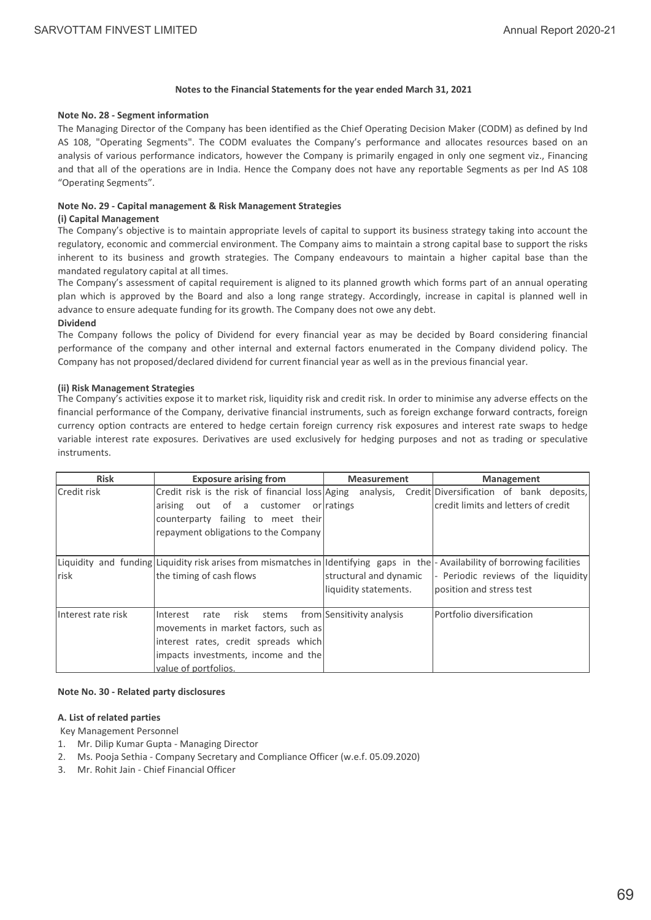#### **Note No. 28 - Segment information**

The Managing Director of the Company has been identified as the Chief Operating Decision Maker (CODM) as defined by Ind AS 108, "Operating Segments". The CODM evaluates the Company's performance and allocates resources based on an analysis of various performance indicators, however the Company is primarily engaged in only one segment viz., Financing and that all of the operations are in India. Hence the Company does not have any reportable Segments as per Ind AS 108 "Operating Segments".

### **Note No. 29 - Capital management & Risk Management Strategies**

### **(i) Capital Management**

The Company's objective is to maintain appropriate levels of capital to support its business strategy taking into account the regulatory, economic and commercial environment. The Company aims to maintain a strong capital base to support the risks inherent to its business and growth strategies. The Company endeavours to maintain a higher capital base than the mandated regulatory capital at all times.

The Company's assessment of capital requirement is aligned to its planned growth which forms part of an annual operating plan which is approved by the Board and also a long range strategy. Accordingly, increase in capital is planned well in advance to ensure adequate funding for its growth. The Company does not owe any debt.

#### **Dividend**

The Company follows the policy of Dividend for every financial year as may be decided by Board considering financial performance of the company and other internal and external factors enumerated in the Company dividend policy. The Company has not proposed/declared dividend for current financial year as well as in the previous financial year.

### **(ii) Risk Management Strategies**

The Company's activities expose it to market risk, liquidity risk and credit risk. In order to minimise any adverse effects on the financial performance of the Company, derivative financial instruments, such as foreign exchange forward contracts, foreign currency option contracts are entered to hedge certain foreign currency risk exposures and interest rate swaps to hedge variable interest rate exposures. Derivatives are used exclusively for hedging purposes and not as trading or speculative instruments.

| <b>Risk</b>        | <b>Exposure arising from</b>                                                                                                   | <b>Measurement</b>        | <b>Management</b>                   |
|--------------------|--------------------------------------------------------------------------------------------------------------------------------|---------------------------|-------------------------------------|
| <b>Credit risk</b> | Credit risk is the risk of financial loss Aging analysis, Credit Diversification of bank deposits,                             |                           |                                     |
|                    | arising out of a customer or ratings                                                                                           |                           | credit limits and letters of credit |
|                    | counterparty failing to meet their                                                                                             |                           |                                     |
|                    | repayment obligations to the Company                                                                                           |                           |                                     |
|                    |                                                                                                                                |                           |                                     |
|                    | Liquidity and funding Liquidity risk arises from mismatches in Identifying gaps in the  - Availability of borrowing facilities |                           |                                     |
| <b>I</b> risk      | the timing of cash flows                                                                                                       | structural and dynamic    | - Periodic reviews of the liquidity |
|                    |                                                                                                                                | liquidity statements.     | position and stress test            |
|                    |                                                                                                                                |                           |                                     |
| Interest rate risk | risk stems<br>Interest<br>rate                                                                                                 | from Sensitivity analysis | Portfolio diversification           |
|                    | movements in market factors, such as                                                                                           |                           |                                     |
|                    | interest rates, credit spreads which                                                                                           |                           |                                     |
|                    | impacts investments, income and the                                                                                            |                           |                                     |
|                    | value of portfolios.                                                                                                           |                           |                                     |

### **Note No. 30 - Related party disclosures**

### **A.** List of related parties

Key Management Personnel

- 1. Mr. Dilip Kumar Gupta Managing Director
- 2. Ms. Pooja Sethia Company Secretary and Compliance Officer (w.e.f. 05.09.2020)
- 3. Mr. Rohit Jain Chief Financial Officer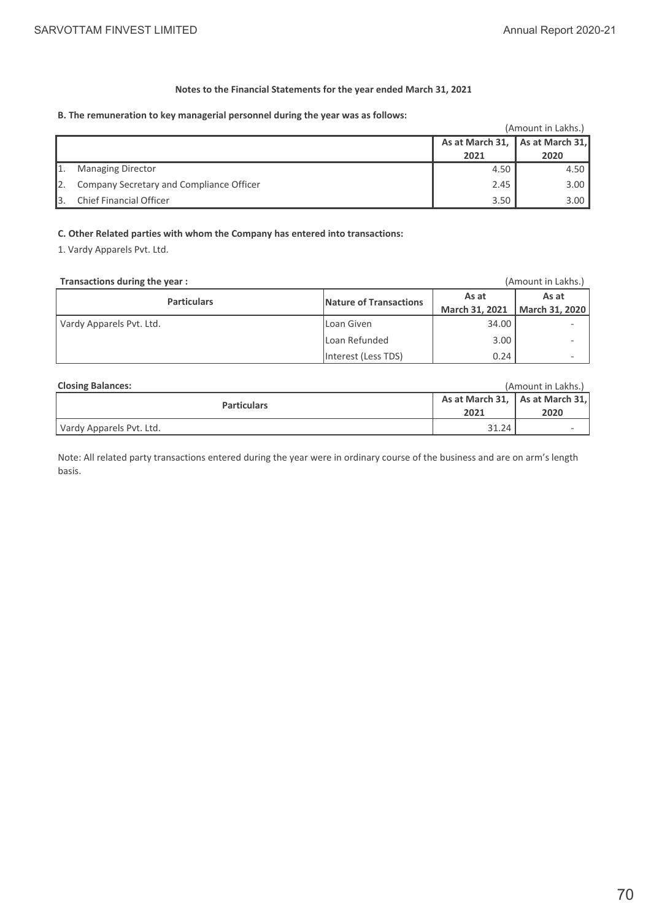# B. The remuneration to key managerial personnel during the year was as follows:

|     |                                          |      | (Amount in Lakhs.) |
|-----|------------------------------------------|------|--------------------|
|     | As at March 31, As at March 31,          |      |                    |
|     |                                          | 2021 | 2020               |
|     | <b>Managing Director</b>                 | 4.50 | 4.50               |
| I2. | Company Secretary and Compliance Officer | 2.45 | 3.001              |
|     | <b>Chief Financial Officer</b>           | 3.50 | 3.00               |

# C. Other Related parties with whom the Company has entered into transactions:

1. Vardy Apparels Pvt. Ltd.

| Transactions during the year:<br>(Amount in Lakhs.) |                        |                |                |  |
|-----------------------------------------------------|------------------------|----------------|----------------|--|
| <b>Particulars</b>                                  | Nature of Transactions | As at          | As at          |  |
|                                                     |                        | March 31, 2021 | March 31, 2020 |  |
| Vardy Apparels Pvt. Ltd.                            | Loan Given             | 34.00          |                |  |
|                                                     | Loan Refunded          | 3.00           |                |  |
|                                                     | Interest (Less TDS)    | 0.24           |                |  |

| <b>Closing Balances:</b> | (Amount in Lakhs.)                              |      |  |
|--------------------------|-------------------------------------------------|------|--|
| <b>Particulars</b>       | As at March 31, $\vert$ As at March 31,<br>2021 | 2020 |  |
| Vardy Apparels Pyt. Ltd. | 31.24                                           |      |  |

Note: All related party transactions entered during the year were in ordinary course of the business and are on arm's length basis.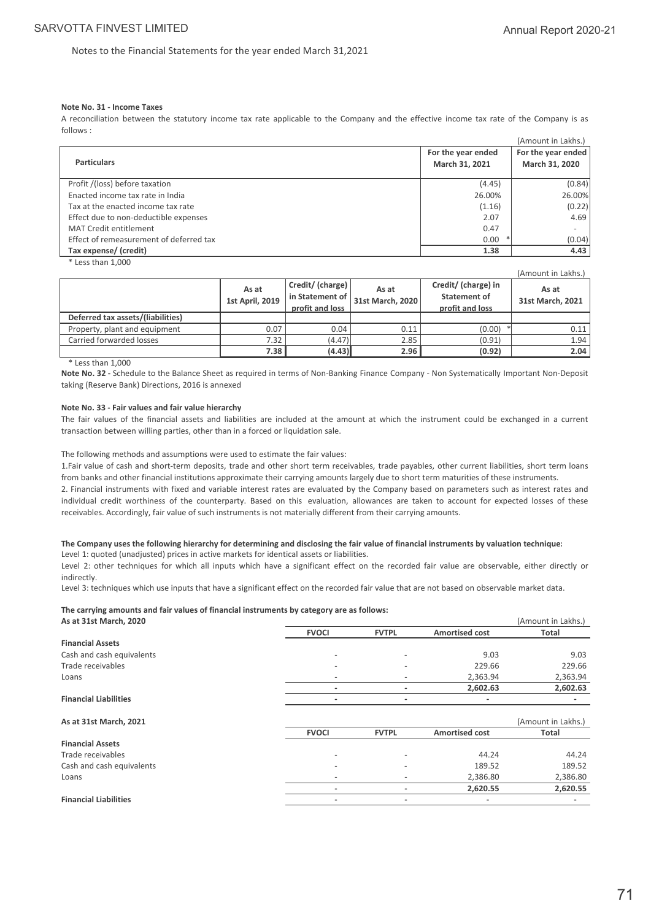#### **Note No. 31 - Income Taxes**

 $l$ Amount in Iakhe) A reconciliation between the statutory income tax rate applicable to the Company and the effective income tax rate of the Company is as follows ·

|                                         |                    | (Amount in Lakns.) |
|-----------------------------------------|--------------------|--------------------|
|                                         | For the year ended | For the year ended |
| <b>Particulars</b>                      | March 31, 2021     | March 31, 2020     |
|                                         |                    |                    |
| Profit /(loss) before taxation          | (4.45)             | (0.84)             |
| Enacted income tax rate in India        | 26.00%             | 26.00%             |
| Tax at the enacted income tax rate      | (1.16)             | (0.22)             |
| Effect due to non-deductible expenses   | 2.07               | 4.69               |
| <b>MAT Credit entitlement</b>           | 0.47               |                    |
| Effect of remeasurement of deferred tax | 0.00               | (0.04)             |
| Tax expense/ (credit)                   | 1.38               | 4.43               |

 $*$  Less than 1,000

|                                   |                          |                                                          |                           |                                                               | (Amount in Lakhs.)        |
|-----------------------------------|--------------------------|----------------------------------------------------------|---------------------------|---------------------------------------------------------------|---------------------------|
|                                   | As at<br>1st April, 2019 | Credit/ (charge)<br>in Statement of I<br>profit and loss | As at<br>31st March, 2020 | Credit/ (charge) in<br><b>Statement of</b><br>profit and loss | As at<br>31st March, 2021 |
| Deferred tax assets/(liabilities) |                          |                                                          |                           |                                                               |                           |
| Property, plant and equipment     | 0.07                     | 0.04                                                     | 0.11                      | (0.00)                                                        | 0.11                      |
| Carried forwarded losses          | 7.32                     | (4.47)                                                   | 2.85                      | (0.91)                                                        | 1.94                      |
|                                   | 7.38                     | (4.43)                                                   | 2.96                      | (0.92)                                                        | 2.04                      |

 $*$  Less than 1,000

Note No. 32 - Schedule to the Balance Sheet as required in terms of Non-Banking Finance Company - Non Systematically Important Non-Deposit taking (Reserve Bank) Directions, 2016 is annexed

#### **Note No. 33 - Fair values and fair value hierarchy**

The fair values of the financial assets and liabilities are included at the amount at which the instrument could be exchanged in a current transaction between willing parties, other than in a forced or liquidation sale.

The following methods and assumptions were used to estimate the fair values:

1.Fair value of cash and short-term deposits, trade and other short term receivables, trade payables, other current liabilities, short term loans from banks and other financial institutions approximate their carrying amounts largely due to short term maturities of these instruments.

2. Financial instruments with fixed and variable interest rates are evaluated by the Company based on parameters such as interest rates and individual credit worthiness of the counterparty. Based on this evaluation, allowances are taken to account for expected losses of these receivables. Accordingly, fair value of such instruments is not materially different from their carrying amounts.

#### The Company uses the following hierarchy for determining and disclosing the fair value of financial instruments by valuation technique: Level 1: quoted (unadjusted) prices in active markets for identical assets or liabilities.

Level 2: other techniques for which all inputs which have a significant effect on the recorded fair value are observable, either directly or indirectly.

Level 3: techniques which use inputs that have a significant effect on the recorded fair value that are not based on observable market data.

#### The carrying amounts and fair values of financial instruments by category are as follows:

|                          |                          |                          | (Amount in Lakhs.) |
|--------------------------|--------------------------|--------------------------|--------------------|
| <b>FVOCI</b>             | <b>FVTPL</b>             | <b>Amortised cost</b>    | Total              |
|                          |                          |                          |                    |
|                          |                          | 9.03                     | 9.03               |
|                          |                          | 229.66                   | 229.66             |
|                          |                          | 2,363.94                 | 2,363.94           |
| ۰                        |                          | 2,602.63                 | 2,602.63           |
| ۰                        | $\overline{\phantom{a}}$ | $\overline{\phantom{a}}$ |                    |
|                          |                          |                          | (Amount in Lakhs.) |
| <b>FVOCI</b>             | <b>FVTPL</b>             | <b>Amortised cost</b>    | Total              |
|                          |                          |                          |                    |
|                          |                          | 44.24                    | 44.24              |
|                          |                          | 189.52                   | 189.52             |
| $\overline{\phantom{a}}$ |                          | 2,386.80                 | 2,386.80           |
| ۰                        |                          | 2,620.55                 | 2,620.55           |
|                          |                          | $\overline{\phantom{a}}$ |                    |
|                          |                          |                          |                    |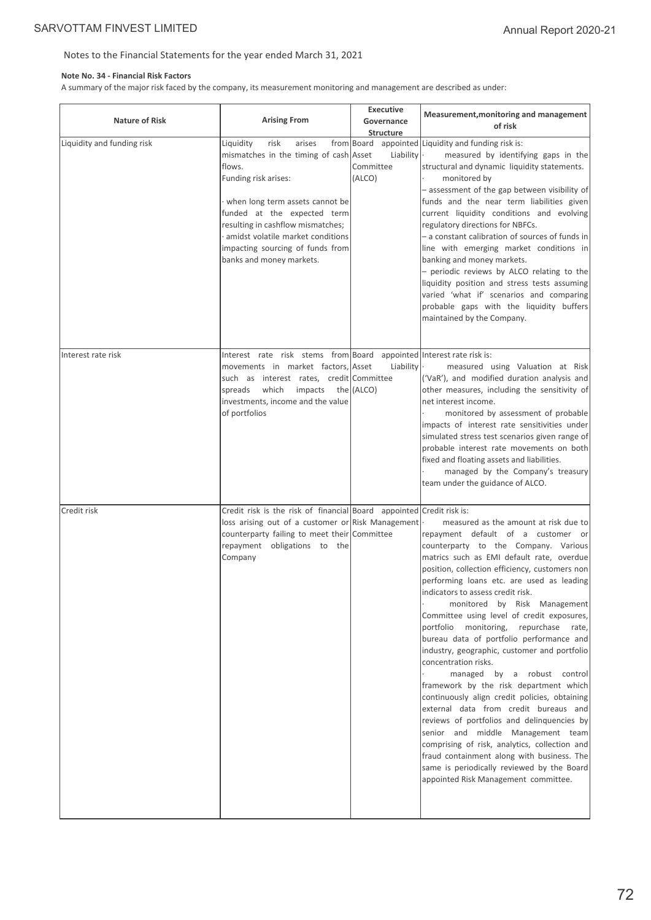### **Note No. 34 - Financial Risk Factors**

A summary of the major risk faced by the company, its measurement monitoring and management are described as under:

| <b>Nature of Risk</b>      | <b>Arising From</b>                                                                                                                                                                                                                                                                                                 | <b>Executive</b><br>Governance<br><b>Structure</b> | <b>Measurement, monitoring and management</b><br>of risk                                                                                                                                                                                                                                                                                                                                                                                                                                                                                                                                                                                                                                                                                                                                                                                                                                                                                                                                    |
|----------------------------|---------------------------------------------------------------------------------------------------------------------------------------------------------------------------------------------------------------------------------------------------------------------------------------------------------------------|----------------------------------------------------|---------------------------------------------------------------------------------------------------------------------------------------------------------------------------------------------------------------------------------------------------------------------------------------------------------------------------------------------------------------------------------------------------------------------------------------------------------------------------------------------------------------------------------------------------------------------------------------------------------------------------------------------------------------------------------------------------------------------------------------------------------------------------------------------------------------------------------------------------------------------------------------------------------------------------------------------------------------------------------------------|
| Liquidity and funding risk | Liquidity<br>risk<br>arises<br>mismatches in the timing of cash Asset<br>flows.<br>Funding risk arises:<br>when long term assets cannot be<br>funded at the expected term<br>resulting in cashflow mismatches;<br>amidst volatile market conditions<br>impacting sourcing of funds from<br>banks and money markets. | Liability $\vert \cdot$<br>Committee<br>(ALCO)     | from Board appointed Liquidity and funding risk is:<br>measured by identifying gaps in the<br>structural and dynamic liquidity statements.<br>monitored by<br>- assessment of the gap between visibility of<br>funds and the near term liabilities given<br>current liquidity conditions and evolving<br>regulatory directions for NBFCs.<br>- a constant calibration of sources of funds in<br>line with emerging market conditions in<br>banking and money markets.<br>- periodic reviews by ALCO relating to the<br>liquidity position and stress tests assuming<br>varied 'what if' scenarios and comparing<br>probable gaps with the liquidity buffers<br>maintained by the Company.                                                                                                                                                                                                                                                                                                   |
| Interest rate risk         | Interest rate risk stems from Board appointed Interest rate risk is:<br>movements in market factors, Asset<br>such as interest rates, credit Committee<br>which<br>impacts<br>spreads<br>investments, income and the value<br>of portfolios                                                                         | Liability $\vert \cdot$<br>the (ALCO)              | measured using Valuation at Risk<br>('VaR'), and modified duration analysis and<br>other measures, including the sensitivity of<br>net interest income.<br>monitored by assessment of probable<br>impacts of interest rate sensitivities under<br>simulated stress test scenarios given range of<br>probable interest rate movements on both<br>fixed and floating assets and liabilities.<br>managed by the Company's treasury<br>team under the guidance of ALCO.                                                                                                                                                                                                                                                                                                                                                                                                                                                                                                                         |
| Credit risk                | Credit risk is the risk of financial Board appointed Credit risk is:<br>loss arising out of a customer or Risk Management<br>counterparty failing to meet their Committee<br>repayment obligations to the<br>Company                                                                                                |                                                    | measured as the amount at risk due to<br>repayment default of a customer or<br>counterparty to the Company. Various<br>matrics such as EMI default rate, overdue<br>position, collection efficiency, customers non<br>performing loans etc. are used as leading<br>indicators to assess credit risk.<br>monitored by Risk Management<br>Committee using level of credit exposures,<br>portfolio monitoring, repurchase rate,<br>bureau data of portfolio performance and<br>industry, geographic, customer and portfolio<br>concentration risks.<br>managed by a robust control<br>framework by the risk department which<br>continuously align credit policies, obtaining<br>external data from credit bureaus and<br>reviews of portfolios and delinquencies by<br>senior and middle Management team<br>comprising of risk, analytics, collection and<br>fraud containment along with business. The<br>same is periodically reviewed by the Board<br>appointed Risk Management committee. |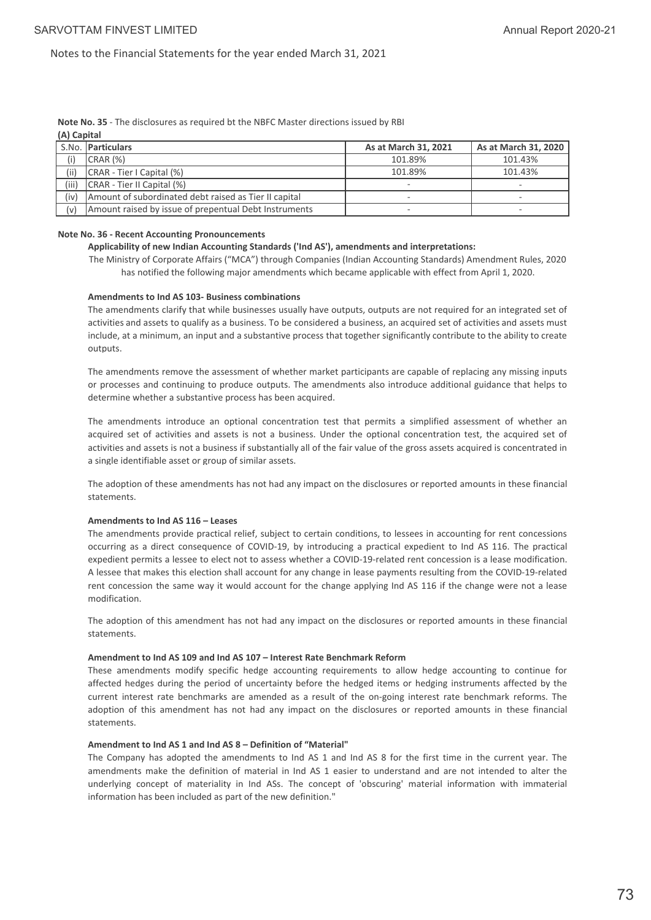Note No. 35 - The disclosures as required bt the NBFC Master directions issued by RBI  $|A|$  Capital

| $1.1$ and $1.1$ |                                                       |                          |                          |
|-----------------|-------------------------------------------------------|--------------------------|--------------------------|
|                 | S.No. Particulars                                     | As at March 31, 2021     | As at March 31, 2020     |
| (i)             | $CRAR (\%)$                                           | 101.89%                  | 101.43%                  |
| (iii)           | CRAR - Tier I Capital (%)                             | 101.89%                  | 101.43%                  |
| (iii)           | CRAR - Tier II Capital (%)                            |                          |                          |
| (iv)            | Amount of subordinated debt raised as Tier II capital | -                        | $\overline{\phantom{a}}$ |
| (v)             | Amount raised by issue of prepentual Debt Instruments | $\overline{\phantom{a}}$ | -                        |

#### **Note No. 36 - Recent Accounting Pronouncements**

# Applicability of new Indian Accounting Standards ('Ind AS'), amendments and interpretations:

The Ministry of Corporate Affairs ("MCA") through Companies (Indian Accounting Standards) Amendment Rules, 2020 has notified the following major amendments which became applicable with effect from April 1, 2020.

#### **Amendments to Ind AS 103- Business combinations**

The amendments clarify that while businesses usually have outputs, outputs are not required for an integrated set of activities and assets to qualify as a business. To be considered a business, an acquired set of activities and assets must include, at a minimum, an input and a substantive process that together significantly contribute to the ability to create outputs.

The amendments remove the assessment of whether market participants are capable of replacing any missing inputs  $\sigma$  or processes and continuing to produce outputs. The amendments also introduce additional guidance that helps to determine whether a substantive process has been acquired.

The amendments introduce an optional concentration test that permits a simplified assessment of whether an acquired set of activities and assets is not a business. Under the optional concentration test, the acquired set of activities and assets is not a business if substantially all of the fair value of the gross assets acquired is concentrated in a single identifiable asset or group of similar assets.

The adoption of these amendments has not had any impact on the disclosures or reported amounts in these financial statements.

#### Amendments to Ind AS 116 - Leases

The amendments provide practical relief, subiect to certain conditions, to lessees in accounting for rent concessions occurring as a direct consequence of COVID-19, by introducing a practical expedient to Ind AS 116. The practical expedient permits a lessee to elect not to assess whether a COVID-19-related rent concession is a lease modification. A lessee that makes this election shall account for any change in lease payments resulting from the COVID-19-related rent concession the same way it would account for the change applying Ind AS 116 if the change were not a lease modification.

The adoption of this amendment has not had any impact on the disclosures or reported amounts in these financial statements.

#### Amendment to Ind AS 109 and Ind AS 107 - Interest Rate Benchmark Reform

These amendments modify specific hedge accounting requirements to allow hedge accounting to continue for affected hedges during the period of uncertainty before the hedged items or hedging instruments affected by the current interest rate benchmarks are amended as a result of the on-going interest rate benchmark reforms. The adoption of this amendment has not had any impact on the disclosures or reported amounts in these financial statements.

#### **Amendment to Ind AS 1 and Ind AS 8 - Definition of "Material"**

The Company has adopted the amendments to Ind AS 1 and Ind AS 8 for the first time in the current year. The amendments make the definition of material in Ind AS 1 easier to understand and are not intended to alter the underlying concept of materiality in Ind ASs. The concept of 'obscuring' material information with immaterial information has been included as part of the new definition."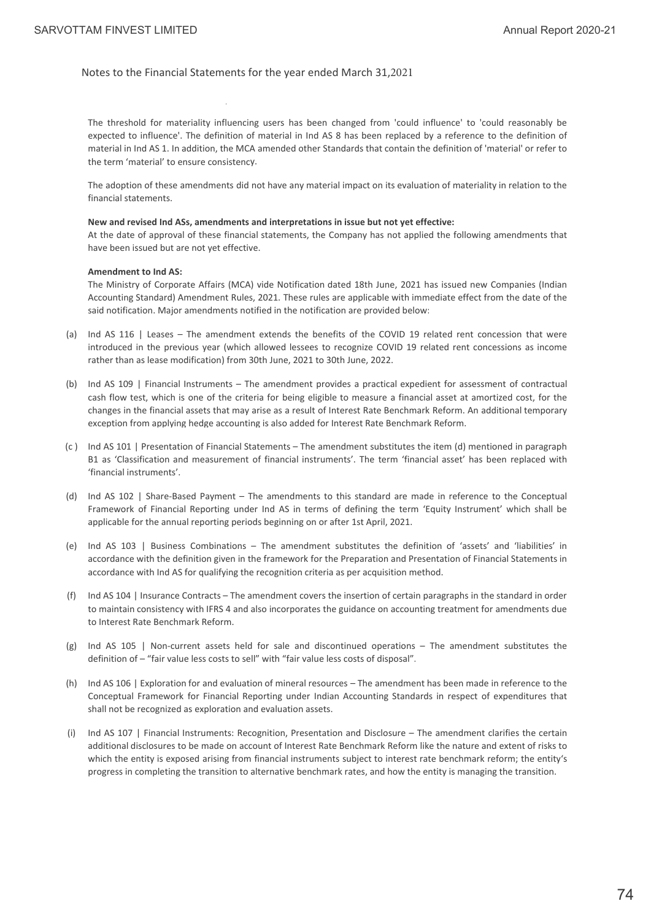The threshold for materiality influencing users has been changed from 'could influence' to 'could reasonably be expected to influence'. The definition of material in Ind AS 8 has been replaced by a reference to the definition of material in Ind AS 1. In addition, the MCA amended other Standards that contain the definition of 'material' or refer to the term 'material' to ensure consistency.

The adoption of these amendments did not have any material impact on its evaluation of materiality in relation to the financial statements.

#### New and revised Ind ASs, amendments and interpretations in issue but not yet effective:

At the date of approval of these financial statements, the Company has not applied the following amendments that have been issued but are not vet effective.

#### **Amendment to Ind AS:**

The Ministry of Corporate Affairs (MCA) yide Notification dated 18th June, 2021 has issued new Companies (Indian Accounting Standard) Amendment Rules, 2021. These rules are applicable with immediate effect from the date of the said notification. Major amendments notified in the notification are provided below:

- (a) Ind AS 116 | Leases The amendment extends the benefits of the COVID 19 related rent concession that were introduced in the previous year (which allowed lessees to recognize COVID 19 related rent concessions as income rather than as lease modification) from 30th June, 2021 to 30th June, 2022.
- (b) Ind AS 109 | Financial Instruments The amendment provides a practical expedient for assessment of contractual cash flow test, which is one of the criteria for being eligible to measure a financial asset at amortized cost, for the changes in the financial assets that may arise as a result of Interest Rate Benchmark Reform. An additional temporary exception from applying hedge accounting is also added for Interest Rate Benchmark Reform.
- (c) Ind AS 101 | Presentation of Financial Statements The amendment substitutes the item (d) mentioned in paragraph B1 as 'Classification and measurement of financial instruments'. The term 'financial asset' has been replaced with 'financial instruments'.
- (d) Ind AS 102 | Share-Based Payment The amendments to this standard are made in reference to the Conceptual Framework of Financial Reporting under Ind AS in terms of defining the term 'Equity Instrument' which shall be applicable for the annual reporting periods beginning on or after 1st April, 2021.
- (e) Ind AS 103 | Business Combinations The amendment substitutes the definition of 'assets' and 'liabilities' in accordance with the definition given in the framework for the Preparation and Presentation of Financial Statements in accordance with Ind AS for qualifying the recognition criteria as per acquisition method.
- (f) Ind AS 104 | Insurance Contracts The amendment covers the insertion of certain paragraphs in the standard in order to maintain consistency with IFRS 4 and also incorporates the guidance on accounting treatment for amendments due to Interest Rate Benchmark Reform.
- (g) Ind AS 105 | Non-current assets held for sale and discontinued operations The amendment substitutes the definition of - "fair value less costs to sell" with "fair value less costs of disposal".
- (h) Ind AS 106 | Exploration for and evaluation of mineral resources The amendment has been made in reference to the Conceptual Framework for Financial Reporting under Indian Accounting Standards in respect of expenditures that shall not be recognized as exploration and evaluation assets.
- $(i)$ Ind AS 107 | Financial Instruments: Recognition, Presentation and Disclosure – The amendment clarifies the certain additional disclosures to be made on account of Interest Rate Benchmark Reform like the nature and extent of risks to which the entity is exposed arising from financial instruments subject to interest rate benchmark reform; the entity's progress in completing the transition to alternative benchmark rates, and how the entity is managing the transition.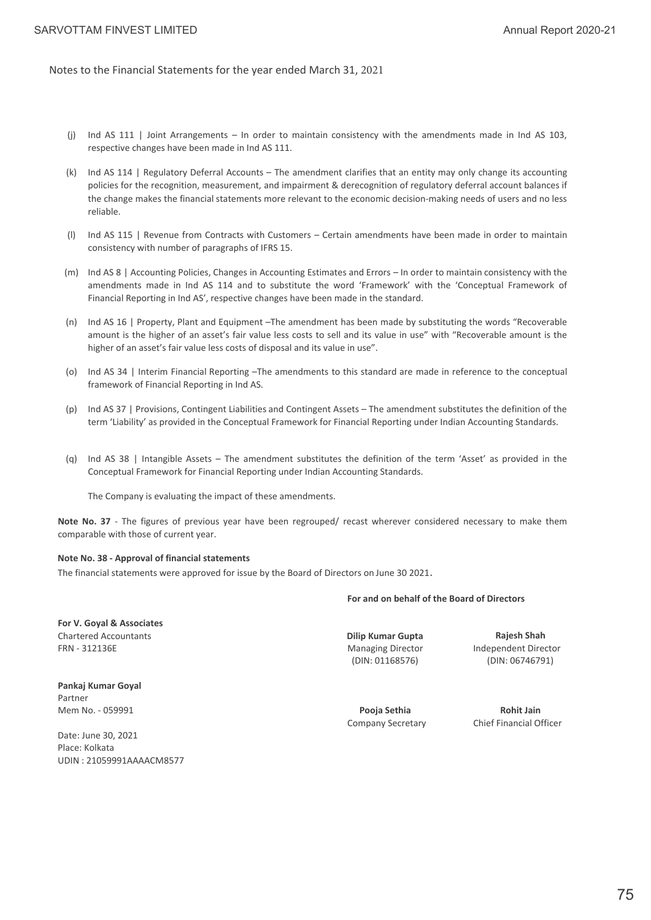- (j) Ind AS 111 | Joint Arrangements In order to maintain consistency with the amendments made in Ind AS 103, respective changes have been made in Ind AS 111.
- (k) Ind AS 114 | Regulatory Deferral Accounts The amendment clarifies that an entity may only change its accounting policies for the recognition, measurement, and impairment & derecognition of regulatory deferral account balances if the change makes the financial statements more relevant to the economic decision-making needs of users and no less reliable.
- (I) Ind AS 115 | Revenue from Contracts with Customers Certain amendments have been made in order to maintain consistency with number of paragraphs of IFRS 15.
- (m) Ind AS 8 | Accounting Policies, Changes in Accounting Estimates and Errors In order to maintain consistency with the amendments made in Ind AS 114 and to substitute the word 'Framework' with the 'Conceptual Framework of Financial Reporting in Ind AS', respective changes have been made in the standard.
- (n) Ind AS 16 | Property, Plant and Equipment The amendment has been made by substituting the words "Recoverable amount is the higher of an asset's fair value less costs to sell and its value in use" with "Recoverable amount is the higher of an asset's fair value less costs of disposal and its value in use".
- (o) Ind AS 34 | Interim Financial Reporting -The amendments to this standard are made in reference to the conceptual framework of Financial Reporting in Ind AS.
- (p) Ind AS 37 | Provisions, Contingent Liabilities and Contingent Assets The amendment substitutes the definition of the term 'Liability' as provided in the Conceptual Framework for Financial Reporting under Indian Accounting Standards.
- (q) Ind AS 38 | Intangible Assets The amendment substitutes the definition of the term 'Asset' as provided in the Conceptual Framework for Financial Reporting under Indian Accounting Standards.

The Company is evaluating the impact of these amendments.

Note No. 37 - The figures of previous year have been regrouped/ recast wherever considered necessary to make them comparable with those of current year.

#### **Note No. 38 - Approval of financial statements**

The financial statements were approved for issue by the Board of Directors on June 30 2021.

#### **For and on behalf of the Board of Directors**

Chartered Accountants **Sales and Solution Community School Chartered Accountants School Chartered Accountants** (DIN: 01168576)

FRN - 312136E<br>
Managing Director Molependent Director **Rajesh Shah** (DIN: 06746791)

Pankaj Kumar Goyal Partner Mem No. - 059991 **DECO** WAS SERVED AND MELTIC MELTIC MELTIC MELTIC MELTIC MELTIC MELTIC MELTIC MELTIC MELTIC MELTIC

**For V. Goval & Associates** 

Date: June 30, 2021 Place: Kolkata UDIN: 21059991AAAACM8577

Company Secretary Chief Financial Officer **Zobit Jain**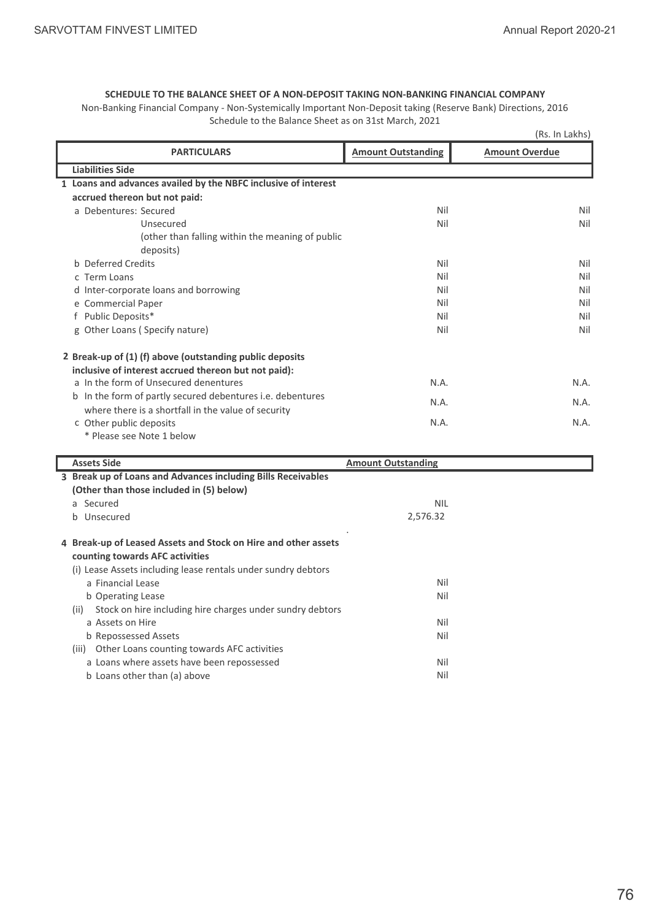## SCHEDULE TO THE BALANCE SHEET OF A NON-DEPOSIT TAKING NON-BANKING FINANCIAL COMPANY

Non-Banking Financial Company - Non-Systemically Important Non-Deposit taking (Reserve Bank) Directions, 2016 Schedule to the Balance Sheet as on 31st March, 2021

|                                                                   |                           | (Rs. In Lakhs)        |
|-------------------------------------------------------------------|---------------------------|-----------------------|
| <b>PARTICULARS</b>                                                | <b>Amount Outstanding</b> | <b>Amount Overdue</b> |
| <b>Liabilities Side</b>                                           |                           |                       |
| 1 Loans and advances availed by the NBFC inclusive of interest    |                           |                       |
| accrued thereon but not paid:                                     |                           |                       |
| a Debentures: Secured                                             | Nil                       | Nil                   |
| Unsecured                                                         | Nil                       | Nil                   |
| (other than falling within the meaning of public                  |                           |                       |
| deposits)                                                         |                           |                       |
| b Deferred Credits                                                | Nil                       | Nil                   |
| c Term Loans                                                      | Nil                       | Nil                   |
| d Inter-corporate loans and borrowing                             | Nil                       | Nil                   |
| e Commercial Paper                                                | Nil                       | Nil                   |
| f Public Deposits*                                                | Nil                       | Nil                   |
| g Other Loans (Specify nature)                                    | Nil                       | Nil                   |
| 2 Break-up of (1) (f) above (outstanding public deposits          |                           |                       |
| inclusive of interest accrued thereon but not paid):              |                           |                       |
| a In the form of Unsecured denentures                             | N.A.                      | N.A.                  |
| b In the form of partly secured debentures i.e. debentures        |                           |                       |
| where there is a shortfall in the value of security               | N.A.                      | N.A.                  |
| c Other public deposits                                           | N.A.                      | N.A.                  |
| * Please see Note 1 below                                         |                           |                       |
| <b>Assets Side</b>                                                | <b>Amount Outstanding</b> |                       |
| 3 Break up of Loans and Advances including Bills Receivables      |                           |                       |
| (Other than those included in (5) below)                          |                           |                       |
| a Secured                                                         | <b>NIL</b>                |                       |
| b Unsecured                                                       | 2,576.32                  |                       |
| 4 Break-up of Leased Assets and Stock on Hire and other assets    |                           |                       |
| counting towards AFC activities                                   |                           |                       |
| (i) Lease Assets including lease rentals under sundry debtors     |                           |                       |
| a Financial Lease                                                 | Nil                       |                       |
| b Operating Lease                                                 | Nil                       |                       |
| Stock on hire including hire charges under sundry debtors<br>(ii) |                           |                       |
| a Assets on Hire                                                  | Nil                       |                       |
| b Repossessed Assets                                              | Nil                       |                       |
| (iii) Other Loans counting towards AFC activities                 |                           |                       |
| a Loans where assets have been repossessed                        | Nil                       |                       |
| b Loans other than (a) above                                      | Nil                       |                       |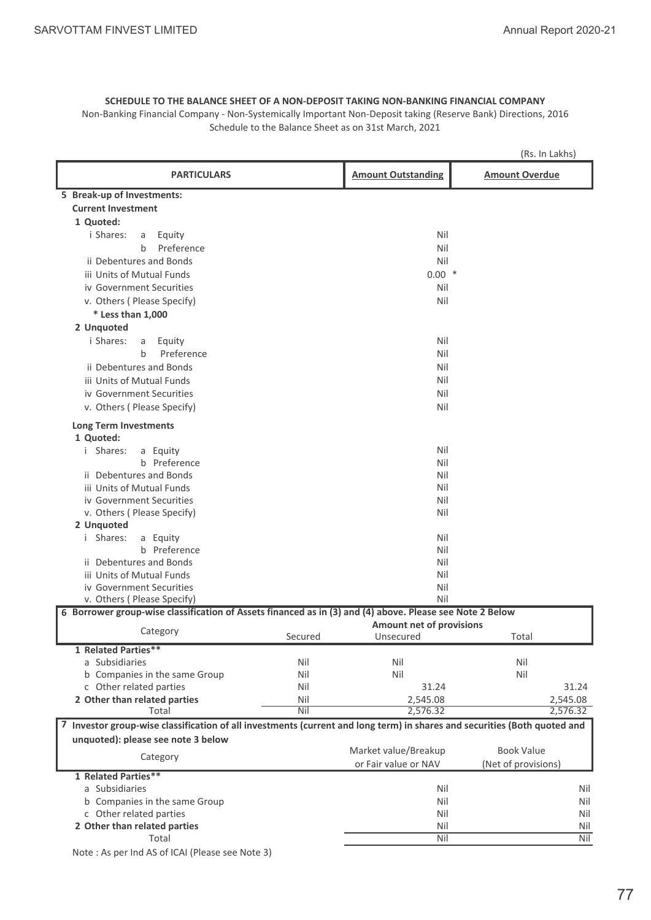# **SCHEDULE TO THE BALANCE SHEET OF A NON-DEPOSIT TAKING NON-BANKING FINANCIAL COMPANY**

Non-Banking Financial Company - Non-Systemically Important Non-Deposit taking (Reserve Bank) Directions, 2016 Schedule to the Balance Sheet as on 31st March, 2021

|                                                                                                                              |         |                                              | (Rs. In Lakhs)        |
|------------------------------------------------------------------------------------------------------------------------------|---------|----------------------------------------------|-----------------------|
| <b>PARTICULARS</b>                                                                                                           |         | <b>Amount Outstanding</b>                    | <b>Amount Overdue</b> |
| 5 Break-up of Investments:                                                                                                   |         |                                              |                       |
| <b>Current Investment</b>                                                                                                    |         |                                              |                       |
| 1 Quoted:                                                                                                                    |         |                                              |                       |
| i Shares:<br>a<br>Equity                                                                                                     |         | Nil                                          |                       |
| Preference<br>$\mathbf b$                                                                                                    |         | Nil                                          |                       |
| ii Debentures and Bonds                                                                                                      |         | Nil                                          |                       |
| iii Units of Mutual Funds                                                                                                    |         | $0.00*$                                      |                       |
| iv Government Securities                                                                                                     |         | Nil                                          |                       |
| v. Others (Please Specify)                                                                                                   |         | Nil                                          |                       |
| * Less than 1,000                                                                                                            |         |                                              |                       |
| 2 Unquoted                                                                                                                   |         |                                              |                       |
| <i>i</i> Shares:<br>a<br>Equity                                                                                              |         | Nil                                          |                       |
| Preference<br>$\mathbf b$                                                                                                    |         | Nil                                          |                       |
| ii Debentures and Bonds                                                                                                      |         | Nil                                          |                       |
| iii Units of Mutual Funds                                                                                                    |         | Nil                                          |                       |
| iv Government Securities                                                                                                     |         | Nil                                          |                       |
| v. Others (Please Specify)                                                                                                   |         | Nil                                          |                       |
| <b>Long Term Investments</b>                                                                                                 |         |                                              |                       |
| 1 Quoted:                                                                                                                    |         |                                              |                       |
| i Shares:<br>a Equity                                                                                                        |         | Nil                                          |                       |
| b Preference                                                                                                                 |         | Nil                                          |                       |
| ii Debentures and Bonds                                                                                                      |         | Nil                                          |                       |
| iii Units of Mutual Funds                                                                                                    |         | Nil                                          |                       |
| iv Government Securities                                                                                                     |         | Nil                                          |                       |
| v. Others (Please Specify)                                                                                                   |         | Nil                                          |                       |
| 2 Unquoted                                                                                                                   |         |                                              |                       |
| i Shares:<br>a Equity                                                                                                        |         | Nil                                          |                       |
| b Preference                                                                                                                 |         | Nil                                          |                       |
| ii Debentures and Bonds                                                                                                      |         | Nil                                          |                       |
| iii Units of Mutual Funds                                                                                                    |         | Nil                                          |                       |
| iv Government Securities                                                                                                     |         | Nil                                          |                       |
| v. Others (Please Specify)                                                                                                   |         | Nil                                          |                       |
| 6 Borrower group-wise classification of Assets financed as in (3) and (4) above. Please see Note 2 Below                     |         |                                              |                       |
| Category                                                                                                                     | Secured | <b>Amount net of provisions</b><br>Unsecured | Total                 |
| 1 Related Parties**                                                                                                          |         |                                              |                       |
| a Subsidiaries                                                                                                               | Nil     | Nil                                          | Nil                   |
| b Companies in the same Group                                                                                                | Nil     | Nil                                          | Nil                   |
| c Other related parties                                                                                                      | Nil     | 31.24                                        | 31.24                 |
| 2 Other than related parties                                                                                                 | Nil     | 2,545.08                                     | 2,545.08              |
| Total                                                                                                                        | Nil     | 2,576.32                                     | 2,576.32              |
| Investor group-wise classification of all investments (current and long term) in shares and securities (Both quoted and<br>7 |         |                                              |                       |
| unquoted): please see note 3 below                                                                                           |         |                                              |                       |
|                                                                                                                              |         | Market value/Breakup                         | <b>Book Value</b>     |
| Category                                                                                                                     |         | or Fair value or NAV                         | (Net of provisions)   |
| 1 Related Parties**                                                                                                          |         |                                              |                       |
| a Subsidiaries                                                                                                               |         | Nil                                          | Nil                   |
| b Companies in the same Group                                                                                                |         | Nil                                          | Nil                   |
| c Other related parties                                                                                                      |         | Nil                                          | Nil                   |
| 2 Other than related parties                                                                                                 |         | Nil                                          | Nil                   |
| Total                                                                                                                        |         | Nil                                          | Nil                   |

Note : As per Ind AS of ICAI (Please see Note 3)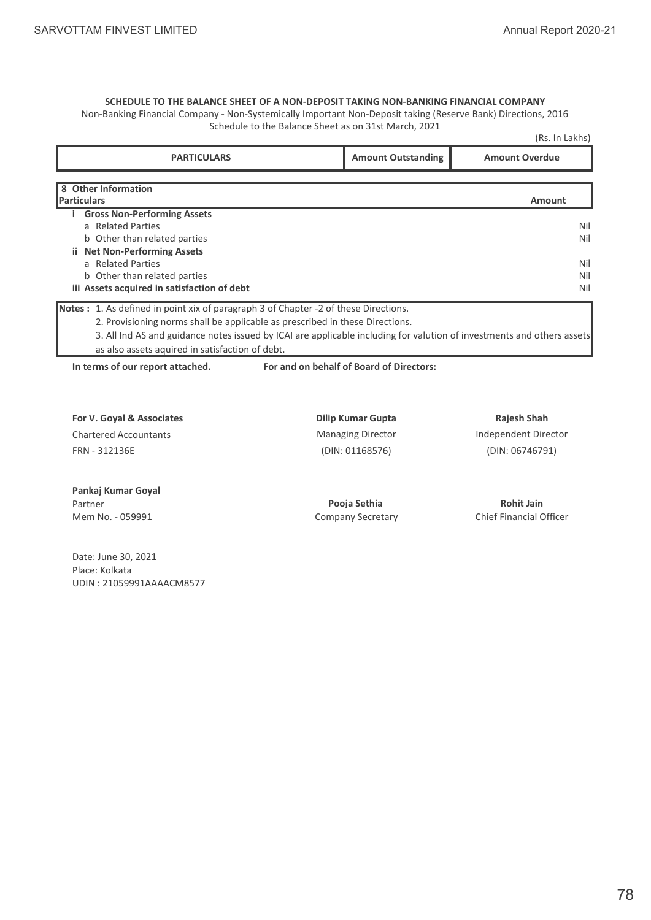UDIN: 21059991AAAACM8577

# SCHEDULE TO THE BALANCE SHEET OF A NON-DEPOSIT TAKING NON-BANKING FINANCIAL COMPANY

Non-Banking Financial Company - Non-Systemically Important Non-Deposit taking (Reserve Bank) Directions, 2016 Schedule to the Balance Sheet as on 31st March, 2021 (Rs. In Lakhs)

| <b>PARTICULARS</b>                                                                                                                                                                                                                                                                                                                               | <b>Amount Outstanding</b>                | <b>Amount Overdue</b>          |
|--------------------------------------------------------------------------------------------------------------------------------------------------------------------------------------------------------------------------------------------------------------------------------------------------------------------------------------------------|------------------------------------------|--------------------------------|
| 8 Other Information<br><b>Particulars</b>                                                                                                                                                                                                                                                                                                        |                                          | <b>Amount</b>                  |
| <b>Gross Non-Performing Assets</b><br>a Related Parties<br>b Other than related parties<br>ii Net Non-Performing Assets                                                                                                                                                                                                                          |                                          | Nil<br>Nil                     |
| a Related Parties<br>b Other than related parties<br>iii Assets acquired in satisfaction of debt                                                                                                                                                                                                                                                 |                                          | Nil<br>Nil<br>Nil              |
| Notes: 1. As defined in point xix of paragraph 3 of Chapter -2 of these Directions.<br>2. Provisioning norms shall be applicable as prescribed in these Directions.<br>3. All Ind AS and guidance notes issued by ICAI are applicable including for valution of investments and others assets<br>as also assets aquired in satisfaction of debt. |                                          |                                |
| In terms of our report attached.                                                                                                                                                                                                                                                                                                                 | For and on behalf of Board of Directors: |                                |
| For V. Goyal & Associates                                                                                                                                                                                                                                                                                                                        | <b>Dilip Kumar Gupta</b>                 | <b>Rajesh Shah</b>             |
| <b>Chartered Accountants</b>                                                                                                                                                                                                                                                                                                                     | <b>Managing Director</b>                 | Independent Director           |
| FRN - 312136E                                                                                                                                                                                                                                                                                                                                    | (DIN: 01168576)                          | (DIN: 06746791)                |
| Pankaj Kumar Goyal                                                                                                                                                                                                                                                                                                                               |                                          |                                |
| Partner                                                                                                                                                                                                                                                                                                                                          | Pooja Sethia                             | <b>Rohit Jain</b>              |
| Mem No. - 059991                                                                                                                                                                                                                                                                                                                                 | <b>Company Secretary</b>                 | <b>Chief Financial Officer</b> |
| Date: June 30, 2021<br>Place: Kolkata                                                                                                                                                                                                                                                                                                            |                                          |                                |

78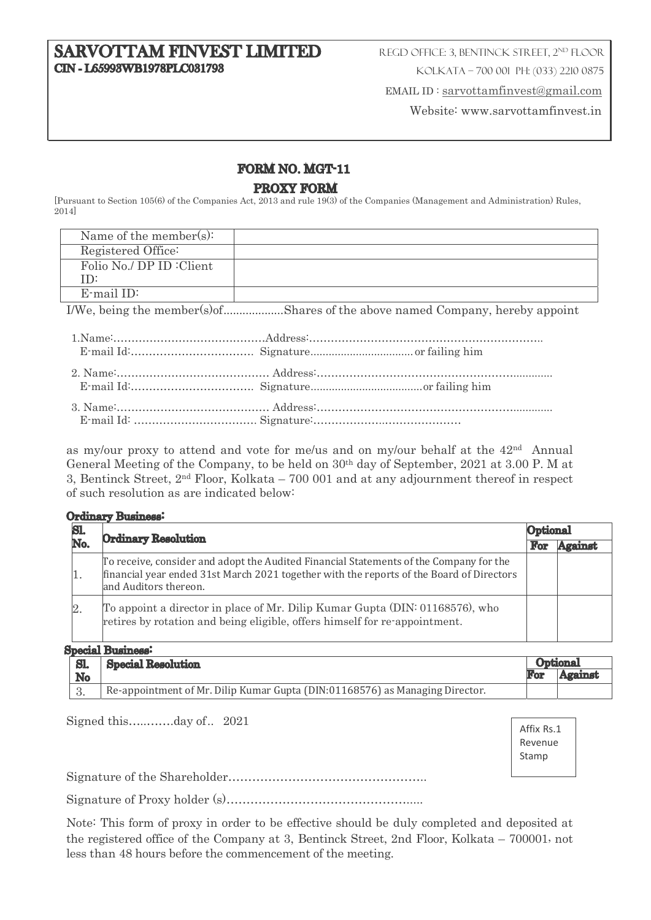# **SARVOTTAM FINVEST LIMITED** CIN-L65993WB1978PLC031793

REGD OFFICE: 3, BENTINCK STREET, 2ND FLOOR KOLKATA - 700 001 PH: (033) 2210 0875

EMAIL ID: sarvottamfinvest@gmail.com

Website: www.sarvottamfinvest.in

# **FORM NO. MGT-11**

# **PROXY FORM**

[Pursuant to Section 105(6) of the Companies Act, 2013 and rule 19(3) of the Companies (Management and Administration) Rules, 2014]

| Name of the member(s):                    |          |  |  |
|-------------------------------------------|----------|--|--|
| Registered Office:                        |          |  |  |
| Folio No./ DP ID : Client                 |          |  |  |
| ID:                                       |          |  |  |
| $E$ -mail ID:                             |          |  |  |
|                                           |          |  |  |
|                                           |          |  |  |
| $\rightarrow$ $\rightarrow$ $\rightarrow$ | $\cdots$ |  |  |

as my/our proxy to attend and vote for me/us and on my/our behalf at the 42<sup>nd</sup> Annual General Meeting of the Company, to be held on 30<sup>th</sup> day of September, 2021 at 3.00 P. M at 3, Bentinck Street, 2<sup>nd</sup> Floor, Kolkata - 700 001 and at any adjournment thereof in respect of such resolution as are indicated below:

# **Ordinary Business:**

| No. | <b>Ordinary Resolution</b><br>To receive, consider and adopt the Audited Financial Statements of the Company for the                                       | <b>For</b> | <b>Against</b> |
|-----|------------------------------------------------------------------------------------------------------------------------------------------------------------|------------|----------------|
|     |                                                                                                                                                            |            |                |
|     | financial year ended 31st March 2021 together with the reports of the Board of Directors<br>and Auditors thereon.                                          |            |                |
| 2.  | To appoint a director in place of Mr. Dilip Kumar Gupta (DIN: 01168576), who<br>retires by rotation and being eligible, offers himself for re-appointment. |            |                |

|            | <b>NANCHER DAMATION.</b>                                                     |     |                 |  |  |
|------------|------------------------------------------------------------------------------|-----|-----------------|--|--|
| <b>Sl.</b> | <b>Special Resolution</b>                                                    |     | <b>Optional</b> |  |  |
| No         |                                                                              | For | <b>Against</b>  |  |  |
| ಲ.         | Re-appointment of Mr. Dilip Kumar Gupta (DIN:01168576) as Managing Director. |     |                 |  |  |

Signed this.............day of .. 2021

Affix Rs.1 Revenue Stamp

Note: This form of proxy in order to be effective should be duly completed and deposited at the registered office of the Company at 3, Bentinck Street, 2nd Floor, Kolkata - 700001, not less than 48 hours before the commencement of the meeting.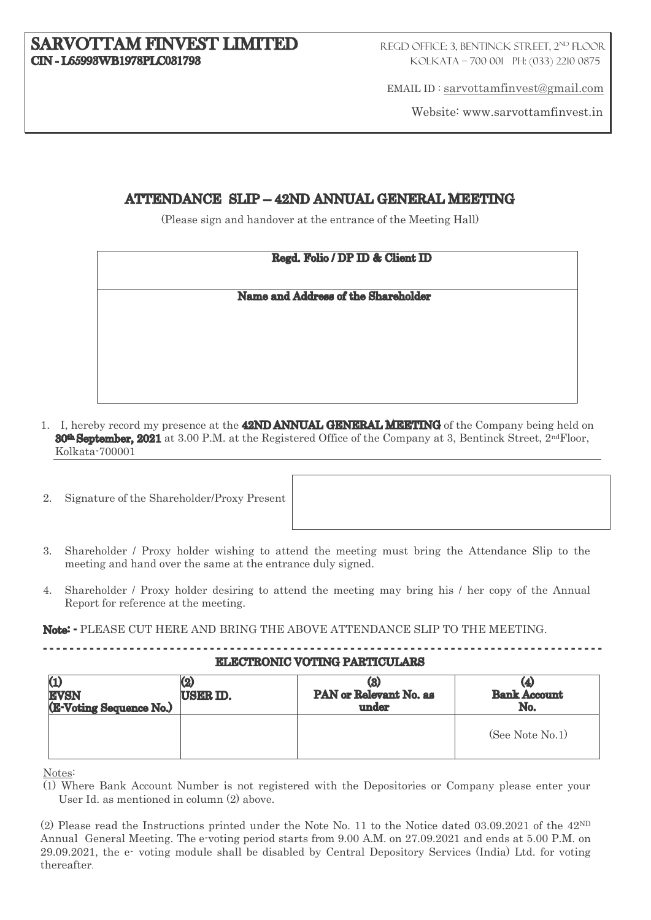# **SARVOTTAM FINVEST LIMITED** CIN-L65993WB1978PLC031793

EMAIL ID: sarvottamfinvest@gmail.com

Website: www.sarvottamfinvest.in

# ATTENDANCE SLIP - 42ND ANNUAL GENERAL MEETING

(Please sign and handover at the entrance of the Meeting Hall)

| Regd. Folio / DP ID & Client ID |
|---------------------------------|
|---------------------------------|

# Name and Address of the Shareholder

- 1. I, hereby record my presence at the **42ND ANNUAL GENERAL MEETING** of the Company being held on **30<sup>th</sup> September, 2021** at 3.00 P.M. at the Registered Office of the Company at 3, Bentinck Street,  $2^{nd}$ Floor, Kolkata-700001
- Signature of the Shareholder/Proxy Present 2.
- Shareholder / Proxy holder wishing to attend the meeting must bring the Attendance Slip to the 3. meeting and hand over the same at the entrance duly signed.
- Shareholder / Proxy holder desiring to attend the meeting may bring his / her copy of the Annual  $4.$ Report for reference at the meeting.

Note: - PLEASE CUT HERE AND BRING THE ABOVE ATTENDANCE SLIP TO THE MEETING.

# **ELECTRONIC VOTING PARTICULARS**

| <b>TVSN</b>             | USER ID. | PAN or Relevant No. as | <b>Bank Account</b> |
|-------------------------|----------|------------------------|---------------------|
| (E-Voting Sequence No.) |          | under                  | No.                 |
|                         |          |                        | (See Note No.1)     |

Notes:

(1) Where Bank Account Number is not registered with the Depositories or Company please enter your User Id. as mentioned in column (2) above.

(2) Please read the Instructions printed under the Note No. 11 to the Notice dated 03.09.2021 of the  $42^{ND}$ Annual General Meeting. The e-voting period starts from 9.00 A.M. on 27.09.2021 and ends at 5.00 P.M. on 29.09.2021, the e-voting module shall be disabled by Central Depository Services (India) Ltd. for voting thereafter.